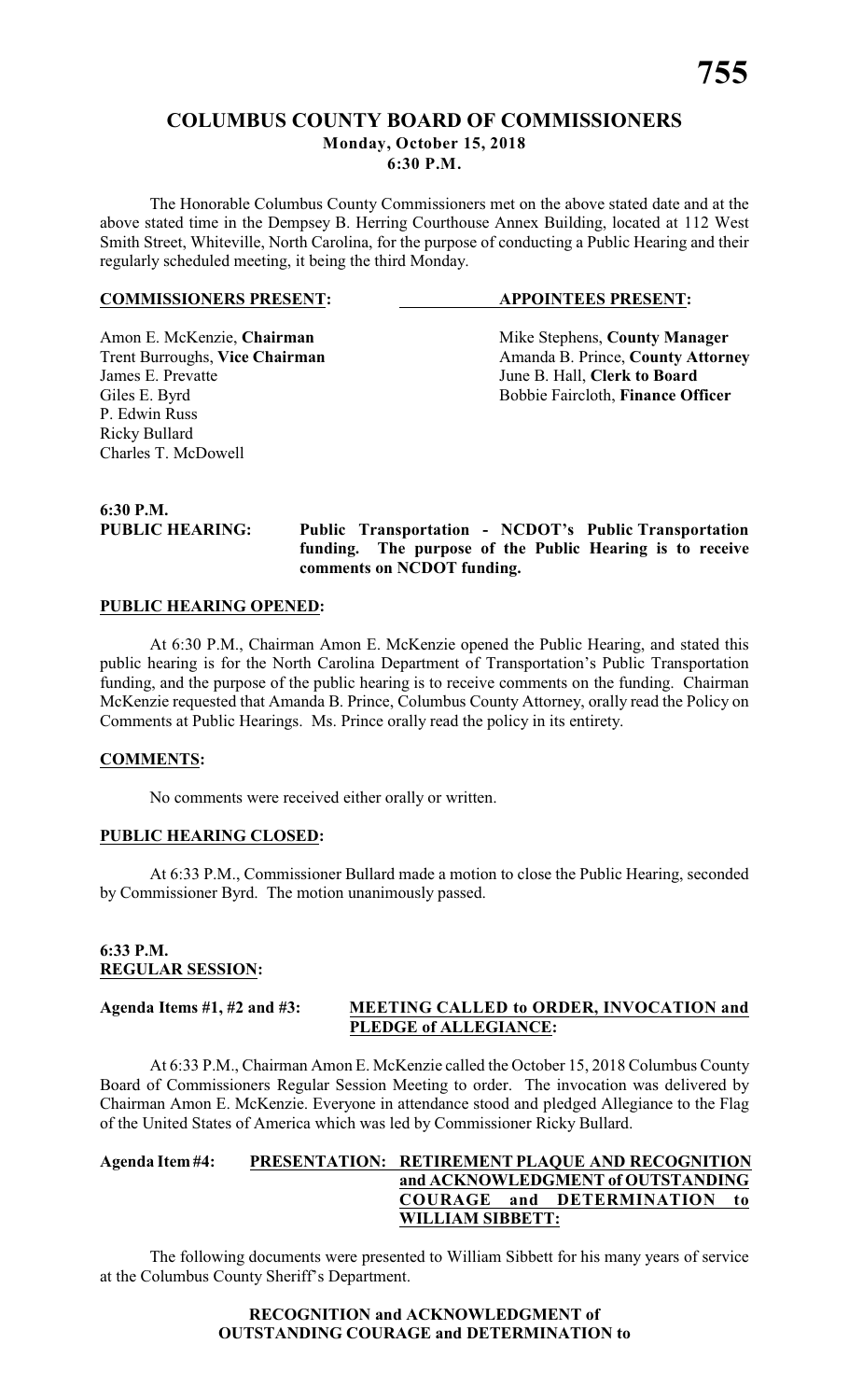# **COLUMBUS COUNTY BOARD OF COMMISSIONERS Monday, October 15, 2018 6:30 P.M.**

The Honorable Columbus County Commissioners met on the above stated date and at the above stated time in the Dempsey B. Herring Courthouse Annex Building, located at 112 West Smith Street, Whiteville, North Carolina, for the purpose of conducting a Public Hearing and their regularly scheduled meeting, it being the third Monday.

#### **COMMISSIONERS PRESENT: APPOINTEES PRESENT:**

P. Edwin Russ Ricky Bullard Charles T. McDowell

Amon E. McKenzie, **Chairman** Mike Stephens, **County Manager** <br>
Trent Burroughs, **Vice Chairman** Amanda B. Prince, **County Attorn** Trent Burroughs, **Vice Chairman** Amanda B. Prince, **County Attorney**<br>James E. Prevatte June B. Hall. Clerk to Board June B. Hall, **Clerk to Board** Giles E. Byrd **Bobbie Faircloth**, **Finance Officer** 

**6:30 P.M.**

**PUBLIC HEARING: Public Transportation - NCDOT's Public Transportation funding. The purpose of the Public Hearing is to receive comments on NCDOT funding.**

### **PUBLIC HEARING OPENED:**

At 6:30 P.M., Chairman Amon E. McKenzie opened the Public Hearing, and stated this public hearing is for the North Carolina Department of Transportation's Public Transportation funding, and the purpose of the public hearing is to receive comments on the funding. Chairman McKenzie requested that Amanda B. Prince, Columbus County Attorney, orally read the Policy on Comments at Public Hearings. Ms. Prince orally read the policy in its entirety.

# **COMMENTS:**

No comments were received either orally or written.

# **PUBLIC HEARING CLOSED:**

At 6:33 P.M., Commissioner Bullard made a motion to close the Public Hearing, seconded by Commissioner Byrd. The motion unanimously passed.

### **6:33 P.M. REGULAR SESSION:**

### **Agenda Items #1, #2 and #3: MEETING CALLED to ORDER, INVOCATION and PLEDGE of ALLEGIANCE:**

At 6:33 P.M., Chairman Amon E. McKenzie called the October 15, 2018 Columbus County Board of Commissioners Regular Session Meeting to order. The invocation was delivered by Chairman Amon E. McKenzie. Everyone in attendance stood and pledged Allegiance to the Flag of the United States of America which was led by Commissioner Ricky Bullard.

### **Agenda Item #4: PRESENTATION: RETIREMENT PLAQUE AND RECOGNITION and ACKNOWLEDGMENT of OUTSTANDING COURAGE and DETERMINATION to WILLIAM SIBBETT:**

The following documents were presented to William Sibbett for his many years of service at the Columbus County Sheriff's Department.

# **RECOGNITION and ACKNOWLEDGMENT of OUTSTANDING COURAGE and DETERMINATION to**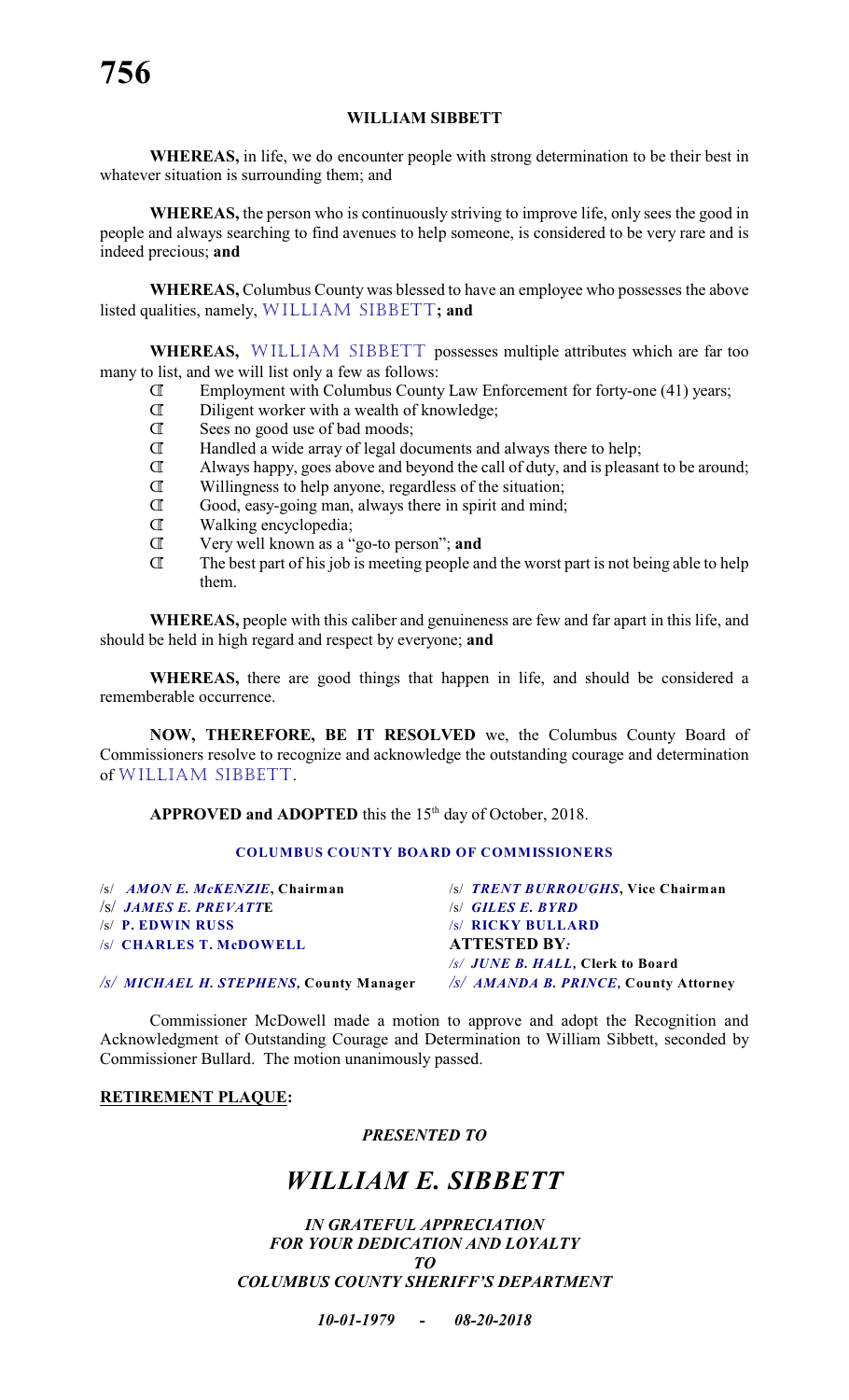# **WILLIAM SIBBETT**

**WHEREAS,** in life, we do encounter people with strong determination to be their best in whatever situation is surrounding them; and

**WHEREAS,** the person who is continuously striving to improve life, only sees the good in people and always searching to find avenues to help someone, is considered to be very rare and is indeed precious; **and**

**WHEREAS,** Columbus County was blessed to have an employee who possesses the above listed qualities, namely, WILLIAM SIBBETT**; and**

**WHEREAS,** WILLIAM SIBBETT possesses multiple attributes which are far too many to list, and we will list only a few as follows:

- Â Employment with Columbus County Law Enforcement for forty-one (41) years;
- $\mathbb{I}$  Diligent worker with a wealth of knowledge;<br> $\mathbb{I}$  Sees no good use of bad moods:
- Sees no good use of bad moods;
- $\mathbb{I}$  Handled a wide array of legal documents and always there to help;<br> $\mathbb{I}$  Always happy, goes above and beyond the call of duty, and is pleased
- Always happy, goes above and beyond the call of duty, and is pleasant to be around;
- Â Willingness to help anyone, regardless of the situation;
- $\mathbb{R}$  Good, easy-going man, always there in spirit and mind;<br> $\mathbb{R}$  Walking encyclopedia:
- $\mathbb{I}$  Walking encyclopedia;<br> $\mathbb{T}$  Very well known as a "
- **T** Very well known as a "go-to person"; **and**<br> **T** The best part of his job is meeting people and
- The best part of his job is meeting people and the worst part is not being able to help them.

**WHEREAS,** people with this caliber and genuineness are few and far apart in this life, and should be held in high regard and respect by everyone; **and**

**WHEREAS,** there are good things that happen in life, and should be considered a rememberable occurrence.

**NOW, THEREFORE, BE IT RESOLVED** we, the Columbus County Board of Commissioners resolve to recognize and acknowledge the outstanding courage and determination of WILLIAM SIBBETT.

**APPROVED and ADOPTED** this the  $15<sup>th</sup>$  day of October, 2018.

# **COLUMBUS COUNTY BOARD OF COMMISSIONERS**

| $ S $ AMON E. McKENZIE, Chairman        | /s/ TRENT BURROUGHS, Vice Chairman            |
|-----------------------------------------|-----------------------------------------------|
| $ S $ JAMES E. PREVATTE                 | <b>S GILES E. BYRD</b>                        |
| $\sqrt{s}$ P. EDWIN RUSS                | /s/ RICKY BULLARD                             |
| /s/ CHARLES T. McDOWELL                 | <b>ATTESTED BY:</b>                           |
|                                         | /s/ JUNE B. HALL, Clerk to Board              |
| /s/ MICHAEL H. STEPHENS, County Manager | $\sqrt{s}/$ AMANDA B. PRINCE, County Attorney |

Commissioner McDowell made a motion to approve and adopt the Recognition and Acknowledgment of Outstanding Courage and Determination to William Sibbett, seconded by Commissioner Bullard. The motion unanimously passed.

# **RETIREMENT PLAQUE:**

# *PRESENTED TO*

# *WILLIAM E. SIBBETT*

*IN GRATEFUL APPRECIATION FOR YOUR DEDICATION AND LOYALTY TO COLUMBUS COUNTY SHERIFF'S DEPARTMENT*

*10-01-1979 - 08-20-2018*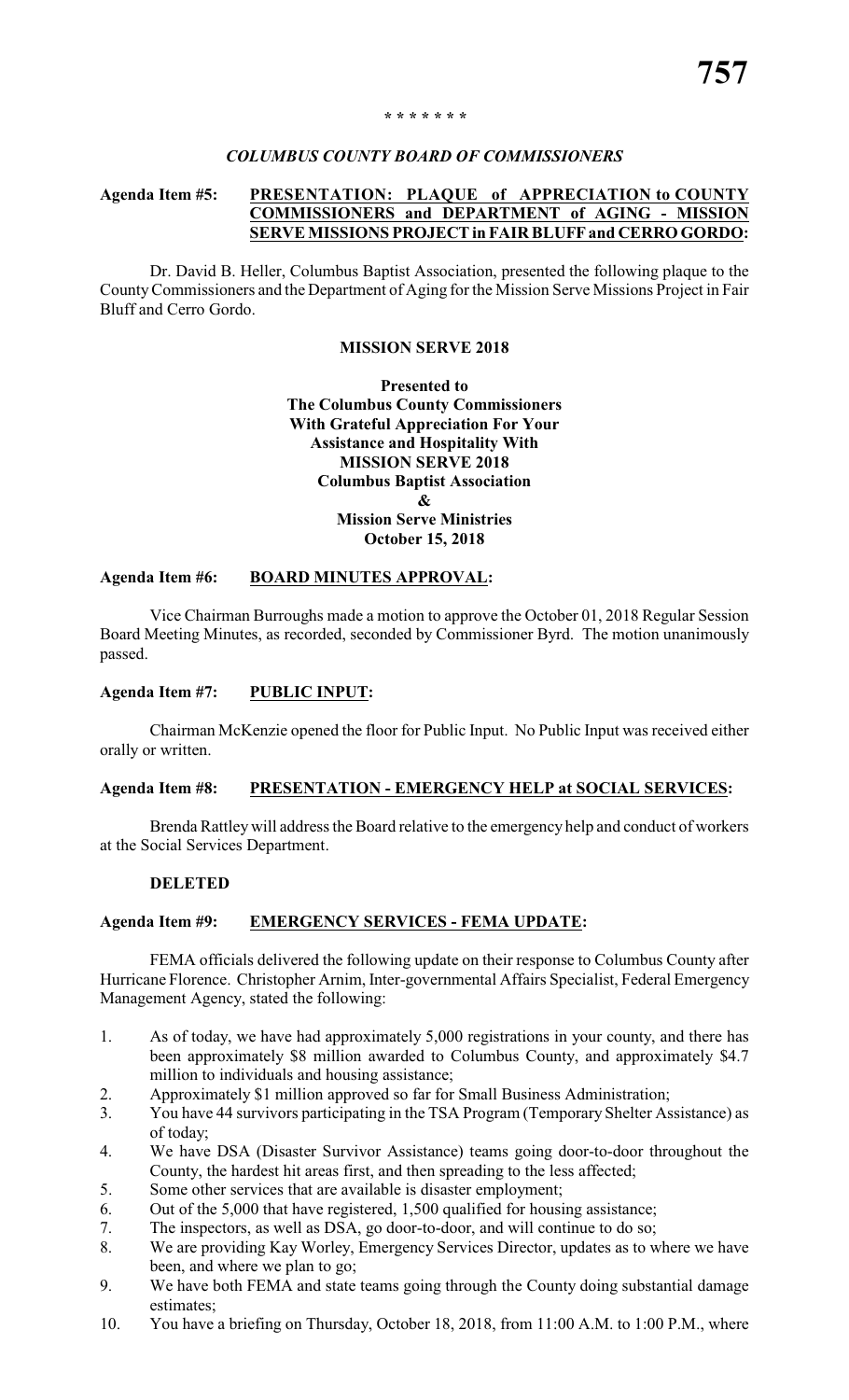#### *\* \* \* \* \* \* \**

### *COLUMBUS COUNTY BOARD OF COMMISSIONERS*

# **Agenda Item #5: PRESENTATION: PLAQUE of APPRECIATION to COUNTY COMMISSIONERS and DEPARTMENT of AGING - MISSION SERVE MISSIONS PROJECT in FAIR BLUFFand CERRO GORDO:**

Dr. David B. Heller, Columbus Baptist Association, presented the following plaque to the County Commissioners and the Department of Aging for the Mission Serve Missions Project in Fair Bluff and Cerro Gordo.

# **MISSION SERVE 2018**

# **Presented to The Columbus County Commissioners With Grateful Appreciation For Your Assistance and Hospitality With MISSION SERVE 2018 Columbus Baptist Association & Mission Serve Ministries October 15, 2018**

### **Agenda Item #6: BOARD MINUTES APPROVAL:**

Vice Chairman Burroughs made a motion to approve the October 01, 2018 Regular Session Board Meeting Minutes, as recorded, seconded by Commissioner Byrd. The motion unanimously passed.

## **Agenda Item #7: PUBLIC INPUT:**

Chairman McKenzie opened the floor for Public Input. No Public Input was received either orally or written.

#### **Agenda Item #8: PRESENTATION - EMERGENCY HELP at SOCIAL SERVICES:**

Brenda Rattley will address the Board relative to the emergency help and conduct of workers at the Social Services Department.

#### **DELETED**

# **Agenda Item #9: EMERGENCY SERVICES - FEMA UPDATE:**

FEMA officials delivered the following update on their response to Columbus County after Hurricane Florence. Christopher Arnim, Inter-governmental Affairs Specialist, Federal Emergency Management Agency, stated the following:

- 1. As of today, we have had approximately 5,000 registrations in your county, and there has been approximately \$8 million awarded to Columbus County, and approximately \$4.7 million to individuals and housing assistance;
- 2. Approximately \$1 million approved so far for Small Business Administration;
- 3. You have 44 survivors participating in the TSA Program (Temporary Shelter Assistance) as of today;
- 4. We have DSA (Disaster Survivor Assistance) teams going door-to-door throughout the County, the hardest hit areas first, and then spreading to the less affected;
- 5. Some other services that are available is disaster employment;
- 6. Out of the 5,000 that have registered, 1,500 qualified for housing assistance;
- 7. The inspectors, as well as DSA, go door-to-door, and will continue to do so;
- 8. We are providing Kay Worley, Emergency Services Director, updates as to where we have been, and where we plan to go;
- 9. We have both FEMA and state teams going through the County doing substantial damage estimates;
- 10. You have a briefing on Thursday, October 18, 2018, from 11:00 A.M. to 1:00 P.M., where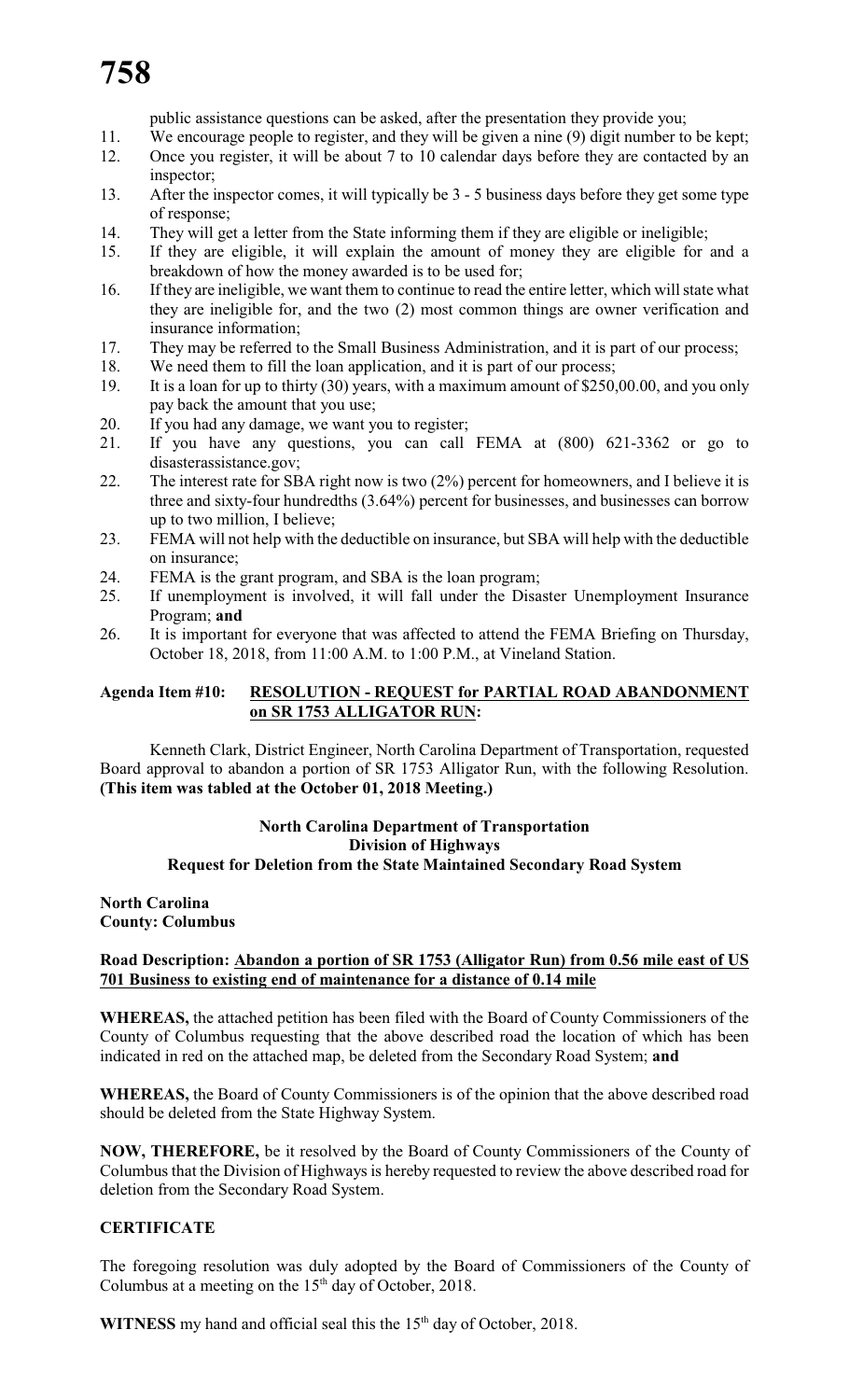public assistance questions can be asked, after the presentation they provide you;

- 11. We encourage people to register, and they will be given a nine (9) digit number to be kept; 12. Once you register, it will be about 7 to 10 calendar days before they are contacted by an inspector;
- 13. After the inspector comes, it will typically be 3 5 business days before they get some type of response;
- 14. They will get a letter from the State informing them if they are eligible or ineligible;
- 15. If they are eligible, it will explain the amount of money they are eligible for and a breakdown of how the money awarded is to be used for;
- 16. If they are ineligible, we want them to continue to read the entire letter, which will state what they are ineligible for, and the two (2) most common things are owner verification and insurance information;
- 17. They may be referred to the Small Business Administration, and it is part of our process;
- 18. We need them to fill the loan application, and it is part of our process;
- 19. It is a loan for up to thirty (30) years, with a maximum amount of \$250,00.00, and you only pay back the amount that you use;
- 20. If you had any damage, we want you to register;
- 21. If you have any questions, you can call FEMA at (800) 621-3362 or go to disasterassistance.gov;
- 22. The interest rate for SBA right now is two (2%) percent for homeowners, and I believe it is three and sixty-four hundredths (3.64%) percent for businesses, and businesses can borrow up to two million, I believe;
- 23. FEMA will not help with the deductible on insurance, but SBA will help with the deductible on insurance;
- 24. FEMA is the grant program, and SBA is the loan program;
- 25. If unemployment is involved, it will fall under the Disaster Unemployment Insurance Program; **and**
- 26. It is important for everyone that was affected to attend the FEMA Briefing on Thursday, October 18, 2018, from 11:00 A.M. to 1:00 P.M., at Vineland Station.

# **Agenda Item #10: RESOLUTION - REQUEST for PARTIAL ROAD ABANDONMENT on SR 1753 ALLIGATOR RUN:**

Kenneth Clark, District Engineer, North Carolina Department of Transportation, requested Board approval to abandon a portion of SR 1753 Alligator Run, with the following Resolution. **(This item was tabled at the October 01, 2018 Meeting.)**

# **North Carolina Department of Transportation Division of Highways Request for Deletion from the State Maintained Secondary Road System**

### **North Carolina County: Columbus**

# **Road Description: Abandon a portion of SR 1753 (Alligator Run) from 0.56 mile east of US 701 Business to existing end of maintenance for a distance of 0.14 mile**

**WHEREAS,** the attached petition has been filed with the Board of County Commissioners of the County of Columbus requesting that the above described road the location of which has been indicated in red on the attached map, be deleted from the Secondary Road System; **and**

**WHEREAS,** the Board of County Commissioners is of the opinion that the above described road should be deleted from the State Highway System.

**NOW, THEREFORE,** be it resolved by the Board of County Commissioners of the County of Columbus that the Division of Highways is hereby requested to review the above described road for deletion from the Secondary Road System.

# **CERTIFICATE**

The foregoing resolution was duly adopted by the Board of Commissioners of the County of Columbus at a meeting on the  $15<sup>th</sup>$  day of October, 2018.

**WITNESS** my hand and official seal this the  $15<sup>th</sup>$  day of October, 2018.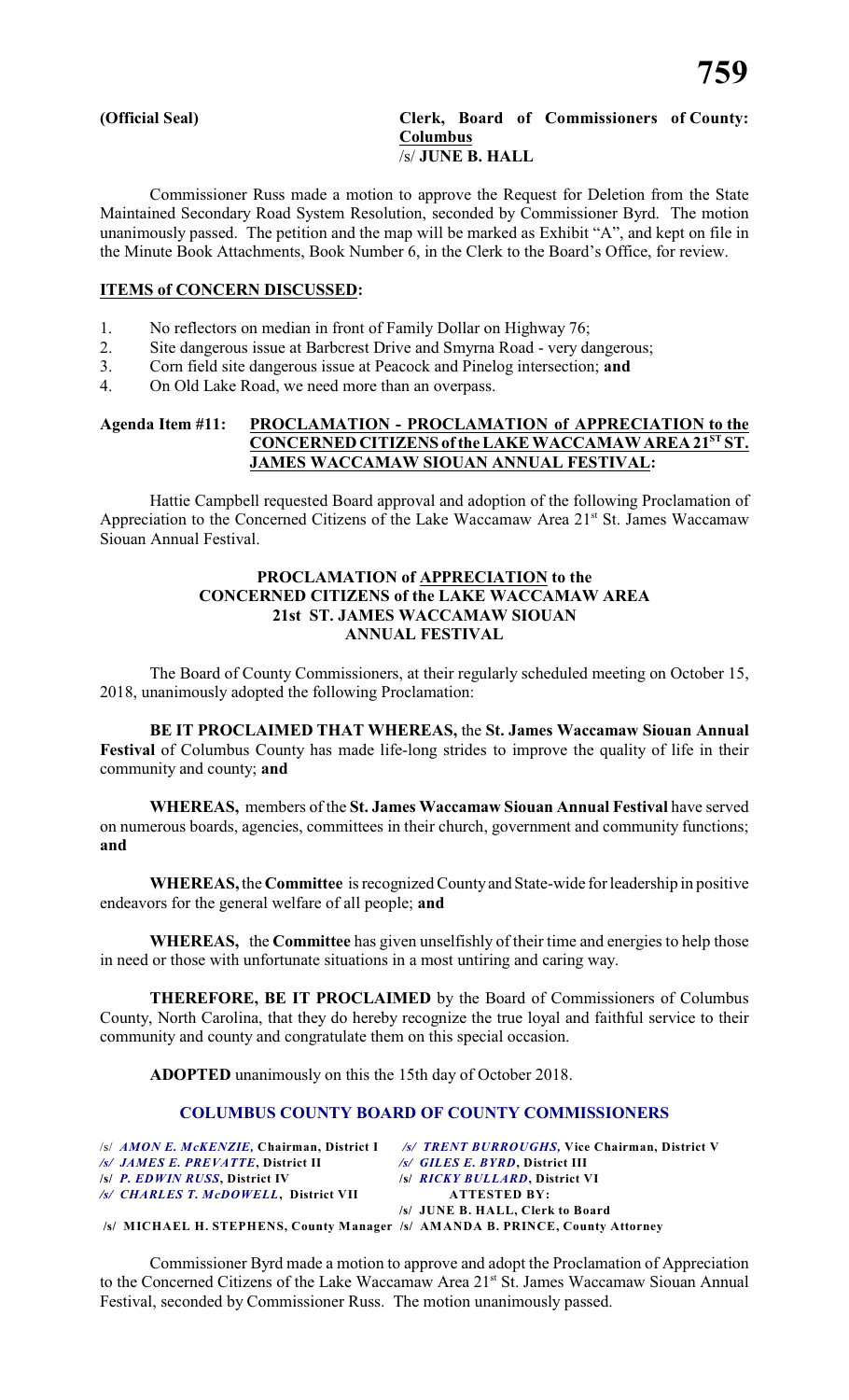#### **(Official Seal) Clerk, Board of Commissioners of County: Columbus** /s/ **JUNE B. HALL**

Commissioner Russ made a motion to approve the Request for Deletion from the State Maintained Secondary Road System Resolution, seconded by Commissioner Byrd. The motion unanimously passed. The petition and the map will be marked as Exhibit "A", and kept on file in the Minute Book Attachments, Book Number 6, in the Clerk to the Board's Office, for review.

## **ITEMS of CONCERN DISCUSSED:**

- 1. No reflectors on median in front of Family Dollar on Highway 76;
- 2. Site dangerous issue at Barbcrest Drive and Smyrna Road very dangerous;
- 3. Corn field site dangerous issue at Peacock and Pinelog intersection; **and**
- 4. On Old Lake Road, we need more than an overpass.

# **Agenda Item #11: PROCLAMATION - PROCLAMATION of APPRECIATION to the** CONCERNED CITIZENS of the LAKE WACCAMAW AREA 21<sup>ST</sup> ST. **JAMES WACCAMAW SIOUAN ANNUAL FESTIVAL:**

Hattie Campbell requested Board approval and adoption of the following Proclamation of Appreciation to the Concerned Citizens of the Lake Waccamaw Area 21<sup>st</sup> St. James Waccamaw Siouan Annual Festival.

## **PROCLAMATION of APPRECIATION to the CONCERNED CITIZENS of the LAKE WACCAMAW AREA 21st ST. JAMES WACCAMAW SIOUAN ANNUAL FESTIVAL**

The Board of County Commissioners, at their regularly scheduled meeting on October 15, 2018, unanimously adopted the following Proclamation:

**BE IT PROCLAIMED THAT WHEREAS,** the **St. James Waccamaw Siouan Annual Festival** of Columbus County has made life-long strides to improve the quality of life in their community and county; **and**

**WHEREAS,** members of the **St. James Waccamaw Siouan Annual Festival** have served on numerous boards, agencies, committees in their church, government and community functions; **and**

**WHEREAS,** the **Committee** is recognized Countyand State-wide for leadership in positive endeavors for the general welfare of all people; **and**

**WHEREAS,** the **Committee** has given unselfishly of their time and energies to help those in need or those with unfortunate situations in a most untiring and caring way.

**THEREFORE, BE IT PROCLAIMED** by the Board of Commissioners of Columbus County, North Carolina, that they do hereby recognize the true loyal and faithful service to their community and county and congratulate them on this special occasion.

**ADOPTED** unanimously on this the 15th day of October 2018.

# **COLUMBUS COUNTY BOARD OF COUNTY COMMISSIONERS**

|                                                                               | /s/ AMON E. McKENZIE, Chairman, District I /s/ TRENT BURROUGHS, Vice Chairman, District V |
|-------------------------------------------------------------------------------|-------------------------------------------------------------------------------------------|
| /s/ JAMES E. PREVATTE, District II                                            | $/s/$ GILES E. BYRD, District III                                                         |
| /s/ P. EDWIN RUSS, District IV                                                | /s/ RICKY BULLARD, District VI                                                            |
| /s/ CHARLES T. McDOWELL. District VII                                         | <b>ATTESTED BY:</b>                                                                       |
|                                                                               | /s/ JUNE B. HALL, Clerk to Board                                                          |
| /s/ MICHAEL H. STEPHENS, County Manager /s/ AMANDA B. PRINCE, County Attorney |                                                                                           |

Commissioner Byrd made a motion to approve and adopt the Proclamation of Appreciation to the Concerned Citizens of the Lake Waccamaw Area 21<sup>st</sup> St. James Waccamaw Siouan Annual Festival, seconded by Commissioner Russ. The motion unanimously passed.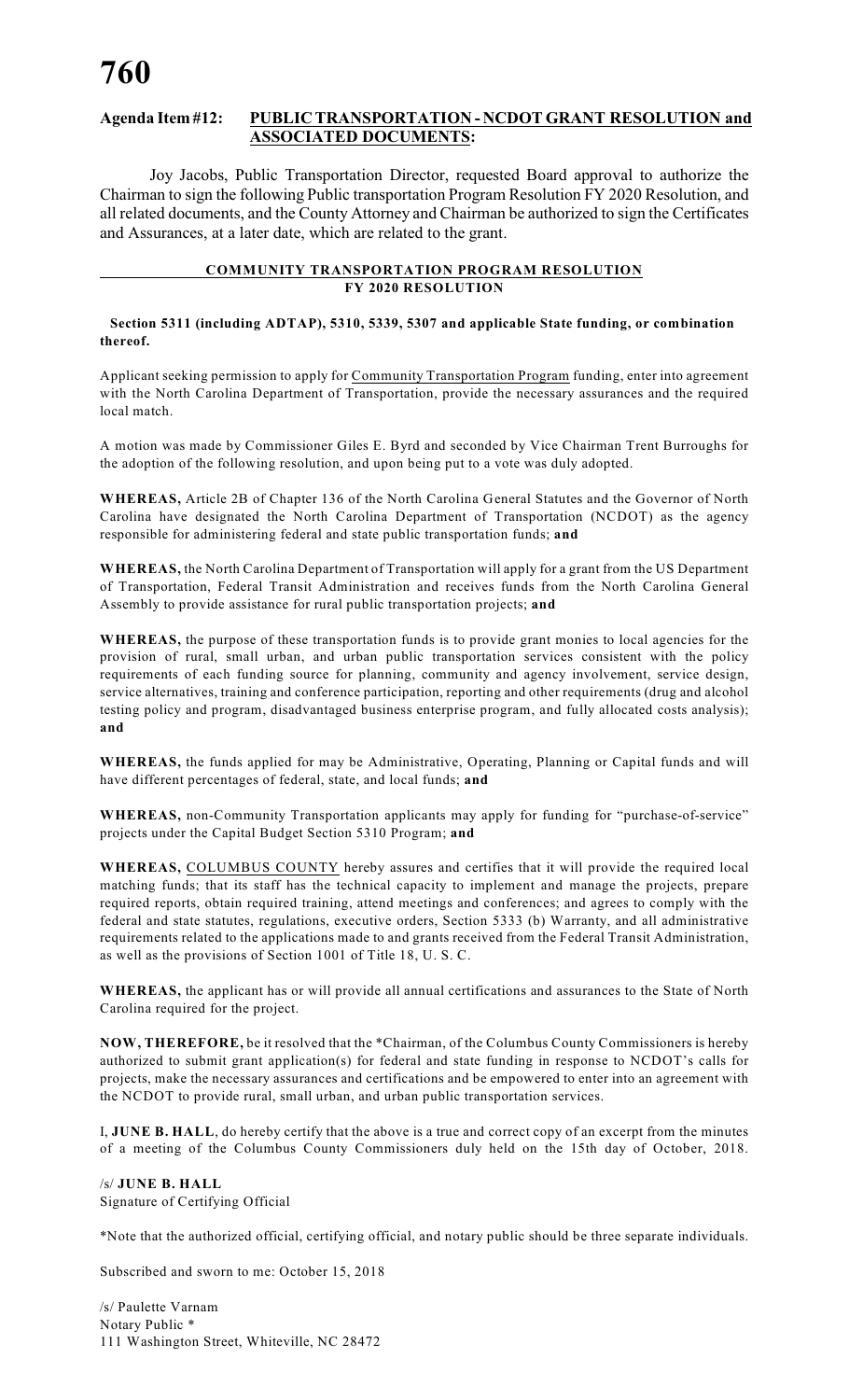# **Agenda Item #12: PUBLICTRANSPORTATION - NCDOT GRANT RESOLUTION and ASSOCIATED DOCUMENTS:**

Joy Jacobs, Public Transportation Director, requested Board approval to authorize the Chairman to sign the following Public transportation Program Resolution FY 2020 Resolution, and all related documents, and the County Attorney and Chairman be authorized to sign the Certificates and Assurances, at a later date, which are related to the grant.

#### **COMMUNITY TRANSPORTATION PROGRAM RESOLUTION FY 2020 RESOLUTION**

#### **Section 5311 (including ADTAP), 5310, 5339, 5307 and applicable State funding, or combination thereof.**

Applicant seeking permission to apply for Community Transportation Program funding, enter into agreement with the North Carolina Department of Transportation, provide the necessary assurances and the required local match.

A motion was made by Commissioner Giles E. Byrd and seconded by Vice Chairman Trent Burroughs for the adoption of the following resolution, and upon being put to a vote was duly adopted.

**WHEREAS,** Article 2B of Chapter 136 of the North Carolina General Statutes and the Governor of North Carolina have designated the North Carolina Department of Transportation (NCDOT) as the agency responsible for administering federal and state public transportation funds; **and**

**WHEREAS,** the North Carolina Department of Transportation will apply for a grant from the US Department of Transportation, Federal Transit Administration and receives funds from the North Carolina General Assembly to provide assistance for rural public transportation projects; **and**

**WHEREAS,** the purpose of these transportation funds is to provide grant monies to local agencies for the provision of rural, small urban, and urban public transportation services consistent with the policy requirements of each funding source for planning, community and agency involvement, service design, service alternatives, training and conference participation, reporting and other requirements (drug and alcohol testing policy and program, disadvantaged business enterprise program, and fully allocated costs analysis); **and**

**WHEREAS,** the funds applied for may be Administrative, Operating, Planning or Capital funds and will have different percentages of federal, state, and local funds; **and**

**WHEREAS,** non-Community Transportation applicants may apply for funding for "purchase-of-service" projects under the Capital Budget Section 5310 Program; **and**

**WHEREAS,** COLUMBUS COUNTY hereby assures and certifies that it will provide the required local matching funds; that its staff has the technical capacity to implement and manage the projects, prepare required reports, obtain required training, attend meetings and conferences; and agrees to comply with the federal and state statutes, regulations, executive orders, Section 5333 (b) Warranty, and all administrative requirements related to the applications made to and grants received from the Federal Transit Administration, as well as the provisions of Section 1001 of Title 18, U. S. C.

**WHEREAS,** the applicant has or will provide all annual certifications and assurances to the State of North Carolina required for the project.

**NOW, THEREFORE,** be it resolved that the \*Chairman, of the Columbus County Commissioners is hereby authorized to submit grant application(s) for federal and state funding in response to NCDOT's calls for projects, make the necessary assurances and certifications and be empowered to enter into an agreement with the NCDOT to provide rural, small urban, and urban public transportation services.

I, **JUNE B. HALL**, do hereby certify that the above is a true and correct copy of an excerpt from the minutes of a meeting of the Columbus County Commissioners duly held on the 15th day of October, 2018.

/s/ **JUNE B. HALL** Signature of Certifying Official

\*Note that the authorized official, certifying official, and notary public should be three separate individuals.

Subscribed and sworn to me: October 15, 2018

/s/ Paulette Varnam Notary Public \* 111 Washington Street, Whiteville, NC 28472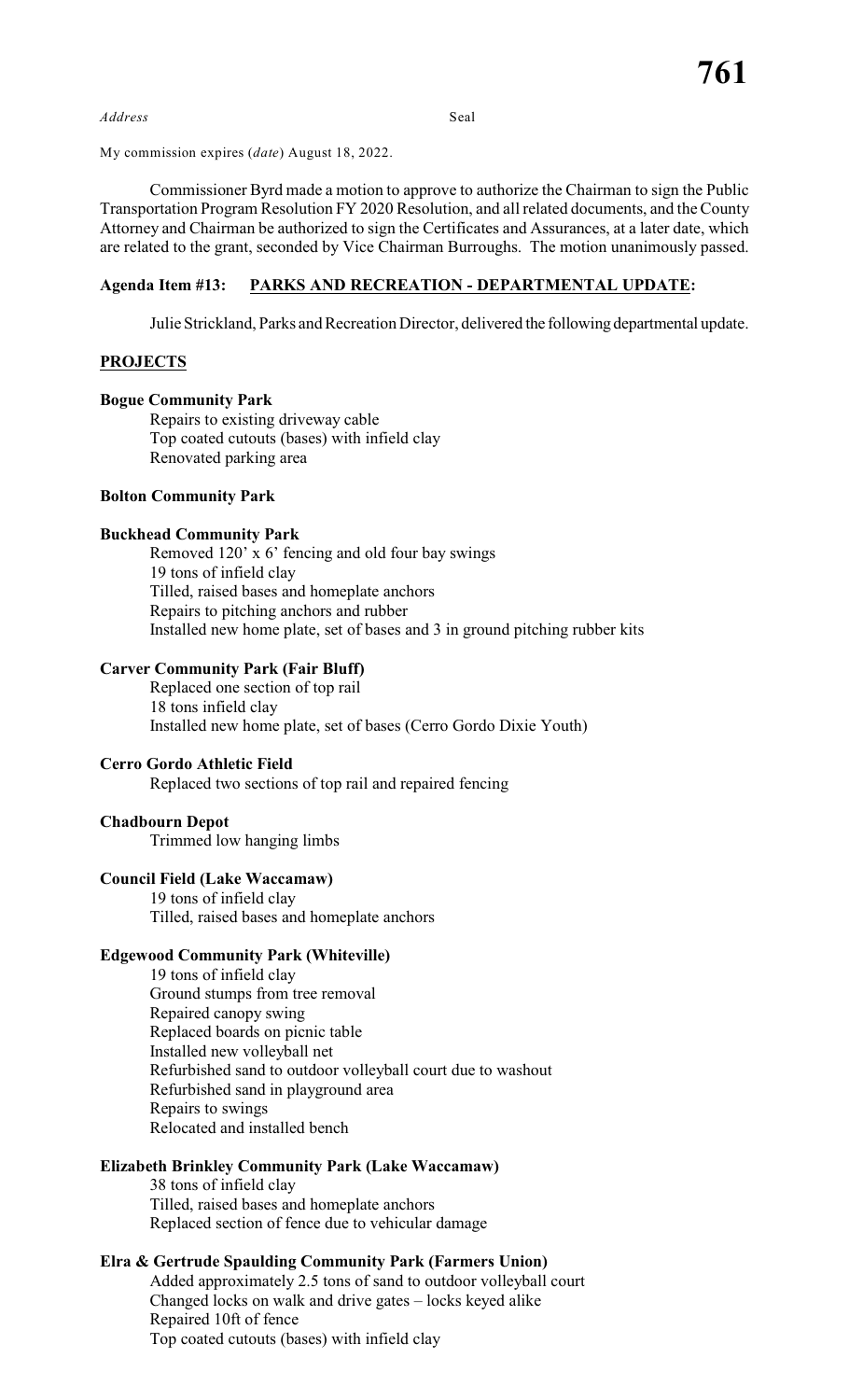*Address* Seal

My commission expires (*date*) August 18, 2022.

Commissioner Byrd made a motion to approve to authorize the Chairman to sign the Public Transportation Program Resolution FY 2020 Resolution, and all related documents, and the County Attorney and Chairman be authorized to sign the Certificates and Assurances, at a later date, which are related to the grant, seconded by Vice Chairman Burroughs. The motion unanimously passed.

### **Agenda Item #13: PARKS AND RECREATION - DEPARTMENTAL UPDATE:**

Julie Strickland, Parks and Recreation Director, delivered the following departmental update.

### **PROJECTS**

#### **Bogue Community Park**

Repairs to existing driveway cable Top coated cutouts (bases) with infield clay Renovated parking area

# **Bolton Community Park**

#### **Buckhead Community Park**

Removed 120' x 6' fencing and old four bay swings 19 tons of infield clay Tilled, raised bases and homeplate anchors Repairs to pitching anchors and rubber Installed new home plate, set of bases and 3 in ground pitching rubber kits

### **Carver Community Park (Fair Bluff)**

Replaced one section of top rail 18 tons infield clay Installed new home plate, set of bases (Cerro Gordo Dixie Youth)

#### **Cerro Gordo Athletic Field**

Replaced two sections of top rail and repaired fencing

#### **Chadbourn Depot**

Trimmed low hanging limbs

# **Council Field (Lake Waccamaw)**

19 tons of infield clay Tilled, raised bases and homeplate anchors

#### **Edgewood Community Park (Whiteville)**

19 tons of infield clay Ground stumps from tree removal Repaired canopy swing Replaced boards on picnic table Installed new volleyball net Refurbished sand to outdoor volleyball court due to washout Refurbished sand in playground area Repairs to swings Relocated and installed bench

# **Elizabeth Brinkley Community Park (Lake Waccamaw)**

38 tons of infield clay Tilled, raised bases and homeplate anchors Replaced section of fence due to vehicular damage

# **Elra & Gertrude Spaulding Community Park (Farmers Union)**

Added approximately 2.5 tons of sand to outdoor volleyball court Changed locks on walk and drive gates – locks keyed alike Repaired 10ft of fence Top coated cutouts (bases) with infield clay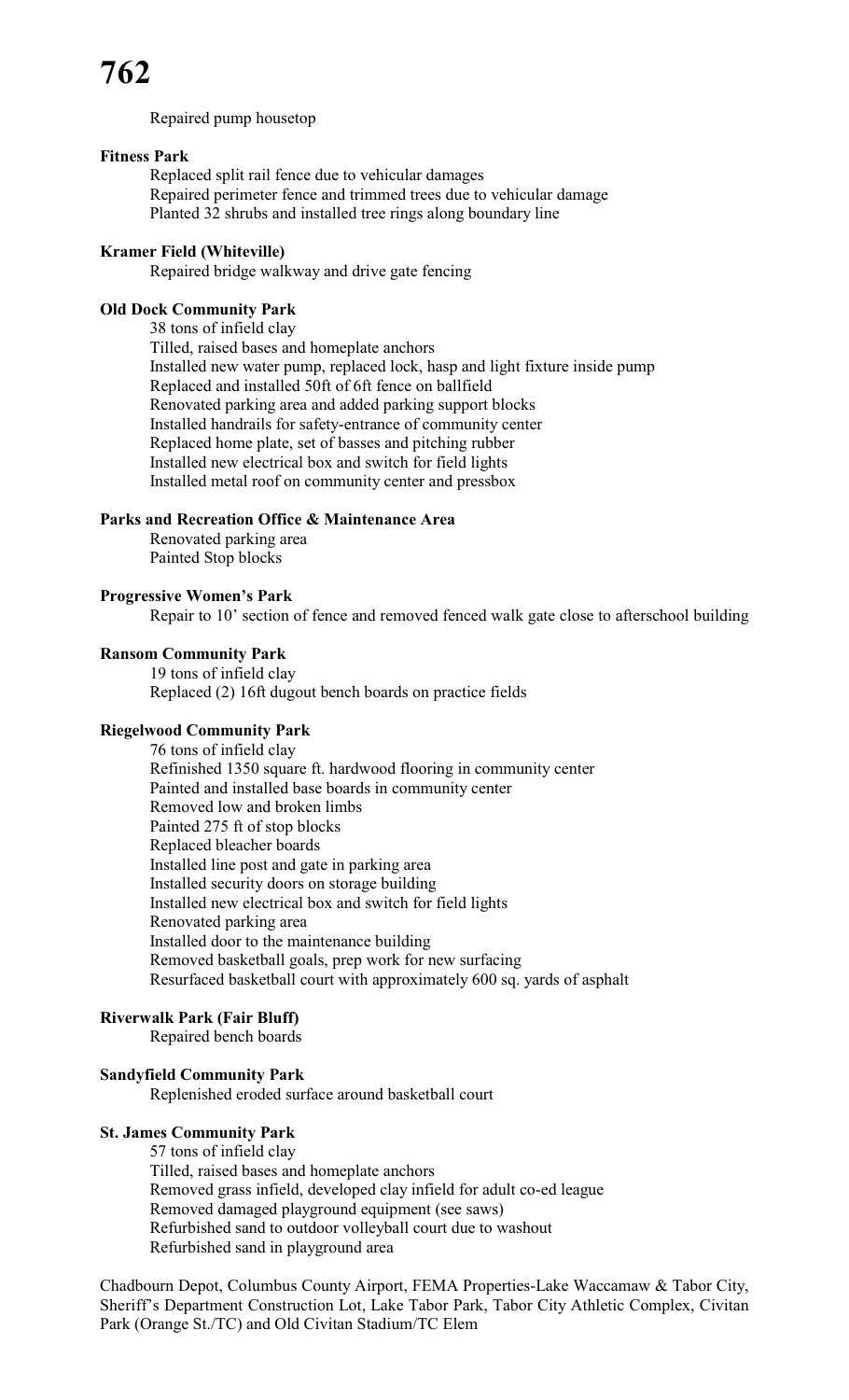Repaired pump housetop

# **Fitness Park**

Replaced split rail fence due to vehicular damages Repaired perimeter fence and trimmed trees due to vehicular damage Planted 32 shrubs and installed tree rings along boundary line

#### **Kramer Field (Whiteville)**

Repaired bridge walkway and drive gate fencing

# **Old Dock Community Park**

38 tons of infield clay Tilled, raised bases and homeplate anchors Installed new water pump, replaced lock, hasp and light fixture inside pump Replaced and installed 50ft of 6ft fence on ballfield Renovated parking area and added parking support blocks Installed handrails for safety-entrance of community center Replaced home plate, set of basses and pitching rubber Installed new electrical box and switch for field lights Installed metal roof on community center and pressbox

## **Parks and Recreation Office & Maintenance Area**

Renovated parking area Painted Stop blocks

### **Progressive Women's Park**

Repair to 10' section of fence and removed fenced walk gate close to afterschool building

# **Ransom Community Park**

19 tons of infield clay Replaced (2) 16ft dugout bench boards on practice fields

# **Riegelwood Community Park**

76 tons of infield clay Refinished 1350 square ft. hardwood flooring in community center Painted and installed base boards in community center Removed low and broken limbs Painted 275 ft of stop blocks Replaced bleacher boards Installed line post and gate in parking area Installed security doors on storage building Installed new electrical box and switch for field lights Renovated parking area Installed door to the maintenance building Removed basketball goals, prep work for new surfacing Resurfaced basketball court with approximately 600 sq. yards of asphalt

### **Riverwalk Park (Fair Bluff)**

Repaired bench boards

# **Sandyfield Community Park**

Replenished eroded surface around basketball court

#### **St. James Community Park**

57 tons of infield clay Tilled, raised bases and homeplate anchors Removed grass infield, developed clay infield for adult co-ed league Removed damaged playground equipment (see saws) Refurbished sand to outdoor volleyball court due to washout Refurbished sand in playground area

Chadbourn Depot, Columbus County Airport, FEMA Properties-Lake Waccamaw & Tabor City, Sheriff's Department Construction Lot, Lake Tabor Park, Tabor City Athletic Complex, Civitan Park (Orange St./TC) and Old Civitan Stadium/TC Elem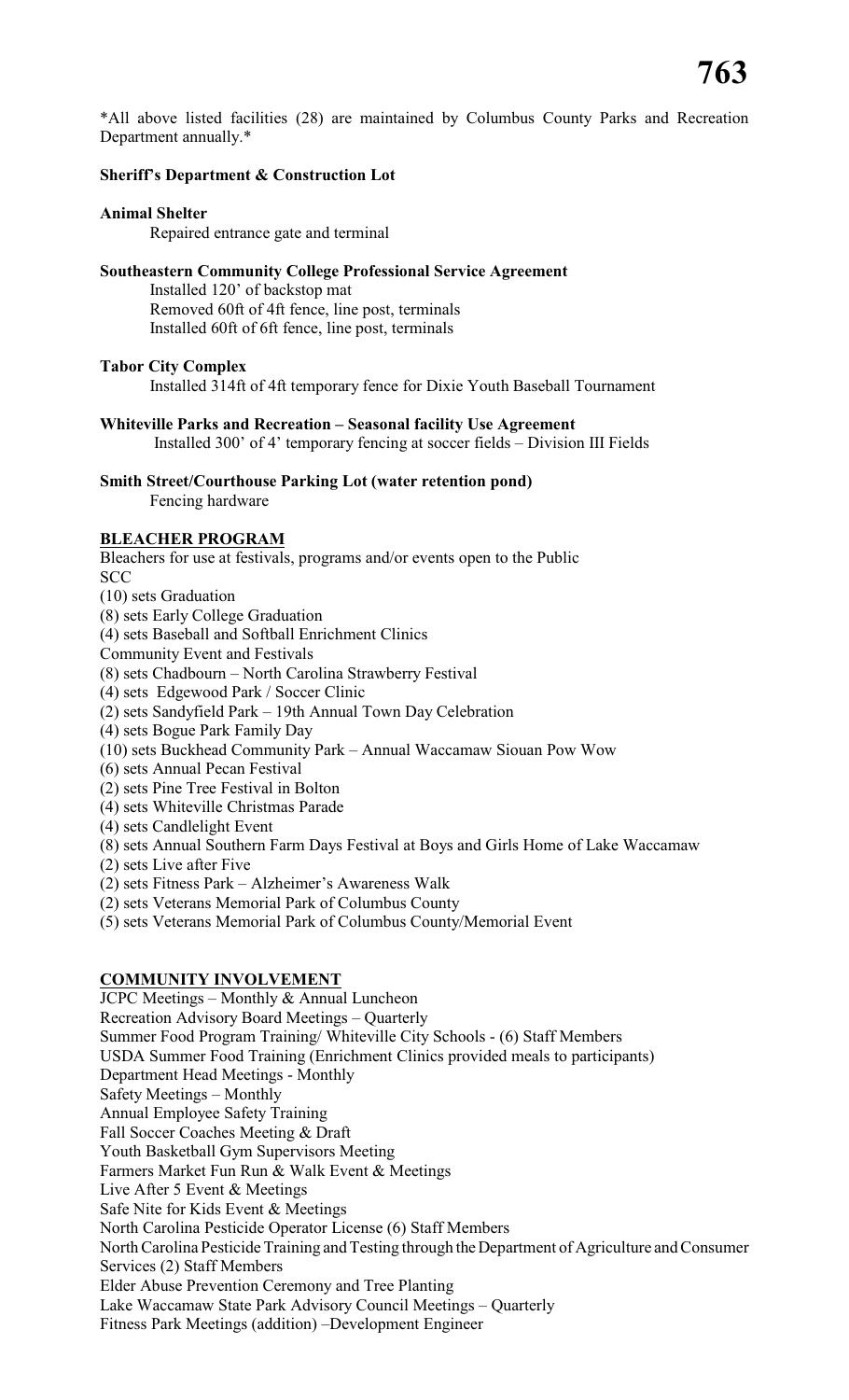# **Sheriff's Department & Construction Lot**

# **Animal Shelter**

Repaired entrance gate and terminal

# **Southeastern Community College Professional Service Agreement**

Installed 120' of backstop mat Removed 60ft of 4ft fence, line post, terminals Installed 60ft of 6ft fence, line post, terminals

# **Tabor City Complex**

Installed 314ft of 4ft temporary fence for Dixie Youth Baseball Tournament

**Whiteville Parks and Recreation – Seasonal facility Use Agreement** Installed 300' of 4' temporary fencing at soccer fields – Division III Fields

**Smith Street/Courthouse Parking Lot (water retention pond)** Fencing hardware

# **BLEACHER PROGRAM**

Bleachers for use at festivals, programs and/or events open to the Public SCC (10) sets Graduation (8) sets Early College Graduation (4) sets Baseball and Softball Enrichment Clinics Community Event and Festivals (8) sets Chadbourn – North Carolina Strawberry Festival (4) sets Edgewood Park / Soccer Clinic (2) sets Sandyfield Park – 19th Annual Town Day Celebration (4) sets Bogue Park Family Day (10) sets Buckhead Community Park – Annual Waccamaw Siouan Pow Wow (6) sets Annual Pecan Festival (2) sets Pine Tree Festival in Bolton (4) sets Whiteville Christmas Parade

(4) sets Candlelight Event

(8) sets Annual Southern Farm Days Festival at Boys and Girls Home of Lake Waccamaw

(2) sets Live after Five

# (2) sets Fitness Park – Alzheimer's Awareness Walk

(2) sets Veterans Memorial Park of Columbus County

(5) sets Veterans Memorial Park of Columbus County/Memorial Event

# **COMMUNITY INVOLVEMENT**

JCPC Meetings – Monthly & Annual Luncheon Recreation Advisory Board Meetings – Quarterly Summer Food Program Training/ Whiteville City Schools - (6) Staff Members USDA Summer Food Training (Enrichment Clinics provided meals to participants) Department Head Meetings - Monthly Safety Meetings – Monthly Annual Employee Safety Training Fall Soccer Coaches Meeting & Draft Youth Basketball Gym Supervisors Meeting Farmers Market Fun Run & Walk Event & Meetings Live After 5 Event & Meetings Safe Nite for Kids Event & Meetings North Carolina Pesticide Operator License (6) Staff Members North Carolina Pesticide Training and Testing through the Department of Agriculture and Consumer Services (2) Staff Members Elder Abuse Prevention Ceremony and Tree Planting Lake Waccamaw State Park Advisory Council Meetings – Quarterly Fitness Park Meetings (addition) –Development Engineer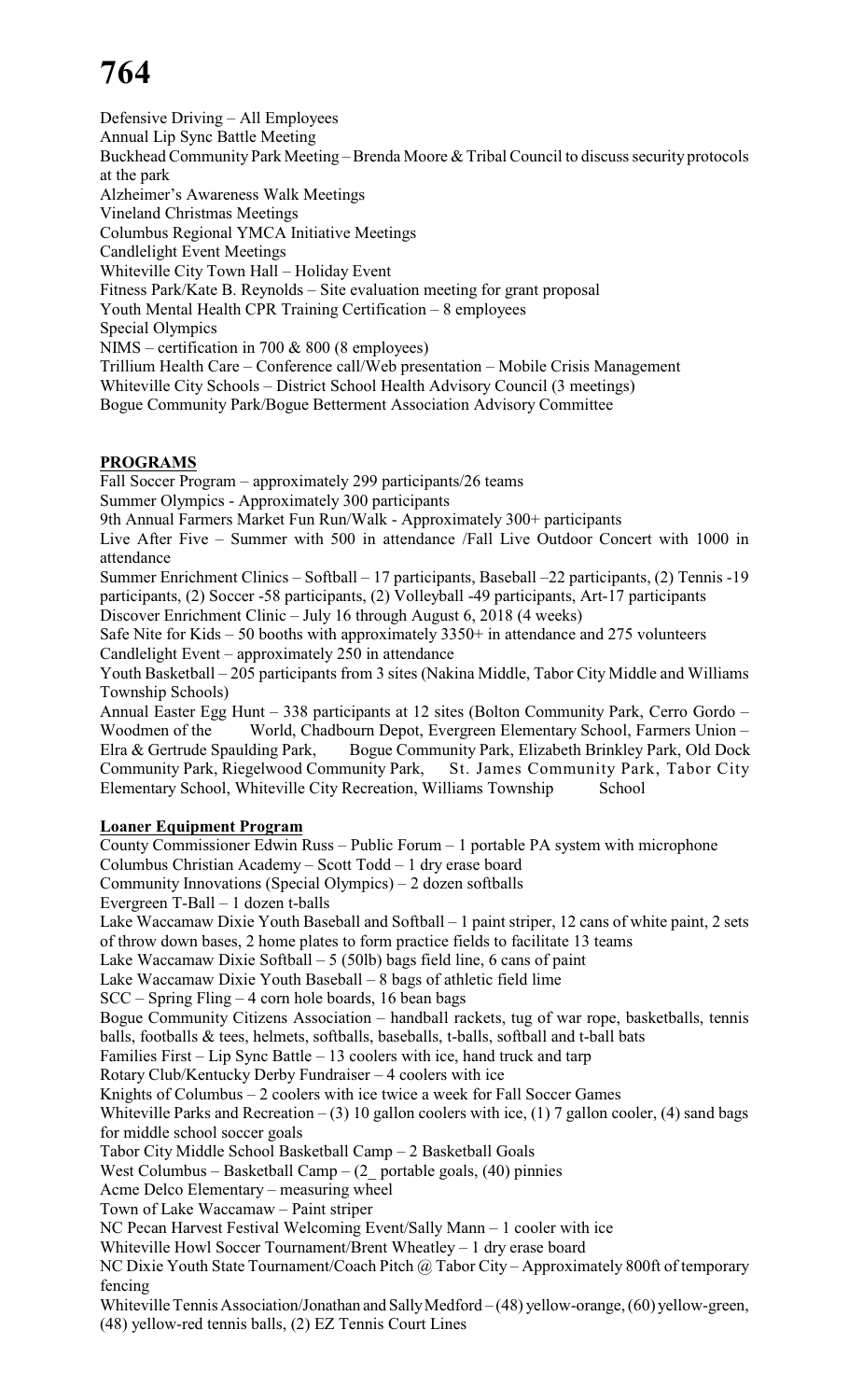Defensive Driving – All Employees Annual Lip Sync Battle Meeting Buckhead Community Park Meeting – Brenda Moore & Tribal Council to discuss security protocols at the park Alzheimer's Awareness Walk Meetings Vineland Christmas Meetings Columbus Regional YMCA Initiative Meetings Candlelight Event Meetings Whiteville City Town Hall – Holiday Event Fitness Park/Kate B. Reynolds – Site evaluation meeting for grant proposal Youth Mental Health CPR Training Certification – 8 employees Special Olympics NIMS – certification in 700 & 800 (8 employees) Trillium Health Care – Conference call/Web presentation – Mobile Crisis Management Whiteville City Schools – District School Health Advisory Council (3 meetings) Bogue Community Park/Bogue Betterment Association Advisory Committee

# **PROGRAMS**

Fall Soccer Program – approximately 299 participants/26 teams

- Summer Olympics Approximately 300 participants
- 9th Annual Farmers Market Fun Run/Walk Approximately 300+ participants

Live After Five – Summer with 500 in attendance /Fall Live Outdoor Concert with 1000 in attendance

Summer Enrichment Clinics – Softball – 17 participants, Baseball –22 participants, (2) Tennis -19 participants, (2) Soccer -58 participants, (2) Volleyball -49 participants, Art-17 participants Discover Enrichment Clinic – July 16 through August 6, 2018 (4 weeks)

Safe Nite for Kids – 50 booths with approximately 3350+ in attendance and 275 volunteers Candlelight Event – approximately 250 in attendance

Youth Basketball – 205 participants from 3 sites (Nakina Middle, Tabor City Middle and Williams Township Schools)

Annual Easter Egg Hunt – 338 participants at 12 sites (Bolton Community Park, Cerro Gordo – Woodmen of the World, Chadbourn Depot, Evergreen Elementary School, Farmers Union – Elra & Gertrude Spaulding Park, Bogue Community Park, Elizabeth Brinkley Park, Old Dock Community Park, Riegelwood Community Park, St. James Community Park, Tabor City Elementary School, Whiteville City Recreation, Williams Township School

# **Loaner Equipment Program**

County Commissioner Edwin Russ – Public Forum – 1 portable PA system with microphone Columbus Christian Academy – Scott Todd – 1 dry erase board Community Innovations (Special Olympics) – 2 dozen softballs Evergreen T-Ball – 1 dozen t-balls Lake Waccamaw Dixie Youth Baseball and Softball – 1 paint striper, 12 cans of white paint, 2 sets of throw down bases, 2 home plates to form practice fields to facilitate 13 teams Lake Waccamaw Dixie Softball  $-5$  (50lb) bags field line, 6 cans of paint Lake Waccamaw Dixie Youth Baseball – 8 bags of athletic field lime SCC – Spring Fling – 4 corn hole boards, 16 bean bags Bogue Community Citizens Association – handball rackets, tug of war rope, basketballs, tennis balls, footballs & tees, helmets, softballs, baseballs, t-balls, softball and t-ball bats Families First – Lip Sync Battle – 13 coolers with ice, hand truck and tarp Rotary Club/Kentucky Derby Fundraiser – 4 coolers with ice Knights of Columbus – 2 coolers with ice twice a week for Fall Soccer Games Whiteville Parks and Recreation – (3) 10 gallon coolers with ice, (1) 7 gallon cooler, (4) sand bags for middle school soccer goals Tabor City Middle School Basketball Camp – 2 Basketball Goals West Columbus – Basketball Camp –  $(2 \text{portable goals}, (40) \text{pinnies})$ Acme Delco Elementary – measuring wheel Town of Lake Waccamaw – Paint striper NC Pecan Harvest Festival Welcoming Event/Sally Mann – 1 cooler with ice Whiteville Howl Soccer Tournament/Brent Wheatley – 1 dry erase board NC Dixie Youth State Tournament/Coach Pitch @ Tabor City – Approximately 800ft of temporary fencing Whiteville Tennis Association/Jonathan and Sally Medford – (48) yellow-orange, (60) yellow-green,

(48) yellow-red tennis balls, (2) EZ Tennis Court Lines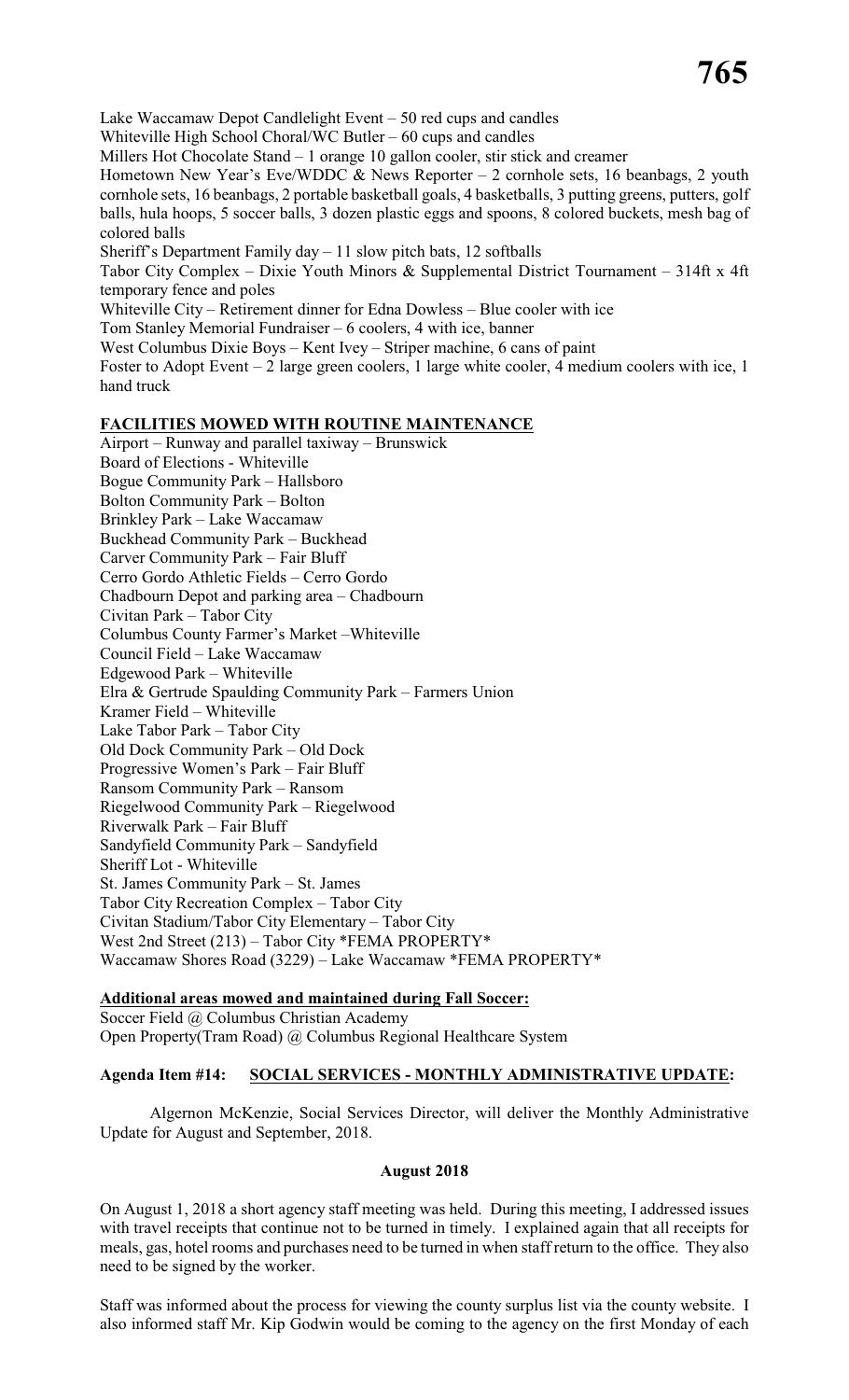Lake Waccamaw Depot Candlelight Event – 50 red cups and candles Whiteville High School Choral/WC Butler – 60 cups and candles Millers Hot Chocolate Stand – 1 orange 10 gallon cooler, stir stick and creamer Hometown New Year's Eve/WDDC  $&$  News Reporter - 2 cornhole sets, 16 beanbags, 2 youth cornhole sets, 16 beanbags, 2 portable basketball goals, 4 basketballs, 3 putting greens, putters, golf balls, hula hoops, 5 soccer balls, 3 dozen plastic eggs and spoons, 8 colored buckets, mesh bag of colored balls Sheriff's Department Family  $day - 11$  slow pitch bats, 12 softballs Tabor City Complex – Dixie Youth Minors & Supplemental District Tournament – 314ft x 4ft temporary fence and poles Whiteville City – Retirement dinner for Edna Dowless – Blue cooler with ice Tom Stanley Memorial Fundraiser – 6 coolers, 4 with ice, banner West Columbus Dixie Boys – Kent Ivey – Striper machine, 6 cans of paint Foster to Adopt Event – 2 large green coolers, 1 large white cooler, 4 medium coolers with ice, 1 hand truck

### **FACILITIES MOWED WITH ROUTINE MAINTENANCE**

Airport – Runway and parallel taxiway – Brunswick Board of Elections - Whiteville Bogue Community Park – Hallsboro Bolton Community Park – Bolton Brinkley Park – Lake Waccamaw Buckhead Community Park – Buckhead Carver Community Park – Fair Bluff Cerro Gordo Athletic Fields – Cerro Gordo Chadbourn Depot and parking area – Chadbourn Civitan Park – Tabor City Columbus County Farmer's Market –Whiteville Council Field – Lake Waccamaw Edgewood Park – Whiteville Elra & Gertrude Spaulding Community Park – Farmers Union Kramer Field – Whiteville Lake Tabor Park – Tabor City Old Dock Community Park – Old Dock Progressive Women's Park – Fair Bluff Ransom Community Park – Ransom Riegelwood Community Park – Riegelwood Riverwalk Park – Fair Bluff Sandyfield Community Park – Sandyfield Sheriff Lot - Whiteville St. James Community Park – St. James Tabor City Recreation Complex – Tabor City Civitan Stadium/Tabor City Elementary – Tabor City West 2nd Street (213) – Tabor City \*FEMA PROPERTY\* Waccamaw Shores Road (3229) – Lake Waccamaw \*FEMA PROPERTY\*

# **Additional areas mowed and maintained during Fall Soccer:**

Soccer Field @ Columbus Christian Academy Open Property(Tram Road) @ Columbus Regional Healthcare System

# **Agenda Item #14: SOCIAL SERVICES - MONTHLY ADMINISTRATIVE UPDATE:**

Algernon McKenzie, Social Services Director, will deliver the Monthly Administrative Update for August and September, 2018.

#### **August 2018**

On August 1, 2018 a short agency staff meeting was held. During this meeting, I addressed issues with travel receipts that continue not to be turned in timely. I explained again that all receipts for meals, gas, hotel rooms and purchases need to be turned in when staff return to the office. They also need to be signed by the worker.

Staff was informed about the process for viewing the county surplus list via the county website. I also informed staff Mr. Kip Godwin would be coming to the agency on the first Monday of each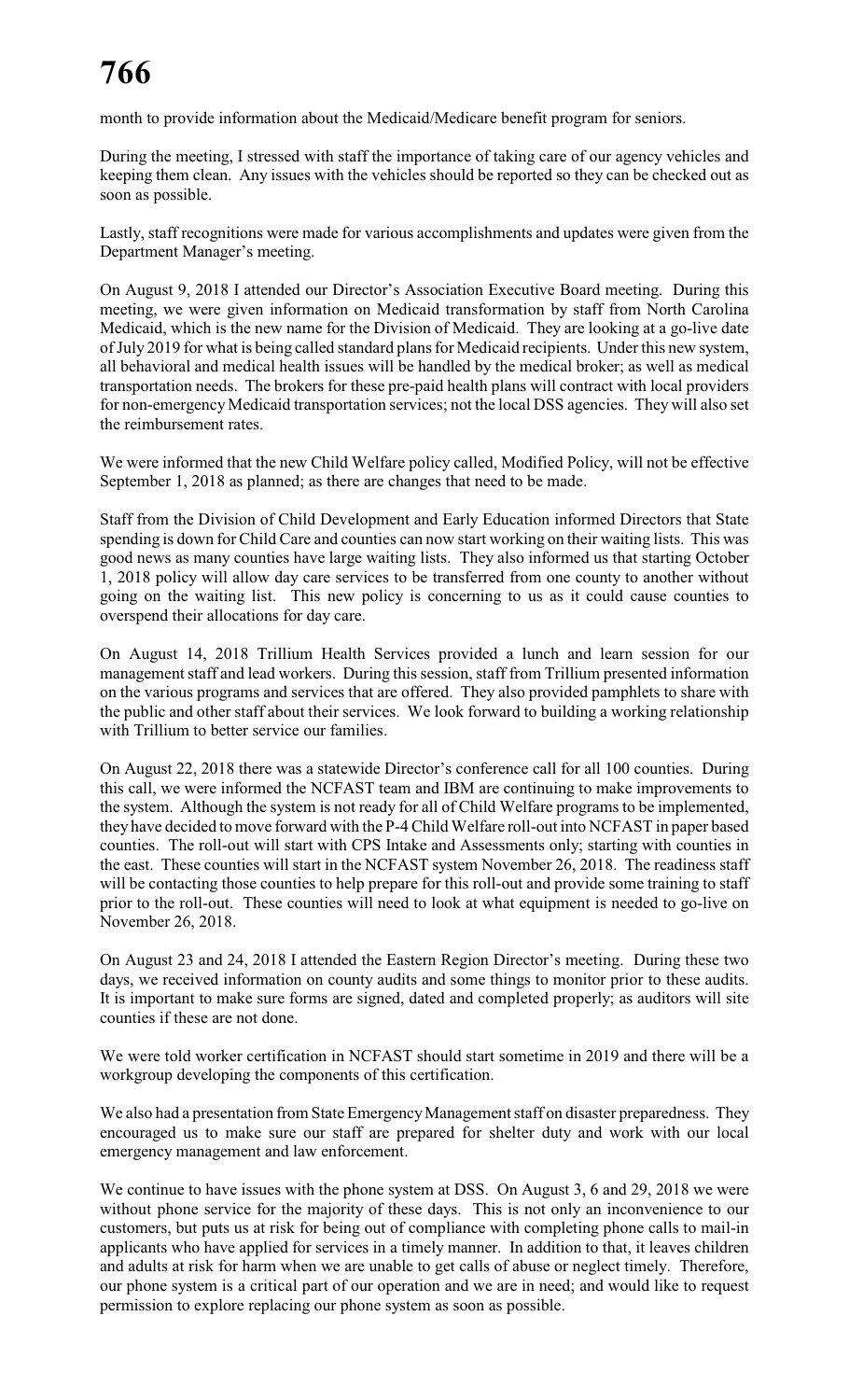month to provide information about the Medicaid/Medicare benefit program for seniors.

During the meeting, I stressed with staff the importance of taking care of our agency vehicles and keeping them clean. Any issues with the vehicles should be reported so they can be checked out as soon as possible.

Lastly, staff recognitions were made for various accomplishments and updates were given from the Department Manager's meeting.

On August 9, 2018 I attended our Director's Association Executive Board meeting. During this meeting, we were given information on Medicaid transformation by staff from North Carolina Medicaid, which is the new name for the Division of Medicaid. They are looking at a go-live date of July 2019 for what is being called standard plans for Medicaid recipients. Under this new system, all behavioral and medical health issues will be handled by the medical broker; as well as medical transportation needs. The brokers for these pre-paid health plans will contract with local providers for non-emergency Medicaid transportation services; not the local DSS agencies. They will also set the reimbursement rates.

We were informed that the new Child Welfare policy called, Modified Policy, will not be effective September 1, 2018 as planned; as there are changes that need to be made.

Staff from the Division of Child Development and Early Education informed Directors that State spending is down for Child Care and counties can now start working on their waiting lists. This was good news as many counties have large waiting lists. They also informed us that starting October 1, 2018 policy will allow day care services to be transferred from one county to another without going on the waiting list. This new policy is concerning to us as it could cause counties to overspend their allocations for day care.

On August 14, 2018 Trillium Health Services provided a lunch and learn session for our management staff and lead workers. During this session, staff from Trillium presented information on the various programs and services that are offered. They also provided pamphlets to share with the public and other staff about their services. We look forward to building a working relationship with Trillium to better service our families.

On August 22, 2018 there was a statewide Director's conference call for all 100 counties. During this call, we were informed the NCFAST team and IBM are continuing to make improvements to the system. Although the system is not ready for all of Child Welfare programs to be implemented, they have decided to move forward with the P-4 Child Welfare roll-out into NCFAST in paper based counties. The roll-out will start with CPS Intake and Assessments only; starting with counties in the east. These counties will start in the NCFAST system November 26, 2018. The readiness staff will be contacting those counties to help prepare for this roll-out and provide some training to staff prior to the roll-out. These counties will need to look at what equipment is needed to go-live on November 26, 2018.

On August 23 and 24, 2018 I attended the Eastern Region Director's meeting. During these two days, we received information on county audits and some things to monitor prior to these audits. It is important to make sure forms are signed, dated and completed properly; as auditors will site counties if these are not done.

We were told worker certification in NCFAST should start sometime in 2019 and there will be a workgroup developing the components of this certification.

We also had a presentation from State EmergencyManagement staff on disaster preparedness. They encouraged us to make sure our staff are prepared for shelter duty and work with our local emergency management and law enforcement.

We continue to have issues with the phone system at DSS. On August 3, 6 and 29, 2018 we were without phone service for the majority of these days. This is not only an inconvenience to our customers, but puts us at risk for being out of compliance with completing phone calls to mail-in applicants who have applied for services in a timely manner. In addition to that, it leaves children and adults at risk for harm when we are unable to get calls of abuse or neglect timely. Therefore, our phone system is a critical part of our operation and we are in need; and would like to request permission to explore replacing our phone system as soon as possible.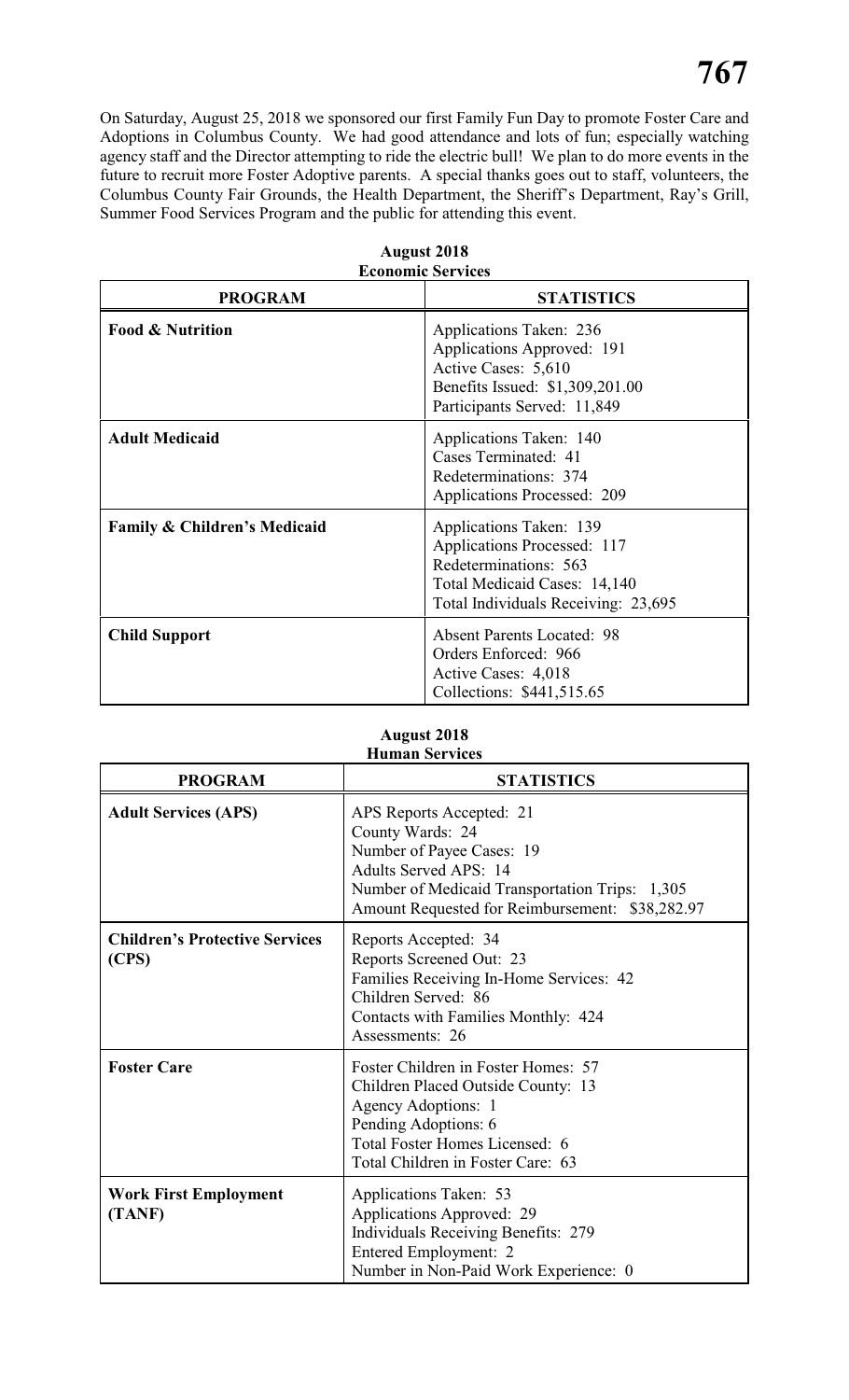On Saturday, August 25, 2018 we sponsored our first Family Fun Day to promote Foster Care and Adoptions in Columbus County. We had good attendance and lots of fun; especially watching agency staff and the Director attempting to ride the electric bull! We plan to do more events in the future to recruit more Foster Adoptive parents. A special thanks goes out to staff, volunteers, the Columbus County Fair Grounds, the Health Department, the Sheriff's Department, Ray's Grill, Summer Food Services Program and the public for attending this event.

| <b>Economic Services</b>     |                                                                                                                                                        |  |  |  |
|------------------------------|--------------------------------------------------------------------------------------------------------------------------------------------------------|--|--|--|
| <b>PROGRAM</b>               | <b>STATISTICS</b>                                                                                                                                      |  |  |  |
| <b>Food &amp; Nutrition</b>  | Applications Taken: 236<br>Applications Approved: 191<br>Active Cases: 5,610<br>Benefits Issued: \$1,309,201.00<br>Participants Served: 11,849         |  |  |  |
| <b>Adult Medicaid</b>        | Applications Taken: 140<br>Cases Terminated: 41<br>Redeterminations: 374<br><b>Applications Processed: 209</b>                                         |  |  |  |
| Family & Children's Medicaid | Applications Taken: 139<br>Applications Processed: 117<br>Redeterminations: 563<br>Total Medicaid Cases: 14,140<br>Total Individuals Receiving: 23,695 |  |  |  |
| <b>Child Support</b>         | <b>Absent Parents Located: 98</b><br>Orders Enforced: 966<br>Active Cases: 4,018<br>Collections: \$441,515.65                                          |  |  |  |

# **August 2018 Economic Services**

#### **August 2018 Human Services**

| <b>PROGRAM</b>                                 | <b>STATISTICS</b>                                                                                                                                                                                              |
|------------------------------------------------|----------------------------------------------------------------------------------------------------------------------------------------------------------------------------------------------------------------|
| <b>Adult Services (APS)</b>                    | APS Reports Accepted: 21<br>County Wards: 24<br>Number of Payee Cases: 19<br><b>Adults Served APS: 14</b><br>Number of Medicaid Transportation Trips: 1,305<br>Amount Requested for Reimbursement: \$38,282.97 |
| <b>Children's Protective Services</b><br>(CPS) | Reports Accepted: 34<br>Reports Screened Out: 23<br>Families Receiving In-Home Services: 42<br>Children Served: 86<br>Contacts with Families Monthly: 424<br>Assessments: 26                                   |
| <b>Foster Care</b>                             | Foster Children in Foster Homes: 57<br>Children Placed Outside County: 13<br>Agency Adoptions: 1<br>Pending Adoptions: 6<br>Total Foster Homes Licensed: 6<br>Total Children in Foster Care: 63                |
| <b>Work First Employment</b><br>(TANF)         | Applications Taken: 53<br>Applications Approved: 29<br>Individuals Receiving Benefits: 279<br>Entered Employment: 2<br>Number in Non-Paid Work Experience: 0                                                   |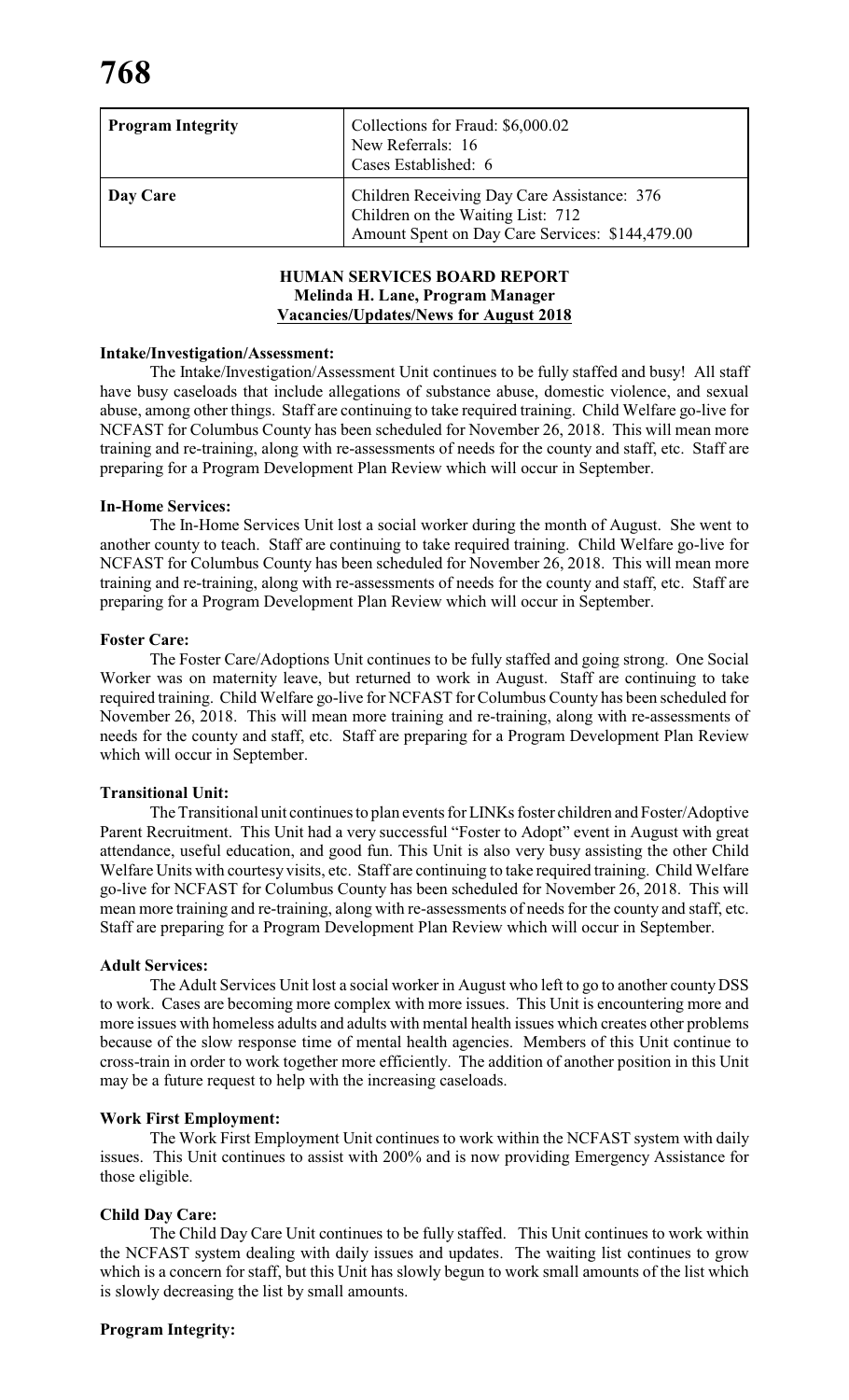| <b>Program Integrity</b> | Collections for Fraud: \$6,000.02<br>New Referrals: 16<br>Cases Established: 6                                                      |
|--------------------------|-------------------------------------------------------------------------------------------------------------------------------------|
| Day Care                 | Children Receiving Day Care Assistance: 376<br>Children on the Waiting List: 712<br>Amount Spent on Day Care Services: \$144,479.00 |

# **HUMAN SERVICES BOARD REPORT Melinda H. Lane, Program Manager Vacancies/Updates/News for August 2018**

## **Intake/Investigation/Assessment:**

The Intake/Investigation/Assessment Unit continues to be fully staffed and busy! All staff have busy caseloads that include allegations of substance abuse, domestic violence, and sexual abuse, among other things. Staff are continuing to take required training. Child Welfare go-live for NCFAST for Columbus County has been scheduled for November 26, 2018. This will mean more training and re-training, along with re-assessments of needs for the county and staff, etc. Staff are preparing for a Program Development Plan Review which will occur in September.

### **In-Home Services:**

The In-Home Services Unit lost a social worker during the month of August. She went to another county to teach. Staff are continuing to take required training. Child Welfare go-live for NCFAST for Columbus County has been scheduled for November 26, 2018. This will mean more training and re-training, along with re-assessments of needs for the county and staff, etc. Staff are preparing for a Program Development Plan Review which will occur in September.

### **Foster Care:**

The Foster Care/Adoptions Unit continues to be fully staffed and going strong. One Social Worker was on maternity leave, but returned to work in August. Staff are continuing to take required training. Child Welfare go-live for NCFAST for Columbus County has been scheduled for November 26, 2018. This will mean more training and re-training, along with re-assessments of needs for the county and staff, etc. Staff are preparing for a Program Development Plan Review which will occur in September.

#### **Transitional Unit:**

The Transitional unit continues to plan events forLINKs foster children and Foster/Adoptive Parent Recruitment. This Unit had a very successful "Foster to Adopt" event in August with great attendance, useful education, and good fun. This Unit is also very busy assisting the other Child Welfare Units with courtesy visits, etc. Staff are continuing to take required training. Child Welfare go-live for NCFAST for Columbus County has been scheduled for November 26, 2018. This will mean more training and re-training, along with re-assessments of needs for the county and staff, etc. Staff are preparing for a Program Development Plan Review which will occur in September.

#### **Adult Services:**

The Adult Services Unit lost a social worker in August who left to go to another county DSS to work. Cases are becoming more complex with more issues. This Unit is encountering more and more issues with homeless adults and adults with mental health issues which creates other problems because of the slow response time of mental health agencies. Members of this Unit continue to cross-train in order to work together more efficiently. The addition of another position in this Unit may be a future request to help with the increasing caseloads.

#### **Work First Employment:**

The Work First Employment Unit continues to work within the NCFAST system with daily issues. This Unit continues to assist with 200% and is now providing Emergency Assistance for those eligible.

# **Child Day Care:**

The Child Day Care Unit continues to be fully staffed. This Unit continues to work within the NCFAST system dealing with daily issues and updates. The waiting list continues to grow which is a concern for staff, but this Unit has slowly begun to work small amounts of the list which is slowly decreasing the list by small amounts.

# **Program Integrity:**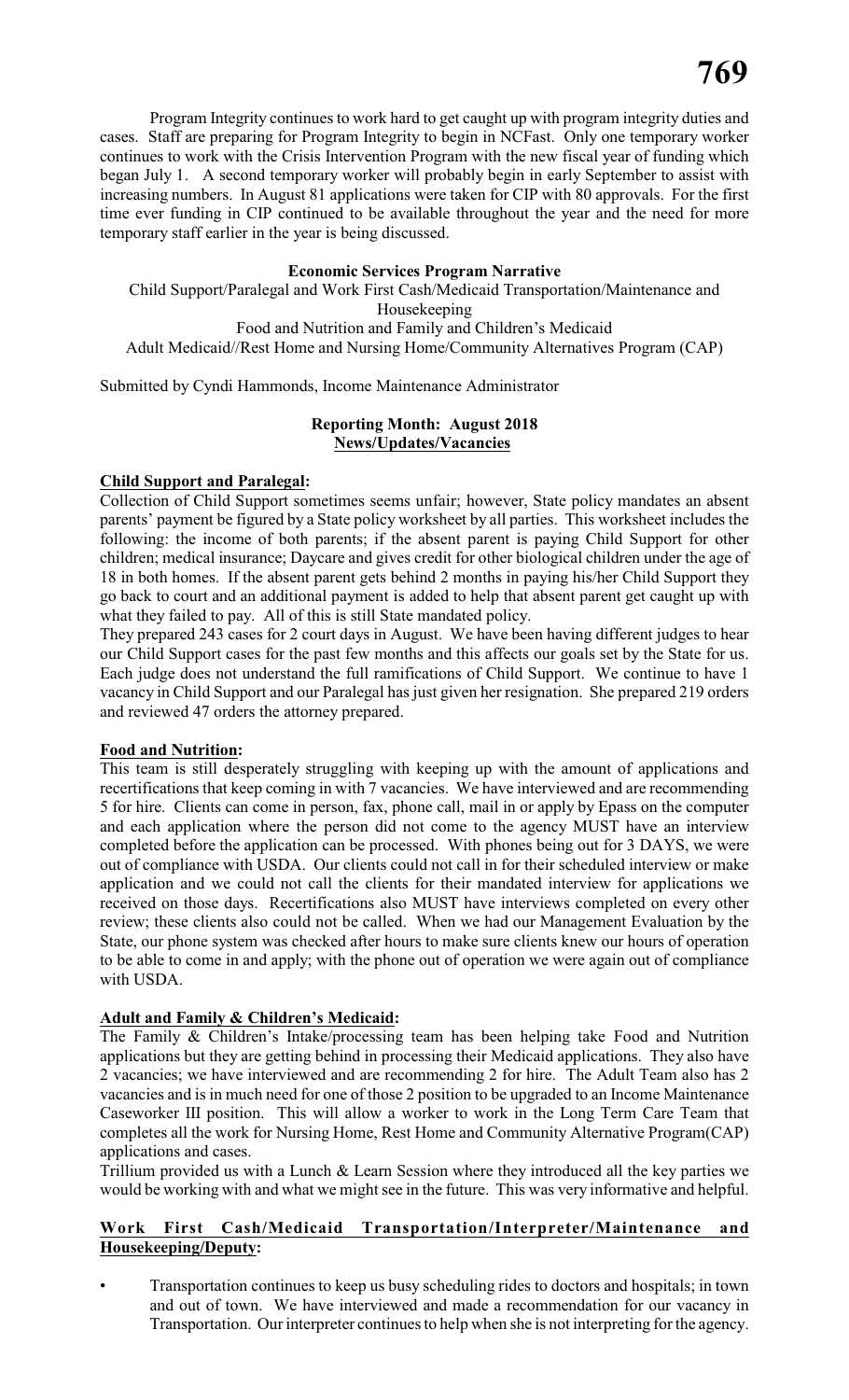Program Integrity continues to work hard to get caught up with program integrity duties and cases. Staff are preparing for Program Integrity to begin in NCFast. Only one temporary worker continues to work with the Crisis Intervention Program with the new fiscal year of funding which began July 1. A second temporary worker will probably begin in early September to assist with increasing numbers. In August 81 applications were taken for CIP with 80 approvals. For the first time ever funding in CIP continued to be available throughout the year and the need for more temporary staff earlier in the year is being discussed.

# **Economic Services Program Narrative**

Child Support/Paralegal and Work First Cash/Medicaid Transportation/Maintenance and Housekeeping Food and Nutrition and Family and Children's Medicaid Adult Medicaid//Rest Home and Nursing Home/Community Alternatives Program (CAP)

Submitted by Cyndi Hammonds, Income Maintenance Administrator

# **Reporting Month: August 2018 News/Updates/Vacancies**

### **Child Support and Paralegal:**

Collection of Child Support sometimes seems unfair; however, State policy mandates an absent parents' payment be figured by a State policy worksheet by all parties. This worksheet includes the following: the income of both parents; if the absent parent is paying Child Support for other children; medical insurance; Daycare and gives credit for other biological children under the age of 18 in both homes. If the absent parent gets behind 2 months in paying his/her Child Support they go back to court and an additional payment is added to help that absent parent get caught up with what they failed to pay. All of this is still State mandated policy.

They prepared 243 cases for 2 court days in August. We have been having different judges to hear our Child Support cases for the past few months and this affects our goals set by the State for us. Each judge does not understand the full ramifications of Child Support. We continue to have 1 vacancy in Child Support and our Paralegal has just given her resignation. She prepared 219 orders and reviewed 47 orders the attorney prepared.

# **Food and Nutrition:**

This team is still desperately struggling with keeping up with the amount of applications and recertifications that keep coming in with 7 vacancies. We have interviewed and are recommending 5 for hire. Clients can come in person, fax, phone call, mail in or apply by Epass on the computer and each application where the person did not come to the agency MUST have an interview completed before the application can be processed. With phones being out for 3 DAYS, we were out of compliance with USDA. Our clients could not call in for their scheduled interview or make application and we could not call the clients for their mandated interview for applications we received on those days. Recertifications also MUST have interviews completed on every other review; these clients also could not be called. When we had our Management Evaluation by the State, our phone system was checked after hours to make sure clients knew our hours of operation to be able to come in and apply; with the phone out of operation we were again out of compliance with USDA.

# **Adult and Family & Children's Medicaid:**

The Family & Children's Intake/processing team has been helping take Food and Nutrition applications but they are getting behind in processing their Medicaid applications. They also have 2 vacancies; we have interviewed and are recommending 2 for hire. The Adult Team also has 2 vacancies and is in much need for one of those 2 position to be upgraded to an Income Maintenance Caseworker III position. This will allow a worker to work in the Long Term Care Team that completes all the work for Nursing Home, Rest Home and Community Alternative Program(CAP) applications and cases.

Trillium provided us with a Lunch  $\&$  Learn Session where they introduced all the key parties we would be working with and what we might see in the future. This was very informative and helpful.

# **Work First Cash/Medicaid Transportation/Interpreter/Maintenance and Housekeeping/Deputy:**

• Transportation continues to keep us busy scheduling rides to doctors and hospitals; in town and out of town. We have interviewed and made a recommendation for our vacancy in Transportation. Our interpreter continues to help when she is not interpreting for the agency.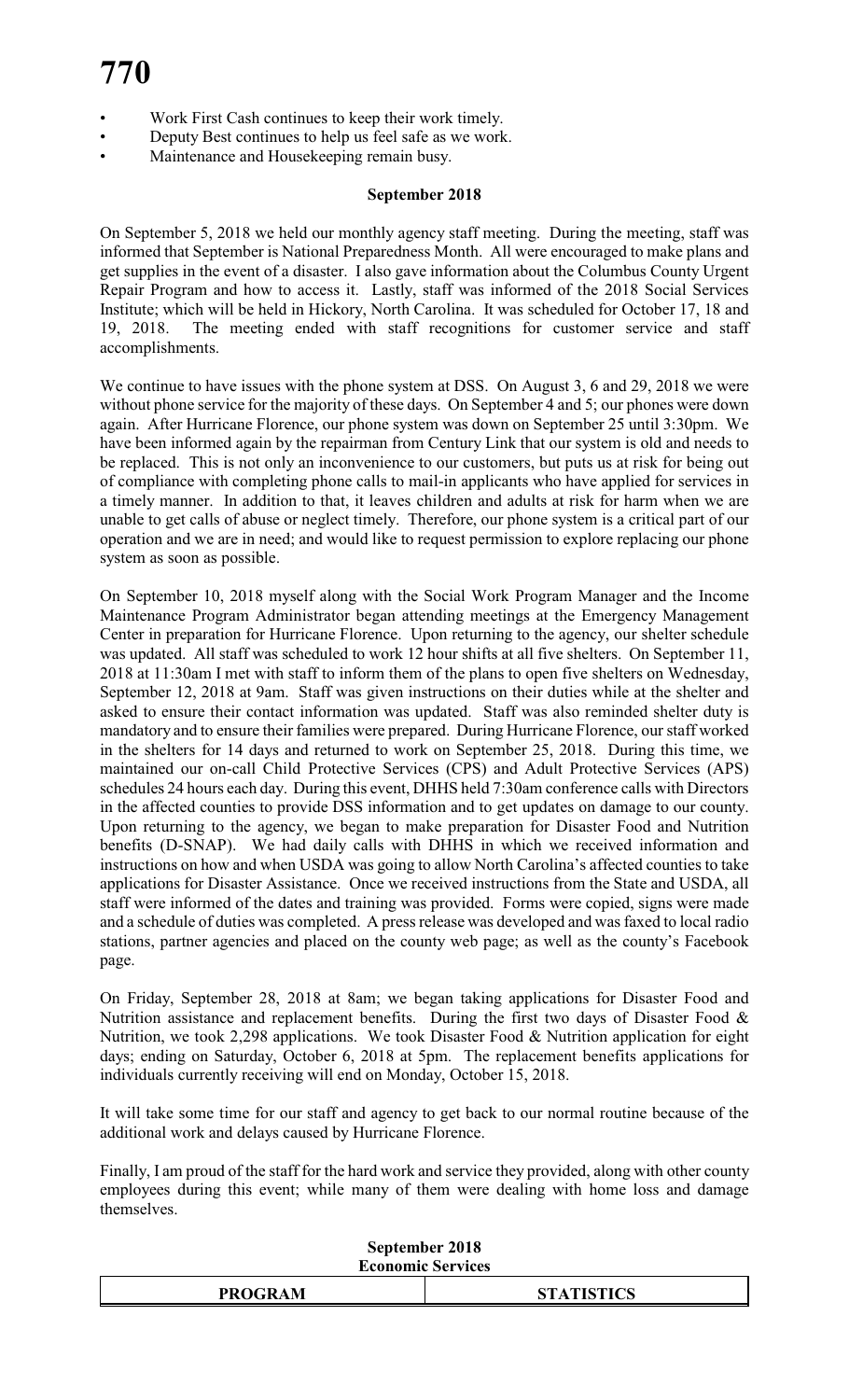- Work First Cash continues to keep their work timely.
- Deputy Best continues to help us feel safe as we work.
- Maintenance and Housekeeping remain busy.

# **September 2018**

On September 5, 2018 we held our monthly agency staff meeting. During the meeting, staff was informed that September is National Preparedness Month. All were encouraged to make plans and get supplies in the event of a disaster. I also gave information about the Columbus County Urgent Repair Program and how to access it. Lastly, staff was informed of the 2018 Social Services Institute; which will be held in Hickory, North Carolina. It was scheduled for October 17, 18 and 19, 2018. The meeting ended with staff recognitions for customer service and staff accomplishments.

We continue to have issues with the phone system at DSS. On August 3, 6 and 29, 2018 we were without phone service for the majority of these days. On September 4 and 5; our phones were down again. After Hurricane Florence, our phone system was down on September 25 until 3:30pm. We have been informed again by the repairman from Century Link that our system is old and needs to be replaced. This is not only an inconvenience to our customers, but puts us at risk for being out of compliance with completing phone calls to mail-in applicants who have applied for services in a timely manner. In addition to that, it leaves children and adults at risk for harm when we are unable to get calls of abuse or neglect timely. Therefore, our phone system is a critical part of our operation and we are in need; and would like to request permission to explore replacing our phone system as soon as possible.

On September 10, 2018 myself along with the Social Work Program Manager and the Income Maintenance Program Administrator began attending meetings at the Emergency Management Center in preparation for Hurricane Florence. Upon returning to the agency, our shelter schedule was updated. All staff was scheduled to work 12 hour shifts at all five shelters. On September 11, 2018 at 11:30am I met with staff to inform them of the plans to open five shelters on Wednesday, September 12, 2018 at 9am. Staff was given instructions on their duties while at the shelter and asked to ensure their contact information was updated. Staff was also reminded shelter duty is mandatory and to ensure their families were prepared. During Hurricane Florence, our staff worked in the shelters for 14 days and returned to work on September 25, 2018. During this time, we maintained our on-call Child Protective Services (CPS) and Adult Protective Services (APS) schedules 24 hours each day. During this event, DHHS held 7:30am conference calls with Directors in the affected counties to provide DSS information and to get updates on damage to our county. Upon returning to the agency, we began to make preparation for Disaster Food and Nutrition benefits (D-SNAP). We had daily calls with DHHS in which we received information and instructions on how and when USDA was going to allow North Carolina's affected counties to take applications for Disaster Assistance. Once we received instructions from the State and USDA, all staff were informed of the dates and training was provided. Forms were copied, signs were made and a schedule of duties was completed. A press release was developed and was faxed to local radio stations, partner agencies and placed on the county web page; as well as the county's Facebook page.

On Friday, September 28, 2018 at 8am; we began taking applications for Disaster Food and Nutrition assistance and replacement benefits. During the first two days of Disaster Food & Nutrition, we took 2,298 applications. We took Disaster Food & Nutrition application for eight days; ending on Saturday, October 6, 2018 at 5pm. The replacement benefits applications for individuals currently receiving will end on Monday, October 15, 2018.

It will take some time for our staff and agency to get back to our normal routine because of the additional work and delays caused by Hurricane Florence.

Finally, I am proud of the staff for the hard work and service they provided, along with other county employees during this event; while many of them were dealing with home loss and damage themselves.

| September 2018           |
|--------------------------|
| <b>Economic Services</b> |

|                | .                                                                                          |
|----------------|--------------------------------------------------------------------------------------------|
| <b>PROGRAM</b> | $C_{\mathbf{T}}$ and $T_{\mathbf{T}}$ and $C_{\mathbf{T}}$<br>$\mathbf{I} \cup \mathbf{U}$ |
|                |                                                                                            |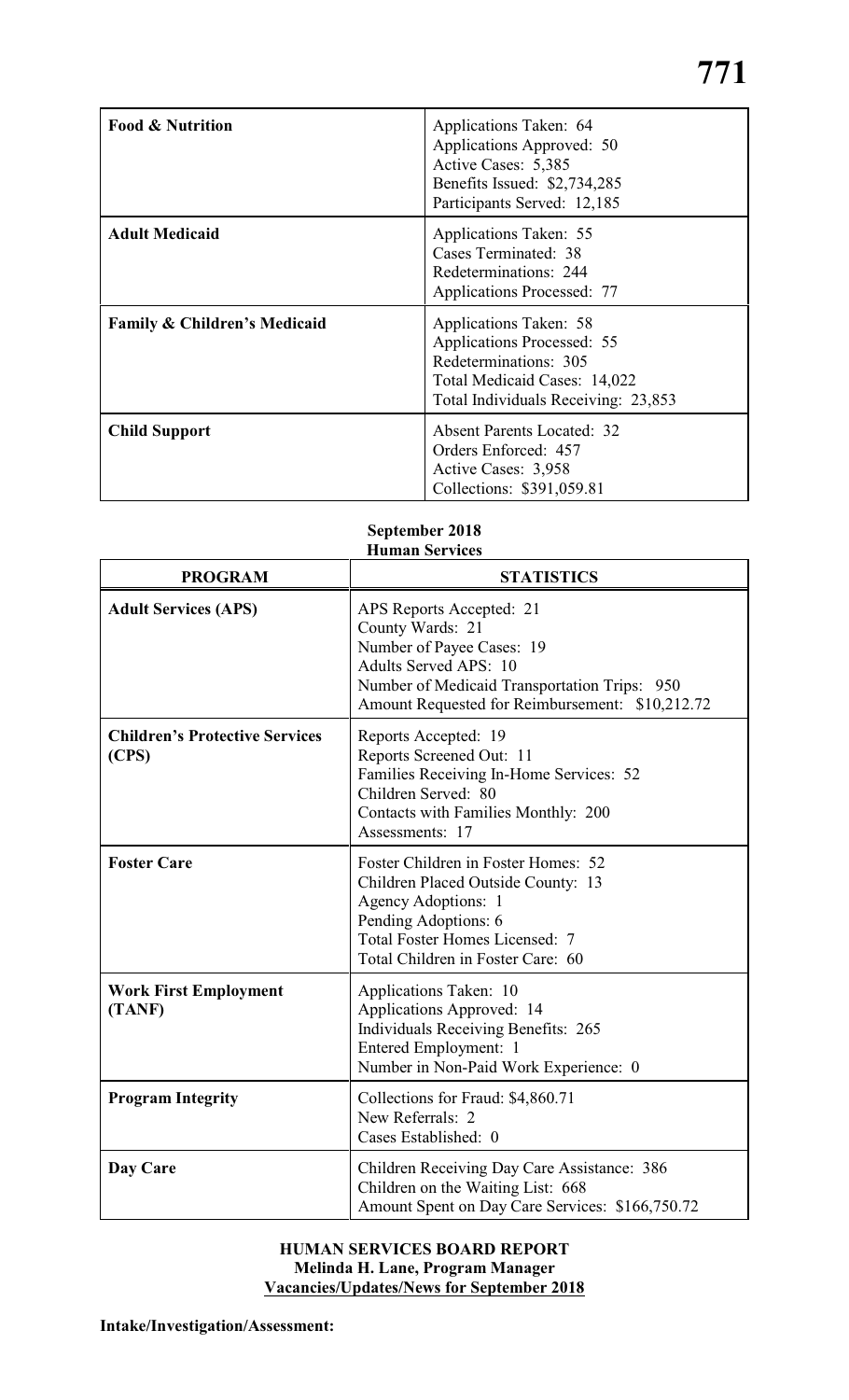| <b>Food &amp; Nutrition</b>             | Applications Taken: 64<br>Applications Approved: 50<br>Active Cases: 5,385<br>Benefits Issued: \$2,734,285<br>Participants Served: 12,185            |
|-----------------------------------------|------------------------------------------------------------------------------------------------------------------------------------------------------|
| <b>Adult Medicaid</b>                   | Applications Taken: 55<br>Cases Terminated: 38<br>Redeterminations: 244<br><b>Applications Processed: 77</b>                                         |
| <b>Family &amp; Children's Medicaid</b> | Applications Taken: 58<br>Applications Processed: 55<br>Redeterminations: 305<br>Total Medicaid Cases: 14,022<br>Total Individuals Receiving: 23,853 |
| <b>Child Support</b>                    | <b>Absent Parents Located: 32</b><br>Orders Enforced: 457<br>Active Cases: 3,958<br>Collections: \$391,059.81                                        |

# **September 2018 Human Services**

| <b>PROGRAM</b>                                 | <b>STATISTICS</b>                                                                                                                                                                                            |
|------------------------------------------------|--------------------------------------------------------------------------------------------------------------------------------------------------------------------------------------------------------------|
| <b>Adult Services (APS)</b>                    | APS Reports Accepted: 21<br>County Wards: 21<br>Number of Payee Cases: 19<br><b>Adults Served APS: 10</b><br>Number of Medicaid Transportation Trips: 950<br>Amount Requested for Reimbursement: \$10,212.72 |
| <b>Children's Protective Services</b><br>(CPS) | Reports Accepted: 19<br>Reports Screened Out: 11<br>Families Receiving In-Home Services: 52<br>Children Served: 80<br>Contacts with Families Monthly: 200<br>Assessments: 17                                 |
| <b>Foster Care</b>                             | Foster Children in Foster Homes: 52<br>Children Placed Outside County: 13<br>Agency Adoptions: 1<br>Pending Adoptions: 6<br><b>Total Foster Homes Licensed: 7</b><br>Total Children in Foster Care: 60       |
| <b>Work First Employment</b><br>(TANF)         | Applications Taken: 10<br>Applications Approved: 14<br><b>Individuals Receiving Benefits: 265</b><br>Entered Employment: 1<br>Number in Non-Paid Work Experience: 0                                          |
| <b>Program Integrity</b>                       | Collections for Fraud: \$4,860.71<br>New Referrals: 2<br>Cases Established: 0                                                                                                                                |
| Day Care                                       | Children Receiving Day Care Assistance: 386<br>Children on the Waiting List: 668<br>Amount Spent on Day Care Services: \$166,750.72                                                                          |

# **HUMAN SERVICES BOARD REPORT Melinda H. Lane, Program Manager Vacancies/Updates/News for September 2018**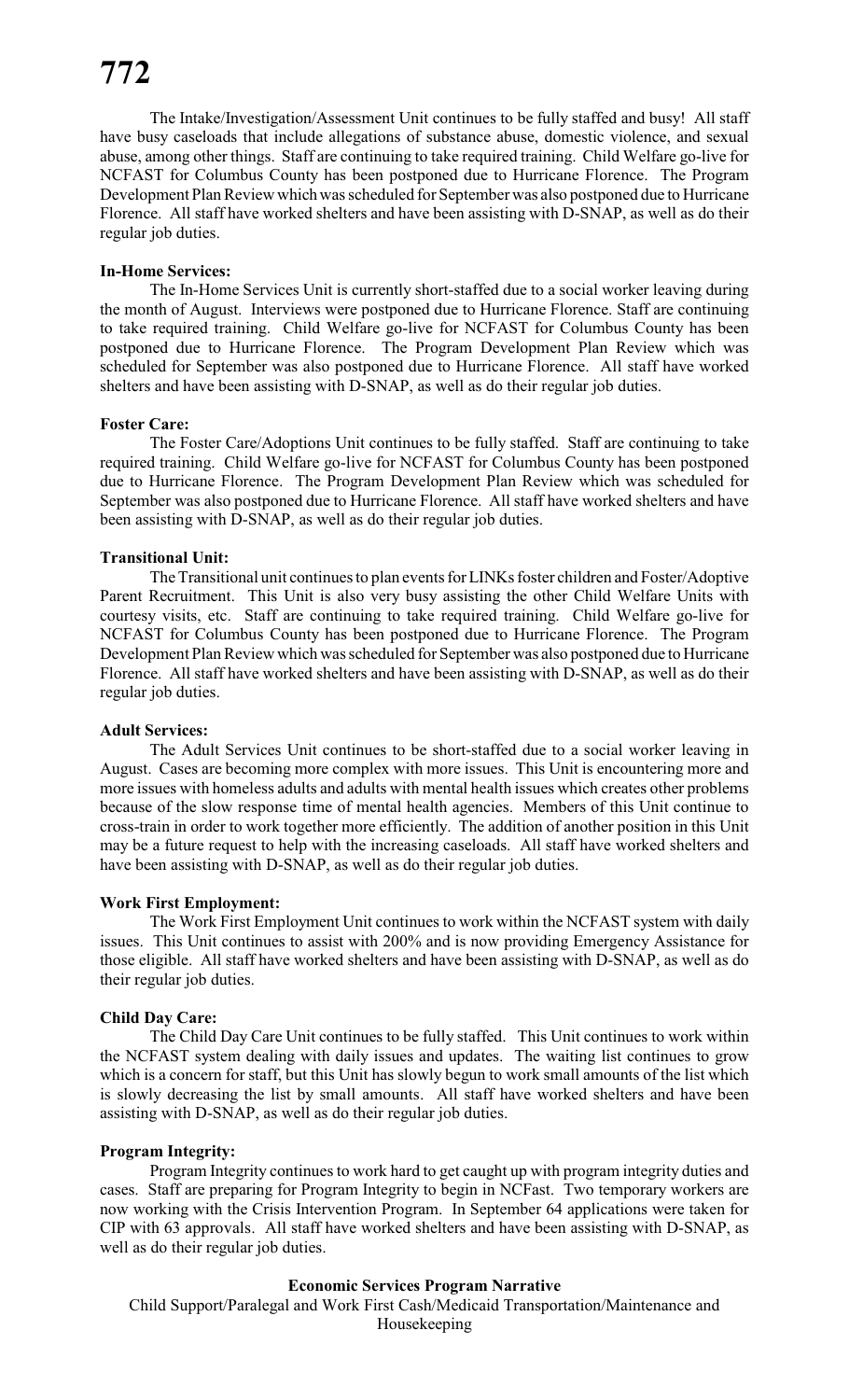The Intake/Investigation/Assessment Unit continues to be fully staffed and busy! All staff have busy caseloads that include allegations of substance abuse, domestic violence, and sexual abuse, among other things. Staff are continuing to take required training. Child Welfare go-live for NCFAST for Columbus County has been postponed due to Hurricane Florence. The Program Development Plan Review which was scheduled for September was also postponed due to Hurricane Florence. All staff have worked shelters and have been assisting with D-SNAP, as well as do their regular job duties.

# **In-Home Services:**

The In-Home Services Unit is currently short-staffed due to a social worker leaving during the month of August. Interviews were postponed due to Hurricane Florence. Staff are continuing to take required training. Child Welfare go-live for NCFAST for Columbus County has been postponed due to Hurricane Florence. The Program Development Plan Review which was scheduled for September was also postponed due to Hurricane Florence. All staff have worked shelters and have been assisting with D-SNAP, as well as do their regular job duties.

# **Foster Care:**

The Foster Care/Adoptions Unit continues to be fully staffed. Staff are continuing to take required training. Child Welfare go-live for NCFAST for Columbus County has been postponed due to Hurricane Florence. The Program Development Plan Review which was scheduled for September was also postponed due to Hurricane Florence. All staff have worked shelters and have been assisting with D-SNAP, as well as do their regular job duties.

# **Transitional Unit:**

The Transitional unit continues to plan events for LINKs foster children and Foster/Adoptive Parent Recruitment. This Unit is also very busy assisting the other Child Welfare Units with courtesy visits, etc. Staff are continuing to take required training. Child Welfare go-live for NCFAST for Columbus County has been postponed due to Hurricane Florence. The Program Development Plan Review which was scheduled for September was also postponed due to Hurricane Florence. All staff have worked shelters and have been assisting with D-SNAP, as well as do their regular job duties.

# **Adult Services:**

The Adult Services Unit continues to be short-staffed due to a social worker leaving in August. Cases are becoming more complex with more issues. This Unit is encountering more and more issues with homeless adults and adults with mental health issues which creates other problems because of the slow response time of mental health agencies. Members of this Unit continue to cross-train in order to work together more efficiently. The addition of another position in this Unit may be a future request to help with the increasing caseloads. All staff have worked shelters and have been assisting with D-SNAP, as well as do their regular job duties.

# **Work First Employment:**

The Work First Employment Unit continues to work within the NCFAST system with daily issues. This Unit continues to assist with 200% and is now providing Emergency Assistance for those eligible. All staff have worked shelters and have been assisting with D-SNAP, as well as do their regular job duties.

# **Child Day Care:**

The Child Day Care Unit continues to be fully staffed. This Unit continues to work within the NCFAST system dealing with daily issues and updates. The waiting list continues to grow which is a concern for staff, but this Unit has slowly begun to work small amounts of the list which is slowly decreasing the list by small amounts. All staff have worked shelters and have been assisting with D-SNAP, as well as do their regular job duties.

# **Program Integrity:**

Program Integrity continues to work hard to get caught up with program integrity duties and cases. Staff are preparing for Program Integrity to begin in NCFast. Two temporary workers are now working with the Crisis Intervention Program. In September 64 applications were taken for CIP with 63 approvals. All staff have worked shelters and have been assisting with D-SNAP, as well as do their regular job duties.

# **Economic Services Program Narrative**

Child Support/Paralegal and Work First Cash/Medicaid Transportation/Maintenance and Housekeeping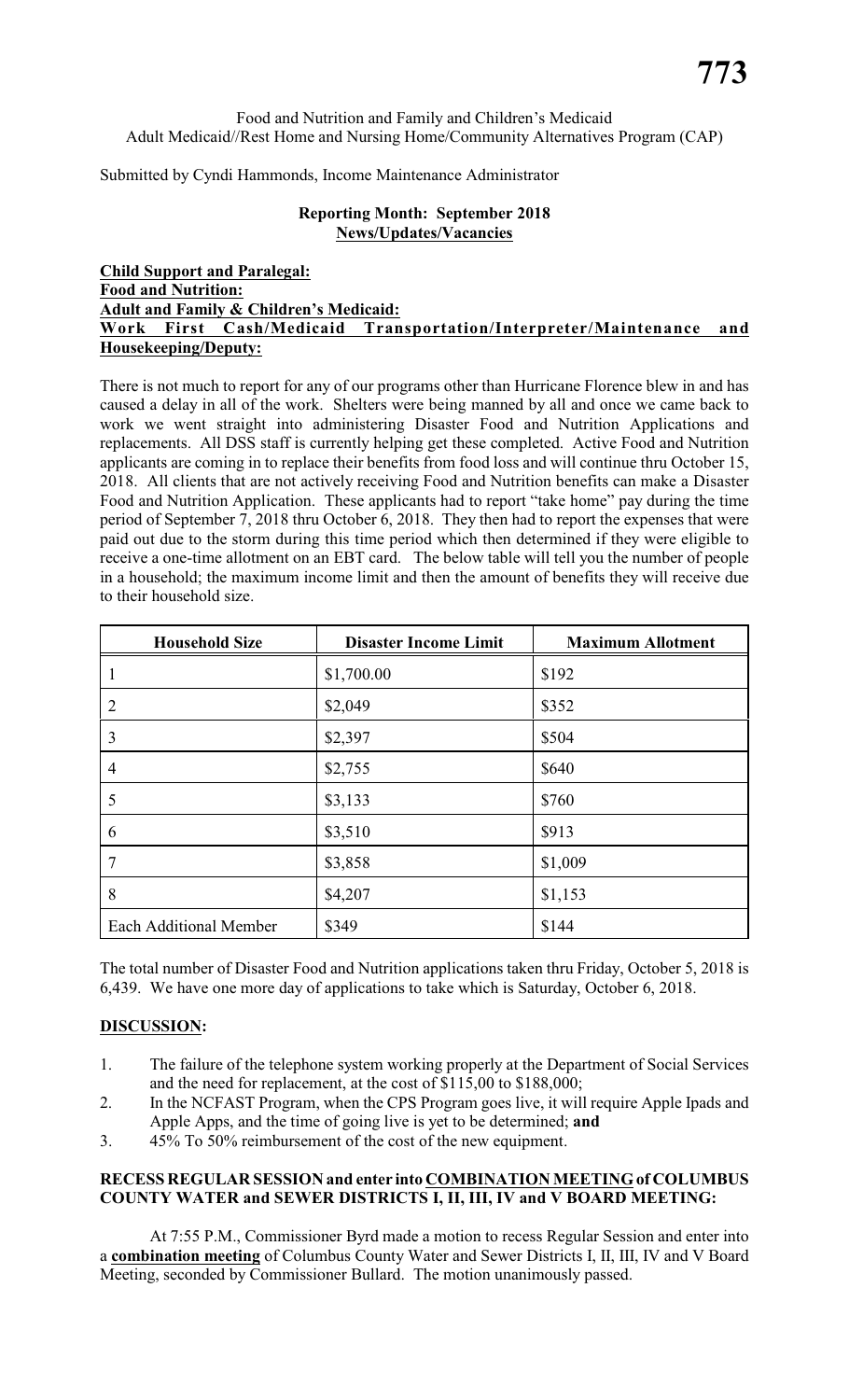# Food and Nutrition and Family and Children's Medicaid Adult Medicaid//Rest Home and Nursing Home/Community Alternatives Program (CAP)

Submitted by Cyndi Hammonds, Income Maintenance Administrator

# **Reporting Month: September 2018 News/Updates/Vacancies**

# **Child Support and Paralegal: Food and Nutrition: Adult and Family & Children's Medicaid: Work First Cash/Medicaid Transportation/Interpreter/Maintenance and Housekeeping/Deputy:**

There is not much to report for any of our programs other than Hurricane Florence blew in and has caused a delay in all of the work. Shelters were being manned by all and once we came back to work we went straight into administering Disaster Food and Nutrition Applications and replacements. All DSS staff is currently helping get these completed. Active Food and Nutrition applicants are coming in to replace their benefits from food loss and will continue thru October 15, 2018. All clients that are not actively receiving Food and Nutrition benefits can make a Disaster Food and Nutrition Application. These applicants had to report "take home" pay during the time period of September 7, 2018 thru October 6, 2018. They then had to report the expenses that were paid out due to the storm during this time period which then determined if they were eligible to receive a one-time allotment on an EBT card. The below table will tell you the number of people in a household; the maximum income limit and then the amount of benefits they will receive due to their household size.

| <b>Household Size</b>         | <b>Disaster Income Limit</b> | <b>Maximum Allotment</b> |
|-------------------------------|------------------------------|--------------------------|
|                               | \$1,700.00                   | \$192                    |
| $\overline{2}$                | \$2,049                      | \$352                    |
| 3                             | \$2,397                      | \$504                    |
| $\overline{4}$                | \$2,755                      | \$640                    |
| 5                             | \$3,133                      | \$760                    |
| 6                             | \$3,510                      | \$913                    |
| $\overline{7}$                | \$3,858                      | \$1,009                  |
| 8                             | \$4,207                      | \$1,153                  |
| <b>Each Additional Member</b> | \$349                        | \$144                    |

The total number of Disaster Food and Nutrition applications taken thru Friday, October 5, 2018 is 6,439. We have one more day of applications to take which is Saturday, October 6, 2018.

# **DISCUSSION:**

- 1. The failure of the telephone system working properly at the Department of Social Services and the need for replacement, at the cost of \$115,00 to \$188,000;
- 2. In the NCFAST Program, when the CPS Program goes live, it will require Apple Ipads and Apple Apps, and the time of going live is yet to be determined; **and**
- 3. 45% To 50% reimbursement of the cost of the new equipment.

# **RECESS REGULAR SESSION and enter into COMBINATION MEETING of COLUMBUS COUNTY WATER and SEWER DISTRICTS I, II, III, IV and V BOARD MEETING:**

At 7:55 P.M., Commissioner Byrd made a motion to recess Regular Session and enter into a **combination meeting** of Columbus County Water and Sewer Districts I, II, III, IV and V Board Meeting, seconded by Commissioner Bullard. The motion unanimously passed.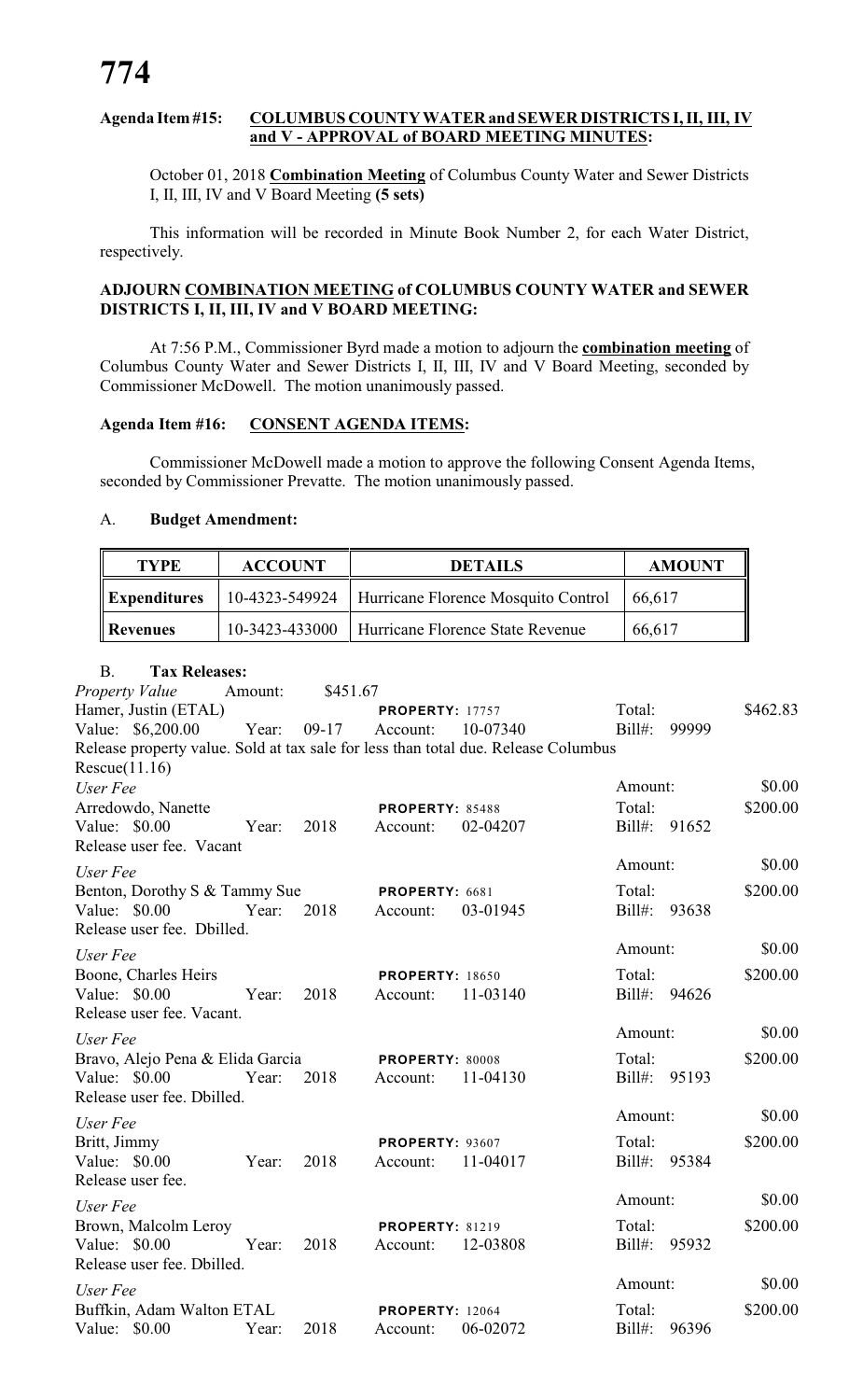# **Agenda Item #15: COLUMBUS COUNTY WATER and SEWER DISTRICTS I, II, III, IV and V - APPROVAL of BOARD MEETING MINUTES:**

October 01, 2018 **Combination Meeting** of Columbus County Water and Sewer Districts I, II, III, IV and V Board Meeting **(5 sets)**

This information will be recorded in Minute Book Number 2, for each Water District, respectively.

# **ADJOURN COMBINATION MEETING of COLUMBUS COUNTY WATER and SEWER DISTRICTS I, II, III, IV and V BOARD MEETING:**

At 7:56 P.M., Commissioner Byrd made a motion to adjourn the **combination meeting** of Columbus County Water and Sewer Districts I, II, III, IV and V Board Meeting, seconded by Commissioner McDowell. The motion unanimously passed.

# **Agenda Item #16: CONSENT AGENDA ITEMS:**

Commissioner McDowell made a motion to approve the following Consent Agenda Items, seconded by Commissioner Prevatte. The motion unanimously passed.

### A. **Budget Amendment:**

| <b>TYPE</b>              | <b>ACCOUNT</b> | <b>DETAILS</b>                      | <b>AMOUNT</b> |  |
|--------------------------|----------------|-------------------------------------|---------------|--|
| $\parallel$ Expenditures | 10-4323-549924 | Hurricane Florence Mosquito Control | 66.617        |  |
| Revenues                 | 10-3423-433000 | Hurricane Florence State Revenue    | 66,617        |  |

| <b>Tax Releases:</b><br><b>B.</b>                                                  |         |          |                        |          |              |       |          |
|------------------------------------------------------------------------------------|---------|----------|------------------------|----------|--------------|-------|----------|
| <b>Property Value</b>                                                              | Amount: | \$451.67 |                        |          |              |       |          |
| Hamer, Justin (ETAL)                                                               |         |          | <b>PROPERTY: 17757</b> |          | Total:       |       | \$462.83 |
| Value: \$6,200.00                                                                  | Year:   | $09-17$  | Account:               | 10-07340 | $Bill#$ :    | 99999 |          |
| Release property value. Sold at tax sale for less than total due. Release Columbus |         |          |                        |          |              |       |          |
| Rescue(11.16)                                                                      |         |          |                        |          |              |       |          |
| User Fee                                                                           |         |          |                        |          | Amount:      |       | \$0.00   |
| Arredowdo, Nanette                                                                 |         |          | PROPERTY: 85488        |          | Total:       |       | \$200.00 |
| Value: \$0.00<br>Release user fee. Vacant                                          | Year:   | 2018     | Account:               | 02-04207 | Bill#: 91652 |       |          |
|                                                                                    |         |          |                        |          | Amount:      |       | \$0.00   |
| User Fee                                                                           |         |          |                        |          |              |       |          |
| Benton, Dorothy S & Tammy Sue                                                      |         |          | PROPERTY: 6681         |          | Total:       |       | \$200.00 |
| Value: \$0.00                                                                      | Year:   | 2018     | Account:               | 03-01945 | Bill#: 93638 |       |          |
| Release user fee. Dbilled.                                                         |         |          |                        |          | Amount:      |       | \$0.00   |
| User Fee                                                                           |         |          |                        |          |              |       |          |
| Boone, Charles Heirs                                                               |         |          | <b>PROPERTY: 18650</b> |          | Total:       |       | \$200.00 |
| Value: $$0.00$                                                                     | Year:   | 2018     | Account:               | 11-03140 | Bill#: 94626 |       |          |
| Release user fee. Vacant.                                                          |         |          |                        |          | Amount:      |       | \$0.00   |
| User Fee                                                                           |         |          |                        |          |              |       |          |
| Bravo, Alejo Pena & Elida Garcia                                                   |         |          | PROPERTY: 80008        |          | Total:       |       | \$200.00 |
| Value: $$0.00$                                                                     | Year:   | 2018     | Account:               | 11-04130 | $Bill#$ :    | 95193 |          |
| Release user fee. Dbilled.                                                         |         |          |                        |          | Amount:      |       | \$0.00   |
| User Fee                                                                           |         |          |                        |          |              |       |          |
| Britt, Jimmy                                                                       |         |          | <b>PROPERTY: 93607</b> |          | Total:       |       | \$200.00 |
| Value: \$0.00                                                                      | Year:   | 2018     | Account:               | 11-04017 | Bill#: 95384 |       |          |
| Release user fee.                                                                  |         |          |                        |          |              |       |          |
| User Fee                                                                           |         |          |                        |          | Amount:      |       | \$0.00   |
| Brown, Malcolm Leroy                                                               |         |          | <b>PROPERTY: 81219</b> |          | Total:       |       | \$200.00 |
| Value: \$0.00                                                                      | Year:   | 2018     | Account:               | 12-03808 | Bill#: 95932 |       |          |
| Release user fee. Dbilled.                                                         |         |          |                        |          |              |       |          |
| User Fee                                                                           |         |          |                        |          | Amount:      |       | \$0.00   |
| Buffkin, Adam Walton ETAL                                                          |         |          | <b>PROPERTY: 12064</b> |          | Total:       |       | \$200.00 |
| Value: \$0.00                                                                      | Year:   | 2018     | Account:               | 06-02072 | Bill#: 96396 |       |          |
|                                                                                    |         |          |                        |          |              |       |          |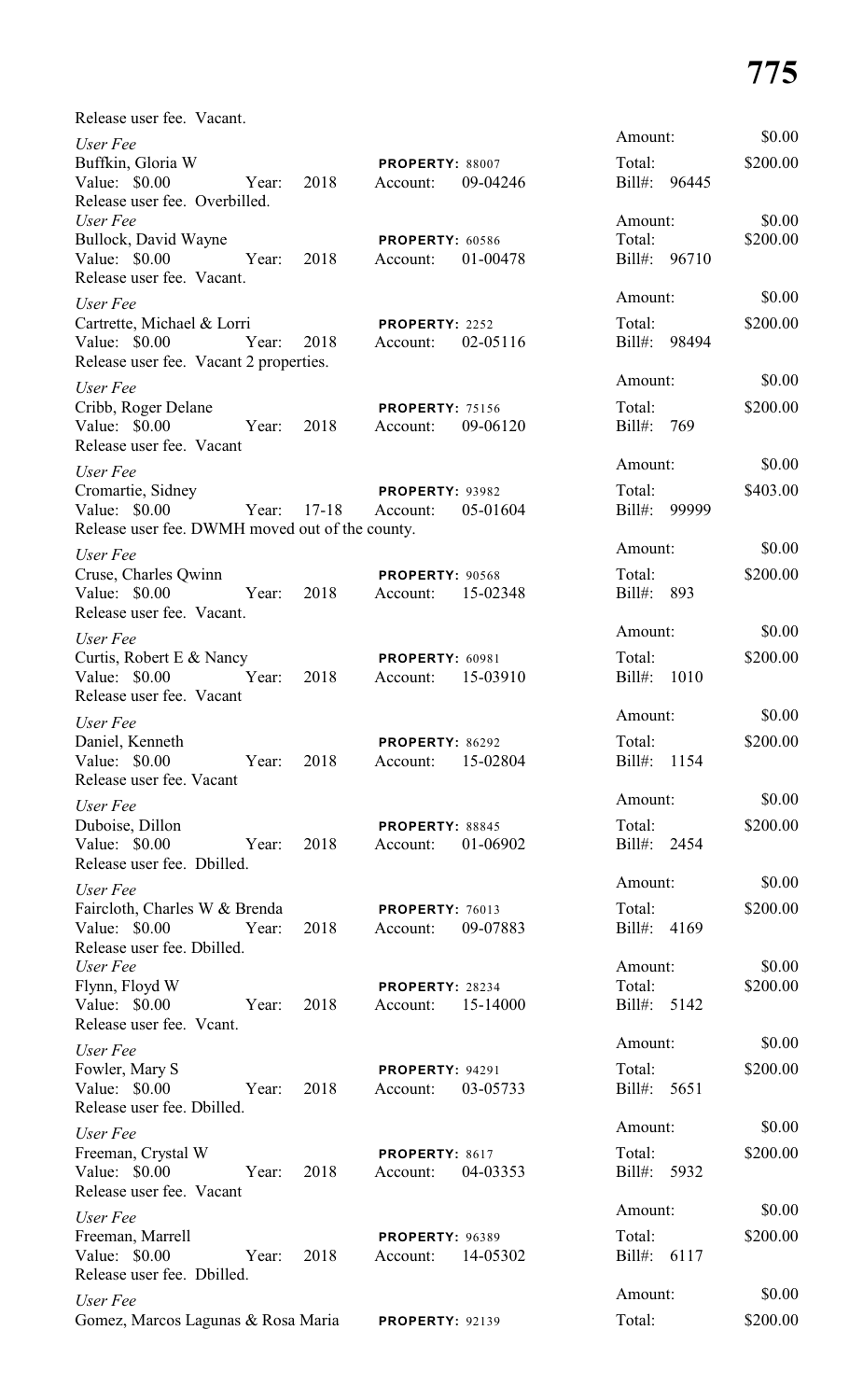| Release user fee. Vacant.                       |       |         |                                    |          |                       |      |          |
|-------------------------------------------------|-------|---------|------------------------------------|----------|-----------------------|------|----------|
| User Fee                                        |       |         |                                    |          | Amount:               |      | \$0.00   |
| Buffkin, Gloria W                               |       |         | PROPERTY: 88007                    |          | Total:                |      | \$200.00 |
| Value: \$0.00<br>Release user fee. Overbilled.  | Year: | 2018    | Account:                           | 09-04246 | Bill#: 96445          |      |          |
| User Fee                                        |       |         |                                    |          | Amount:               |      | \$0.00   |
| Bullock, David Wayne                            |       |         | PROPERTY: 60586                    |          | Total:                |      | \$200.00 |
| Value: \$0.00                                   | Year: | 2018    | Account:                           | 01-00478 | Bill#: 96710          |      |          |
| Release user fee. Vacant.                       |       |         |                                    |          | Amount:               |      | \$0.00   |
| User Fee<br>Cartrette, Michael & Lorri          |       |         | PROPERTY: 2252                     |          | Total:                |      | \$200.00 |
| Value: \$0.00                                   | Year: | 2018    | Account:                           | 02-05116 | Bill#: 98494          |      |          |
| Release user fee. Vacant 2 properties.          |       |         |                                    |          |                       |      |          |
| User Fee                                        |       |         |                                    |          | Amount:               |      | \$0.00   |
| Cribb, Roger Delane                             |       |         | <b>PROPERTY: 75156</b>             |          | Total:                |      | \$200.00 |
| Value: \$0.00                                   | Year: | 2018    | Account:                           | 09-06120 | Bill#: 769            |      |          |
| Release user fee. Vacant                        |       |         |                                    |          | Amount:               |      | \$0.00   |
| User Fee<br>Cromartie, Sidney                   |       |         | PROPERTY: 93982                    |          | Total:                |      | \$403.00 |
| Value: \$0.00                                   | Year: | $17-18$ | Account:                           | 05-01604 | Bill#: 99999          |      |          |
| Release user fee. DWMH moved out of the county. |       |         |                                    |          |                       |      |          |
| User Fee                                        |       |         |                                    |          | Amount:               |      | \$0.00   |
| Cruse, Charles Qwinn                            |       |         | <b>PROPERTY: 90568</b>             |          | Total:                |      | \$200.00 |
| Value: $$0.00$                                  | Year: | 2018    | Account:                           | 15-02348 | Bill#: 893            |      |          |
| Release user fee. Vacant.                       |       |         |                                    |          | Amount:               |      | \$0.00   |
| User Fee<br>Curtis, Robert E & Nancy            |       |         | PROPERTY: 60981                    |          | Total:                |      | \$200.00 |
| Value: \$0.00                                   | Year: | 2018    | Account:                           | 15-03910 | $Bill#$ :             | 1010 |          |
| Release user fee. Vacant                        |       |         |                                    |          |                       |      |          |
| User Fee                                        |       |         |                                    |          | Amount:               |      | \$0.00   |
| Daniel, Kenneth                                 |       |         | PROPERTY: 86292                    |          | Total:                |      | \$200.00 |
| Value: \$0.00                                   | Year: | 2018    | Account:                           | 15-02804 | Bill#:                | 1154 |          |
| Release user fee. Vacant                        |       |         |                                    |          | Amount:               |      | \$0.00   |
| User Fee<br>Duboise, Dillon                     |       |         | PROPERTY: 88845                    |          | Total:                |      | \$200.00 |
| Value: \$0.00                                   | Year: | 2018    | Account:                           | 01-06902 | Bill#: 2454           |      |          |
| Release user fee. Dbilled.                      |       |         |                                    |          |                       |      |          |
| User Fee                                        |       |         |                                    |          | Amount:               |      | \$0.00   |
| Faircloth, Charles W & Brenda                   |       |         | PROPERTY: 76013                    |          | Total:                |      | \$200.00 |
| Value: \$0.00                                   | Year: | 2018    | Account:                           | 09-07883 | Bill#: 4169           |      |          |
| Release user fee. Dbilled.<br>User Fee          |       |         |                                    |          | Amount:               |      | \$0.00   |
| Flynn, Floyd W                                  |       |         | PROPERTY: 28234                    |          | Total:                |      | \$200.00 |
| Value: \$0.00                                   | Year: | 2018    | Account:                           | 15-14000 | Bill#: 5142           |      |          |
| Release user fee. Veant.                        |       |         |                                    |          | Amount:               |      | \$0.00   |
| User Fee                                        |       |         |                                    |          |                       |      |          |
| Fowler, Mary S<br>Value: \$0.00                 | Year: | 2018    | <b>PROPERTY: 94291</b><br>Account: | 03-05733 | Total:<br>Bill#: 5651 |      | \$200.00 |
| Release user fee. Dbilled.                      |       |         |                                    |          |                       |      |          |
| User Fee                                        |       |         |                                    |          | Amount:               |      | \$0.00   |
| Freeman, Crystal W                              |       |         | PROPERTY: 8617                     |          | Total:                |      | \$200.00 |
| Value: \$0.00                                   | Year: | 2018    | Account:                           | 04-03353 | Bill#: 5932           |      |          |
| Release user fee. Vacant                        |       |         |                                    |          | Amount:               |      | \$0.00   |
| User Fee                                        |       |         |                                    |          | Total:                |      | \$200.00 |
| Freeman, Marrell<br>Value: \$0.00               | Year: | 2018    | <b>PROPERTY: 96389</b><br>Account: | 14-05302 | Bill#: 6117           |      |          |
| Release user fee. Dbilled.                      |       |         |                                    |          |                       |      |          |
| User Fee                                        |       |         |                                    |          | Amount:               |      | \$0.00   |
| Gomez, Marcos Lagunas & Rosa Maria              |       |         | <b>PROPERTY: 92139</b>             |          | Total:                |      | \$200.00 |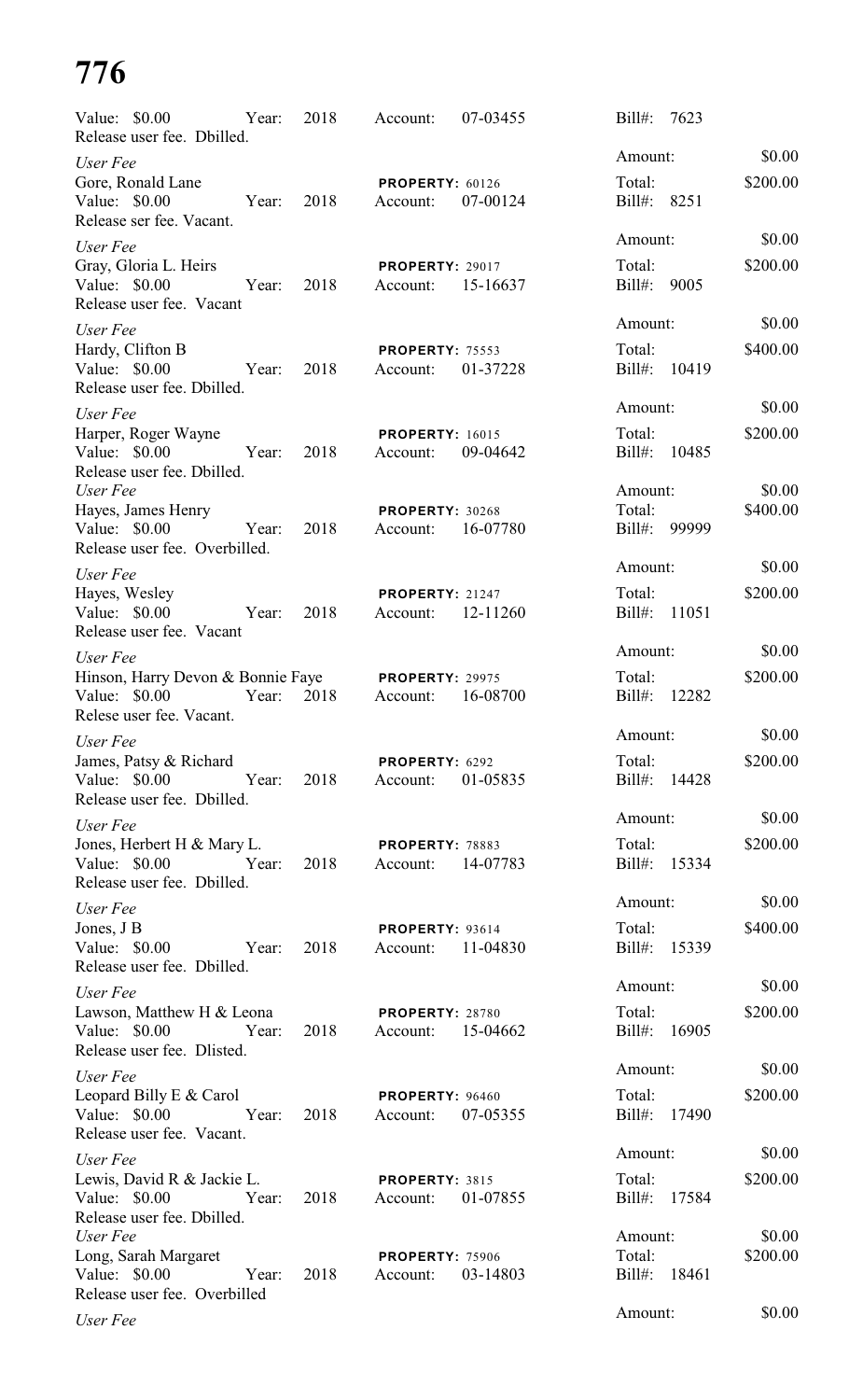| Value: \$0.00<br>Release user fee. Dbilled.                                                | Year: | 2018 | Account:                                    | 07-03455 | $Bill#$ :              | 7623         |                    |
|--------------------------------------------------------------------------------------------|-------|------|---------------------------------------------|----------|------------------------|--------------|--------------------|
| User Fee                                                                                   |       |      |                                             |          | Amount:                |              | \$0.00             |
| Gore, Ronald Lane<br>Value: \$0.00<br>Release ser fee. Vacant.                             | Year: | 2018 | PROPERTY: 60126<br>Account:                 | 07-00124 | Total:<br>Bill#: 8251  |              | \$200.00           |
| User Fee                                                                                   |       |      |                                             |          | Amount:                |              | \$0.00             |
| Gray, Gloria L. Heirs<br>Value: \$0.00<br>Release user fee. Vacant                         | Year: | 2018 | <b>PROPERTY: 29017</b><br>Account:          | 15-16637 | Total:<br>Bill#: 9005  |              | \$200.00           |
| User Fee                                                                                   |       |      |                                             |          | Amount:                |              | \$0.00             |
| Hardy, Clifton B<br>Value: \$0.00<br>Release user fee. Dbilled.                            | Year: | 2018 | <b>PROPERTY: 75553</b><br>Account:          | 01-37228 | Total:<br>Bill#:       | 10419        | \$400.00           |
| User Fee                                                                                   |       |      |                                             |          | Amount:                |              | \$0.00             |
| Harper, Roger Wayne<br>Value: \$0.00<br>Release user fee. Dbilled.                         | Year: | 2018 | <b>PROPERTY: 16015</b><br>Account:          | 09-04642 | Total:<br>Bill#:       | 10485        | \$200.00           |
| User Fee                                                                                   |       |      |                                             |          | Amount:                |              | \$0.00             |
| Hayes, James Henry<br>Value: \$0.00<br>Year:<br>Release user fee. Overbilled.              |       | 2018 | PROPERTY: 30268<br>Account:                 | 16-07780 | Total:                 | Bill#: 99999 | \$400.00           |
| User Fee                                                                                   |       |      |                                             |          | Amount:                |              | \$0.00             |
| Hayes, Wesley<br>Value: \$0.00<br>Release user fee. Vacant                                 | Year: | 2018 | <b>PROPERTY: 21247</b><br>Account:          | 12-11260 | Total:<br>Bill#: 11051 |              | \$200.00           |
| User Fee                                                                                   |       |      |                                             |          | Amount:                |              | \$0.00             |
| Hinson, Harry Devon & Bonnie Faye<br>Value: \$0.00<br>Relese user fee. Vacant.             | Year: | 2018 | <b>PROPERTY: 29975</b><br>Account:          | 16-08700 | Total:<br>Bill#:       | 12282        | \$200.00           |
| User Fee                                                                                   |       |      |                                             |          | Amount:                |              | \$0.00             |
| James, Patsy & Richard<br>Year:<br>Value: \$0.00<br>Release user fee. Dbilled.             |       | 2018 | PROPERTY: 6292<br>Account:                  | 01-05835 | Total:                 | Bill#: 14428 | \$200.00           |
| User Fee                                                                                   |       |      |                                             |          | Amount:                |              | \$0.00             |
| Jones, Herbert H & Mary L.<br>Year:<br>Value: \$0.00<br>Release user fee. Dbilled.         |       | 2018 | <b>PROPERTY: 78883</b><br>Account: 14-07783 |          | Total:                 | Bill#: 15334 | \$200.00           |
| User Fee                                                                                   |       |      |                                             |          | Amount:                |              | \$0.00             |
| Jones, J B<br>Value: \$0.00<br>Year:<br>Release user fee. Dbilled.                         |       | 2018 | <b>PROPERTY: 93614</b><br>Account: 11-04830 |          | Total:                 | Bill#: 15339 | \$400.00           |
| User Fee                                                                                   |       |      |                                             |          | Amount:                |              | \$0.00             |
| Lawson, Matthew H & Leona<br>Year:<br>Value: \$0.00<br>Release user fee. Dlisted.          |       | 2018 | <b>PROPERTY: 28780</b><br>Account: 15-04662 |          | Total:                 | Bill#: 16905 | \$200.00           |
| User Fee                                                                                   |       |      |                                             |          | Amount:                |              | \$0.00             |
| Leopard Billy E & Carol<br>Value: $$0.00$<br>Release user fee. Vacant.                     | Year: | 2018 | PROPERTY: 96460<br>Account: 07-05355        |          | Total:                 | Bill#: 17490 | \$200.00           |
| User Fee                                                                                   |       |      |                                             |          | Amount:                |              | \$0.00             |
| Lewis, David R & Jackie L.<br>Value: \$0.00 Year:<br>Release user fee. Dbilled.            |       | 2018 | PROPERTY: 3815<br>Account: 01-07855         |          | Total:                 | Bill#: 17584 | \$200.00           |
| User Fee<br>Long, Sarah Margaret<br>Value: \$0.00<br>Year:<br>Release user fee. Overbilled |       | 2018 | <b>PROPERTY: 75906</b><br>Account:          | 03-14803 | Amount:<br>Total:      | Bill#: 18461 | \$0.00<br>\$200.00 |
| User Fee                                                                                   |       |      |                                             |          | Amount:                |              | \$0.00             |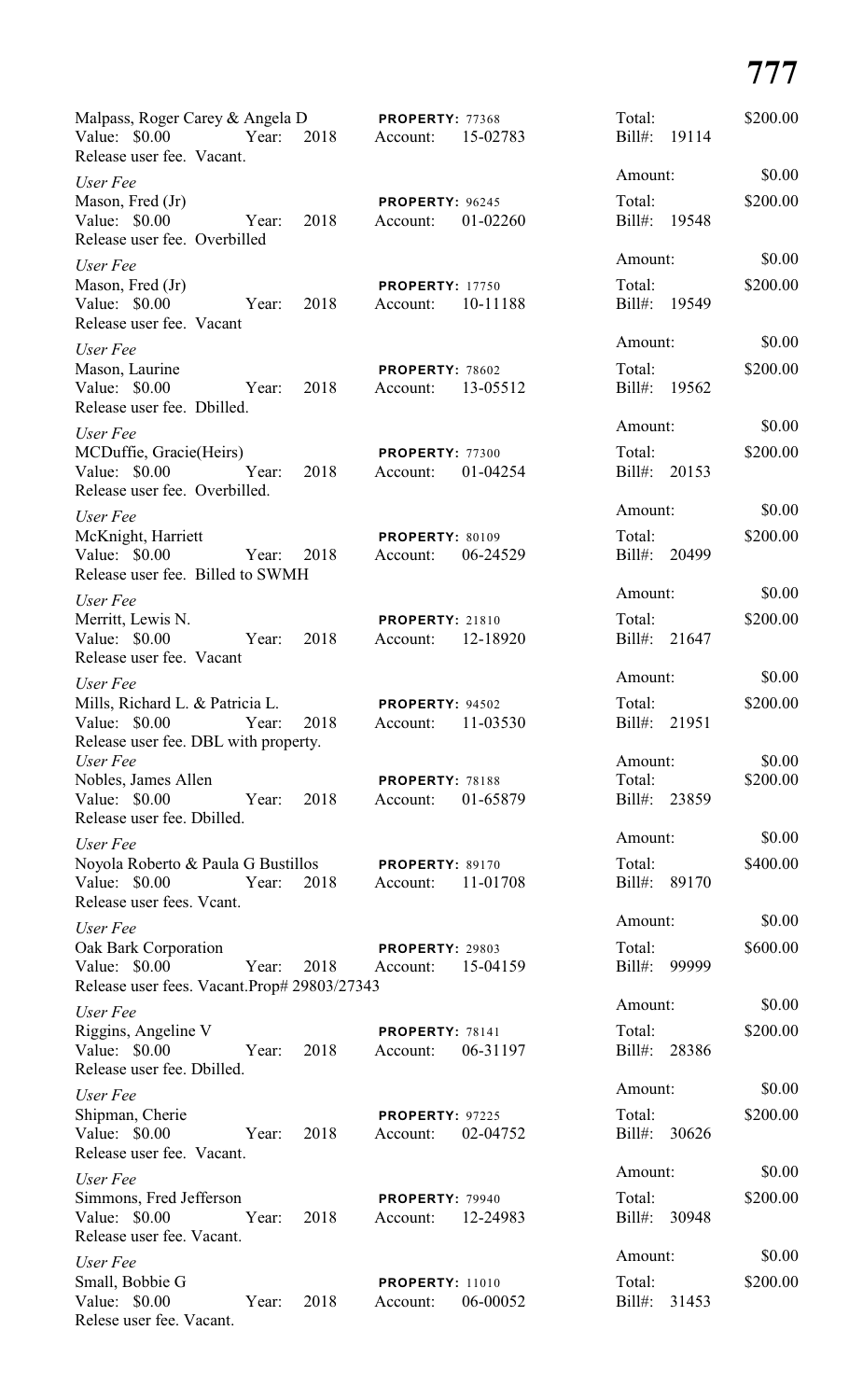| Malpass, Roger Carey & Angela D<br>Value: $$0.00$<br>Release user fee. Vacant.                 | Year: | 2018 | PROPERTY: 77368<br>Account:        | 15-02783 | Total:<br>Bill#:                  | 19114 | \$200.00           |
|------------------------------------------------------------------------------------------------|-------|------|------------------------------------|----------|-----------------------------------|-------|--------------------|
| User Fee                                                                                       |       |      |                                    |          | Amount:                           |       | \$0.00             |
| Mason, Fred (Jr)<br>Value: \$0.00<br>Release user fee. Overbilled                              | Year: | 2018 | PROPERTY: 96245<br>Account:        | 01-02260 | Total:<br>Bill#: 19548            |       | \$200.00           |
| User Fee<br>Mason, Fred (Jr)<br>Value: \$0.00<br>Release user fee. Vacant                      | Year: | 2018 | <b>PROPERTY: 17750</b><br>Account: | 10-11188 | Amount:<br>Total:<br>Bill#: 19549 |       | \$0.00<br>\$200.00 |
| User Fee<br>Mason, Laurine<br>Value: \$0.00                                                    | Year: | 2018 | PROPERTY: 78602<br>Account:        | 13-05512 | Amount:<br>Total:<br>Bill#:       | 19562 | \$0.00<br>\$200.00 |
| Release user fee. Dbilled.                                                                     |       |      |                                    |          | Amount:                           |       | \$0.00             |
| User Fee<br>MCDuffie, Gracie(Heirs)<br>Value: \$0.00<br>Release user fee. Overbilled.          | Year: | 2018 | PROPERTY: 77300<br>Account:        | 01-04254 | Total:<br>Bill#:                  | 20153 | \$200.00           |
| User Fee                                                                                       |       |      |                                    |          | Amount:                           |       | \$0.00             |
| McKnight, Harriett<br>Value: $$0.00$<br>Release user fee. Billed to SWMH                       | Year: | 2018 | PROPERTY: 80109<br>Account:        | 06-24529 | Total:<br>Bill#:                  | 20499 | \$200.00           |
| User Fee                                                                                       |       |      |                                    |          | Amount:                           |       | \$0.00             |
| Merritt, Lewis N.<br>Value: \$0.00<br>Release user fee. Vacant                                 | Year: | 2018 | <b>PROPERTY: 21810</b><br>Account: | 12-18920 | Total:<br>Bill#:                  | 21647 | \$200.00           |
| User Fee                                                                                       |       |      |                                    |          | Amount:                           |       | \$0.00             |
| Mills, Richard L. & Patricia L.<br>Value: \$0.00 Year:<br>Release user fee. DBL with property. |       | 2018 | PROPERTY: 94502<br>Account:        | 11-03530 | Total:<br>Bill#:                  | 21951 | \$200.00           |
| User Fee                                                                                       |       |      |                                    |          | Amount:                           |       | \$0.00             |
| Nobles, James Allen<br>Value: \$0.00<br>Release user fee. Dbilled.                             | Year: | 2018 | PROPERTY: 78188<br>Account:        | 01-65879 | Total:<br>Bill#: 23859            |       | \$200.00           |
| User Fee                                                                                       |       |      |                                    |          | Amount:                           |       | \$0.00             |
| Noyola Roberto & Paula G Bustillos<br>Value: \$0.00<br>Release user fees. Vcant.               | Year: | 2018 | PROPERTY: 89170<br>Account:        | 11-01708 | Total:<br>Bill#: 89170            |       | \$400.00           |
| User Fee                                                                                       |       |      |                                    |          | Amount:                           |       | \$0.00             |
| Oak Bark Corporation<br>Value: \$0.00<br>Release user fees. Vacant.Prop# 29803/27343           | Year: | 2018 | PROPERTY: 29803<br>Account:        | 15-04159 | Total:<br>Bill#: 99999            |       | \$600.00           |
| User Fee                                                                                       |       |      |                                    |          | Amount:                           |       | \$0.00             |
| Riggins, Angeline V<br>Value: \$0.00<br>Release user fee. Dbilled.                             | Year: | 2018 | PROPERTY: 78141<br>Account:        | 06-31197 | Total:<br>Bill#: 28386            |       | \$200.00           |
| User Fee                                                                                       |       |      |                                    |          | Amount:                           |       | \$0.00             |
| Shipman, Cherie<br>Value: \$0.00<br>Release user fee. Vacant.                                  | Year: | 2018 | PROPERTY: 97225<br>Account:        | 02-04752 | Total:<br>Bill#: 30626            |       | \$200.00           |
| User Fee                                                                                       |       |      |                                    |          | Amount:                           |       | \$0.00             |
| Simmons, Fred Jefferson<br>Value: \$0.00<br>Release user fee. Vacant.                          | Year: | 2018 | <b>PROPERTY: 79940</b><br>Account: | 12-24983 | Total:<br>Bill#: 30948            |       | \$200.00           |
| User Fee                                                                                       |       |      |                                    |          | Amount:                           |       | \$0.00             |
| Small, Bobbie G<br>Value: \$0.00<br>Relese user fee. Vacant.                                   | Year: | 2018 | <b>PROPERTY: 11010</b><br>Account: | 06-00052 | Total:<br>Bill#:                  | 31453 | \$200.00           |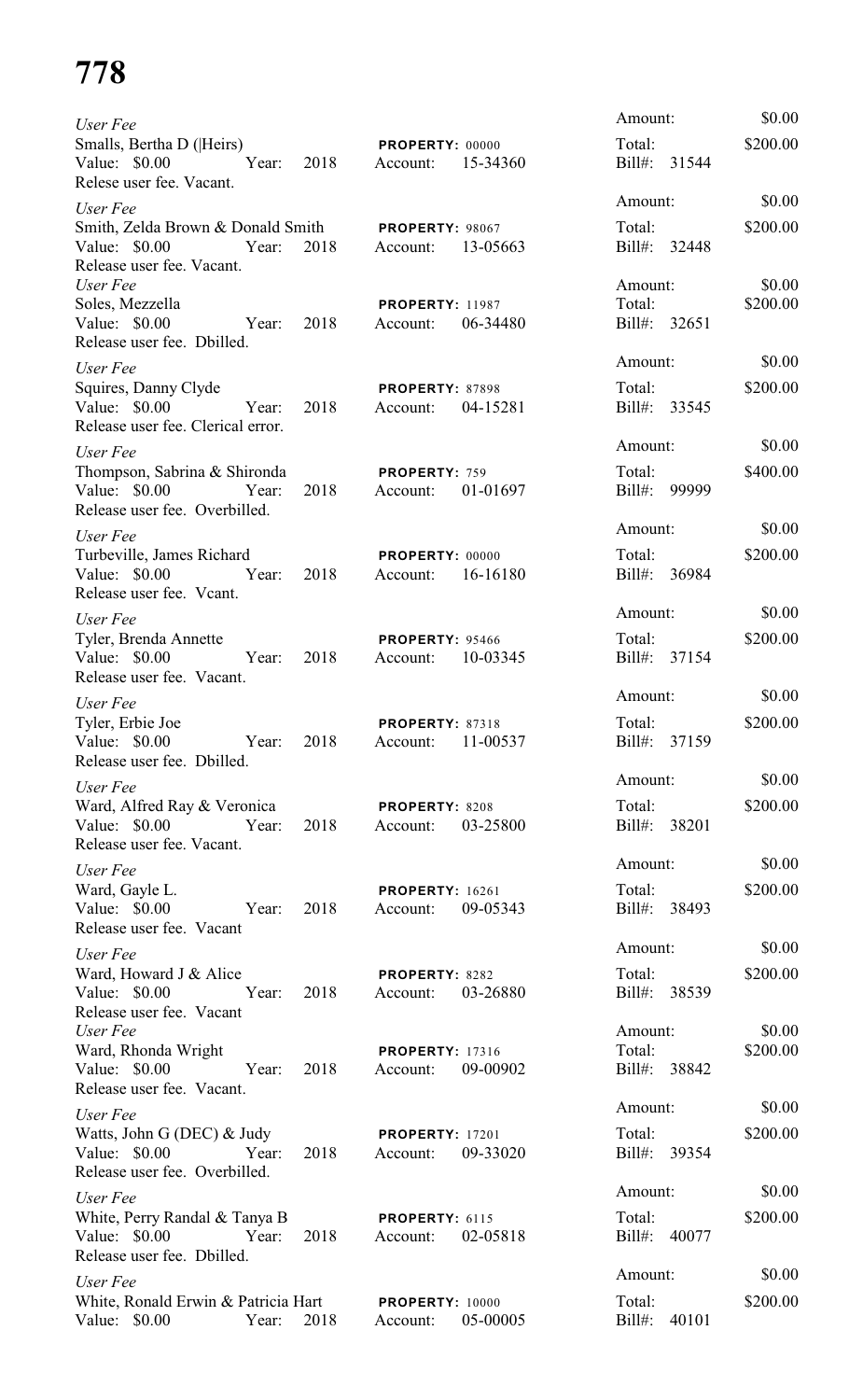| User Fee                                                                                               |      |                                    |          | Amount:                | \$0.00             |
|--------------------------------------------------------------------------------------------------------|------|------------------------------------|----------|------------------------|--------------------|
| Smalls, Bertha D ( Heirs)                                                                              |      | PROPERTY: 00000                    |          | Total:                 | \$200.00           |
| Year:<br>Value: \$0.00<br>Relese user fee. Vacant.                                                     | 2018 | Account:                           | 15-34360 | Bill#: 31544           |                    |
| User Fee                                                                                               |      |                                    |          | Amount:                | \$0.00             |
| Smith, Zelda Brown & Donald Smith PROPERTY: 98067<br>Value: \$0.00<br>Year:                            | 2018 | Account: 13-05663                  |          | Total:<br>Bill#: 32448 | \$200.00           |
| Release user fee. Vacant.<br>User Fee<br>Soles, Mezzella                                               |      | <b>PROPERTY: 11987</b>             |          | Amount:<br>Total:      | \$0.00<br>\$200.00 |
| Value: \$0.00<br>Year:<br>Release user fee. Dbilled.                                                   | 2018 | Account:                           | 06-34480 | Bill#: 32651           |                    |
| User Fee                                                                                               |      |                                    |          | Amount:                | \$0.00             |
| Squires, Danny Clyde<br>Value: \$0.00<br>Year:<br>Release user fee. Clerical error.                    | 2018 | <b>PROPERTY: 87898</b><br>Account: | 04-15281 | Total:<br>Bill#: 33545 | \$200.00           |
| User Fee                                                                                               |      |                                    |          | Amount:                | \$0.00             |
| Thompson, Sabrina & Shironda<br>Value: \$0.00<br>Year:<br>Release user fee. Overbilled.                | 2018 | PROPERTY: 759<br>Account:          | 01-01697 | Total:<br>Bill#: 99999 | \$400.00           |
| User Fee                                                                                               |      |                                    |          | Amount:                | \$0.00             |
| Turbeville, James Richard<br>Value: \$0.00<br>Year:<br>Release user fee. Vcant.                        | 2018 | <b>PROPERTY: 00000</b><br>Account: | 16-16180 | Total:<br>Bill#: 36984 | \$200.00           |
| User Fee                                                                                               |      |                                    |          | Amount:                | \$0.00             |
| Tyler, Brenda Annette<br>Value: \$0.00<br>Year:<br>Release user fee. Vacant.                           | 2018 | <b>PROPERTY: 95466</b><br>Account: | 10-03345 | Total:<br>Bill#: 37154 | \$200.00           |
|                                                                                                        |      |                                    |          | Amount:                | \$0.00             |
| User Fee<br>Tyler, Erbie Joe<br>Value: \$0.00 Year:<br>Release user fee. Dbilled.                      | 2018 | PROPERTY: 87318<br>Account:        | 11-00537 | Total:<br>Bill#: 37159 | \$200.00           |
| User Fee                                                                                               |      |                                    |          | Amount:                | \$0.00             |
| Ward, Alfred Ray & Veronica<br>Value: \$0.00 Year:<br>Release user fee. Vacant.                        | 2018 | PROPERTY: 8208<br>Account:         | 03-25800 | Total:<br>Bill#: 38201 | \$200.00           |
| User Fee                                                                                               |      |                                    |          | Amount:                | \$0.00             |
| Ward, Gayle L.<br>Value: \$0.00 Year:<br>Release user fee. Vacant                                      | 2018 | <b>PROPERTY: 16261</b><br>Account: | 09-05343 | Total:<br>Bill#: 38493 | \$200.00           |
| User Fee                                                                                               |      |                                    |          | Amount:                | \$0.00             |
| Ward, Howard J & Alice<br>Value: \$0.00<br>Year:<br>Release user fee. Vacant                           | 2018 | PROPERTY: 8282<br>Account:         | 03-26880 | Total:<br>Bill#: 38539 | \$200.00           |
| User Fee                                                                                               |      |                                    |          | Amount:                | \$0.00             |
| Ward, Rhonda Wright<br>Value: \$0.00<br>Year:<br>Release user fee. Vacant.                             | 2018 | <b>PROPERTY: 17316</b><br>Account: | 09-00902 | Total:<br>Bill#: 38842 | \$200.00           |
| User Fee                                                                                               |      |                                    |          | Amount:                | \$0.00             |
| Watts, John G (DEC) & Judy PROPERTY: 17201<br>Year:<br>Value: $$0.00$<br>Release user fee. Overbilled. | 2018 | Account:                           | 09-33020 | Total:<br>Bill#: 39354 | \$200.00           |
| User Fee                                                                                               |      |                                    |          | Amount:                | \$0.00             |
| White, Perry Randal & Tanya B PROPERTY: 6115<br>Value: $$0.00$<br>Year:<br>Release user fee. Dbilled.  | 2018 | Account: 02-05818                  |          | Total:<br>Bill#: 40077 | \$200.00           |
| User Fee                                                                                               |      |                                    |          | Amount:                | \$0.00             |
| White, Ronald Erwin & Patricia Hart PROPERTY: 10000<br>Value: \$0.00<br>Year:                          | 2018 | Account:                           | 05-00005 | Total:<br>Bill#: 40101 | \$200.00           |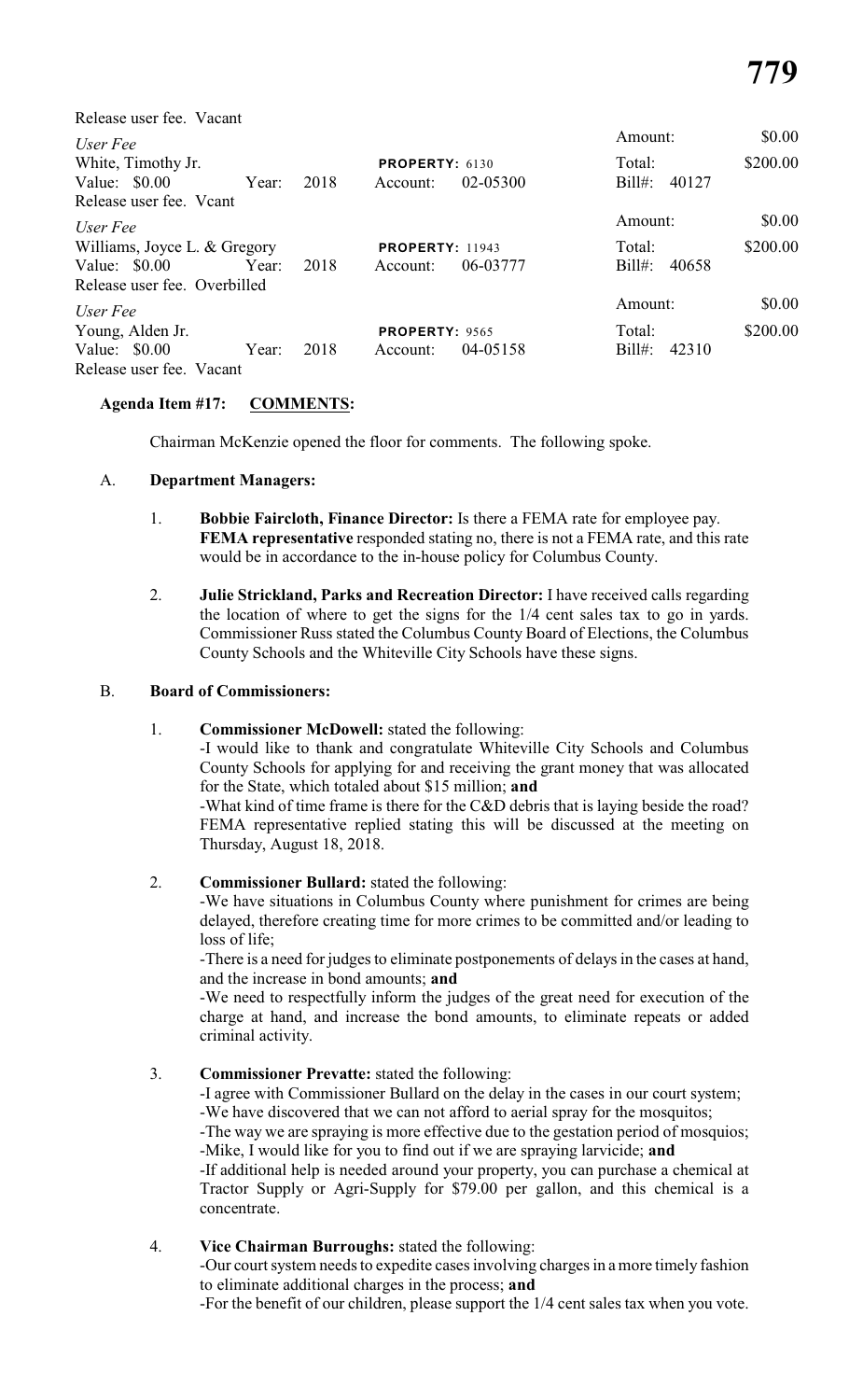| Release user fee. Vacant     |        |          |                        |          |                    |          |
|------------------------------|--------|----------|------------------------|----------|--------------------|----------|
| User Fee                     |        |          |                        |          | Amount:            | \$0.00   |
| White, Timothy Jr.           | Total: | \$200.00 |                        |          |                    |          |
| Value: $$0.00$               | Year:  | 2018     | Account:               | 02-05300 | $Bill#$ :<br>40127 |          |
| Release user fee. Veant      |        |          |                        |          |                    |          |
| User Fee                     |        |          |                        |          | Amount:            | \$0.00   |
| Williams, Joyce L. & Gregory |        |          | <b>PROPERTY: 11943</b> | Total:   | \$200.00           |          |
| Value: $$0.00$               | Year:  | 2018     | Account:               | 06-03777 | $Bill#$ :<br>40658 |          |
| Release user fee. Overbilled |        |          |                        |          |                    |          |
| User Fee                     |        |          |                        |          | Amount:            | \$0.00   |
| Young, Alden Jr.             |        |          | <b>PROPERTY: 9565</b>  |          | Total:             | \$200.00 |
| Value: $$0.00$               | Year:  | 2018     | Account:               | 04-05158 | $Bill#$ :<br>42310 |          |
| Release user fee. Vacant     |        |          |                        |          |                    |          |

# **Agenda Item #17: COMMENTS:**

Chairman McKenzie opened the floor for comments. The following spoke.

# A. **Department Managers:**

- 1. **Bobbie Faircloth, Finance Director:** Is there a FEMA rate for employee pay. **FEMA representative** responded stating no, there is not a FEMA rate, and this rate would be in accordance to the in-house policy for Columbus County.
- 2. **Julie Strickland, Parks and Recreation Director:** I have received calls regarding the location of where to get the signs for the 1/4 cent sales tax to go in yards. Commissioner Russ stated the Columbus County Board of Elections, the Columbus County Schools and the Whiteville City Schools have these signs.

# B. **Board of Commissioners:**

# 1. **Commissioner McDowell:** stated the following:

-I would like to thank and congratulate Whiteville City Schools and Columbus County Schools for applying for and receiving the grant money that was allocated for the State, which totaled about \$15 million; **and**

-What kind of time frame is there for the C&D debris that is laying beside the road? FEMA representative replied stating this will be discussed at the meeting on Thursday, August 18, 2018.

# 2. **Commissioner Bullard:** stated the following:

-We have situations in Columbus County where punishment for crimes are being delayed, therefore creating time for more crimes to be committed and/or leading to loss of life;

-There is a need for judges to eliminate postponements of delays in the cases at hand, and the increase in bond amounts; **and**

-We need to respectfully inform the judges of the great need for execution of the charge at hand, and increase the bond amounts, to eliminate repeats or added criminal activity.

# 3. **Commissioner Prevatte:** stated the following:

-I agree with Commissioner Bullard on the delay in the cases in our court system;

-We have discovered that we can not afford to aerial spray for the mosquitos;

-The way we are spraying is more effective due to the gestation period of mosquios; -Mike, I would like for you to find out if we are spraying larvicide; **and**

-If additional help is needed around your property, you can purchase a chemical at Tractor Supply or Agri-Supply for \$79.00 per gallon, and this chemical is a concentrate.

# 4. **Vice Chairman Burroughs:** stated the following:

-Our court system needs to expedite cases involving charges in a more timely fashion to eliminate additional charges in the process; **and**

-For the benefit of our children, please support the 1/4 cent sales tax when you vote.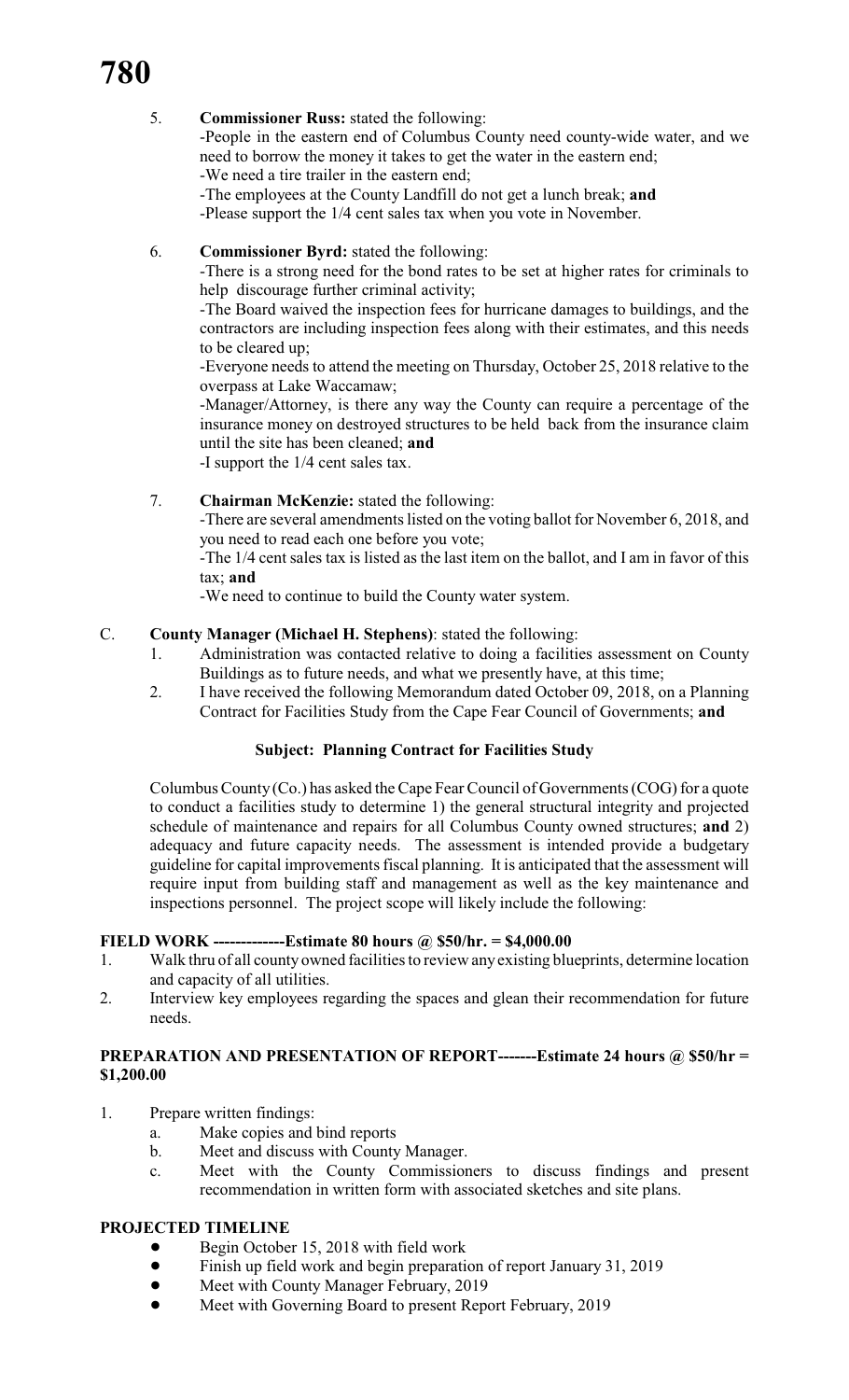# 5. **Commissioner Russ:** stated the following:

-People in the eastern end of Columbus County need county-wide water, and we need to borrow the money it takes to get the water in the eastern end;

-We need a tire trailer in the eastern end;

-The employees at the County Landfill do not get a lunch break; **and**

-Please support the 1/4 cent sales tax when you vote in November.

# 6. **Commissioner Byrd:** stated the following:

-There is a strong need for the bond rates to be set at higher rates for criminals to help discourage further criminal activity;

-The Board waived the inspection fees for hurricane damages to buildings, and the contractors are including inspection fees along with their estimates, and this needs to be cleared up;

-Everyone needs to attend the meeting on Thursday, October 25, 2018 relative to the overpass at Lake Waccamaw;

-Manager/Attorney, is there any way the County can require a percentage of the insurance money on destroyed structures to be held back from the insurance claim until the site has been cleaned; **and**

-I support the 1/4 cent sales tax.

# 7. **Chairman McKenzie:** stated the following:

-There are several amendments listed on the voting ballot for November 6, 2018, and you need to read each one before you vote;

-The 1/4 cent sales tax is listed as the last item on the ballot, and I am in favor of this tax; **and**

-We need to continue to build the County water system.

# C. **County Manager (Michael H. Stephens)**: stated the following:

- 1. Administration was contacted relative to doing a facilities assessment on County Buildings as to future needs, and what we presently have, at this time;
- 2. I have received the following Memorandum dated October 09, 2018, on a Planning Contract for Facilities Study from the Cape Fear Council of Governments; **and**

# **Subject: Planning Contract for Facilities Study**

Columbus County (Co.) has asked theCape Fear Council of Governments (COG) for a quote to conduct a facilities study to determine 1) the general structural integrity and projected schedule of maintenance and repairs for all Columbus County owned structures; **and** 2) adequacy and future capacity needs. The assessment is intended provide a budgetary guideline for capital improvements fiscal planning. It is anticipated that the assessment will require input from building staff and management as well as the key maintenance and inspections personnel. The project scope will likely include the following:

# **FIELD WORK -------------Estimate 80 hours @ \$50/hr. = \$4,000.00**

- 1. Walk thru of all county owned facilities to review anyexisting blueprints, determine location and capacity of all utilities.
- 2. Interview key employees regarding the spaces and glean their recommendation for future needs.

# **PREPARATION AND PRESENTATION OF REPORT-------Estimate 24 hours @ \$50/hr = \$1,200.00**

- 1. Prepare written findings:
	- a. Make copies and bind reports
	- b. Meet and discuss with County Manager.
	- c. Meet with the County Commissioners to discuss findings and present recommendation in written form with associated sketches and site plans.

# **PROJECTED TIMELINE**

- Begin October 15, 2018 with field work
- Finish up field work and begin preparation of report January 31, 2019
- Meet with County Manager February, 2019
- ! Meet with Governing Board to present Report February, 2019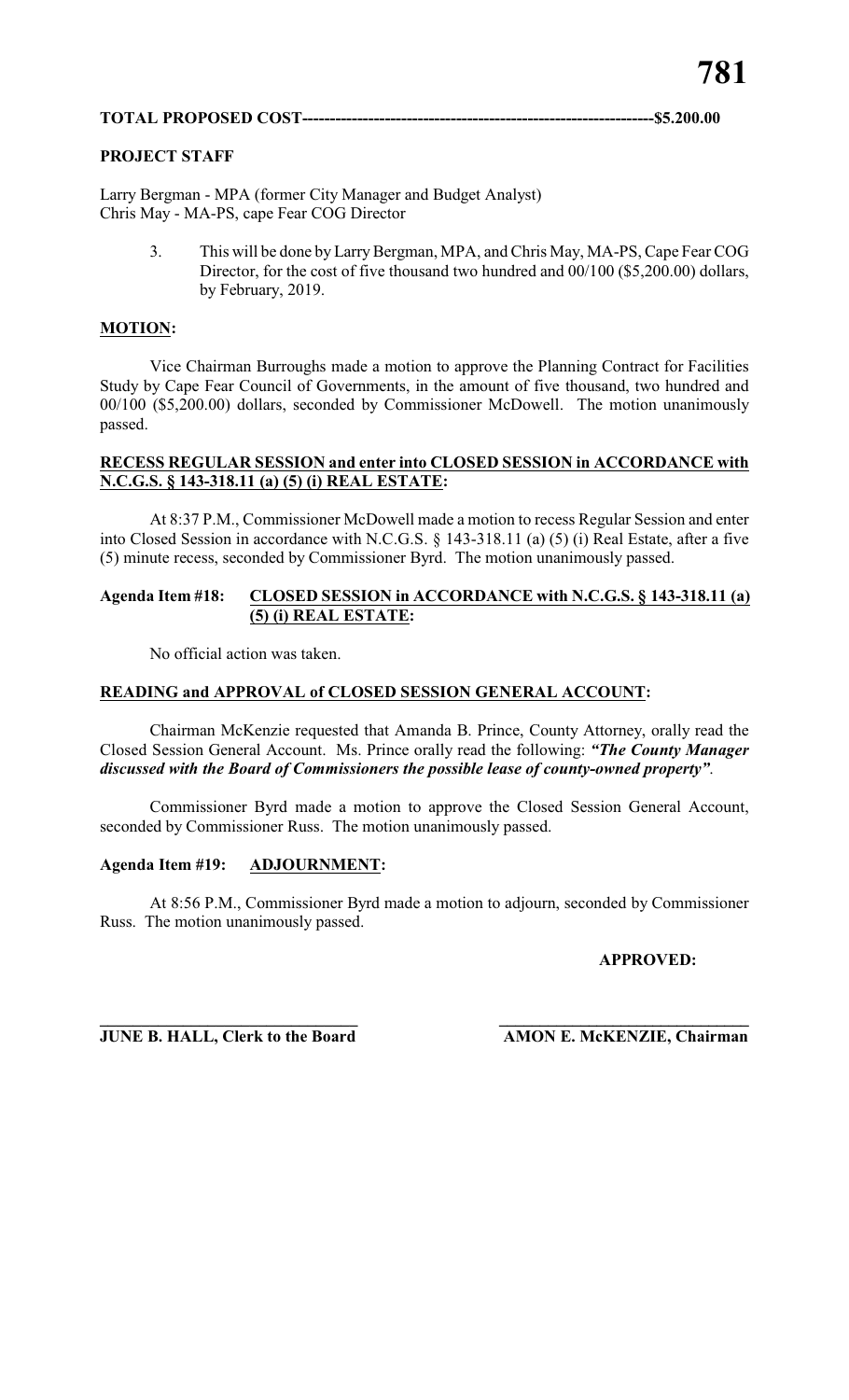# **PROJECT STAFF**

Larry Bergman - MPA (former City Manager and Budget Analyst) Chris May - MA-PS, cape Fear COG Director

> 3. This will be done by LarryBergman, MPA, and Chris May, MA-PS, Cape Fear COG Director, for the cost of five thousand two hundred and 00/100 (\$5,200.00) dollars, by February, 2019.

# **MOTION:**

Vice Chairman Burroughs made a motion to approve the Planning Contract for Facilities Study by Cape Fear Council of Governments, in the amount of five thousand, two hundred and 00/100 (\$5,200.00) dollars, seconded by Commissioner McDowell. The motion unanimously passed.

# **RECESS REGULAR SESSION and enter into CLOSED SESSION in ACCORDANCE with N.C.G.S. § 143-318.11 (a) (5) (i) REAL ESTATE:**

At 8:37 P.M., Commissioner McDowell made a motion to recess Regular Session and enter into Closed Session in accordance with N.C.G.S. § 143-318.11 (a) (5) (i) Real Estate, after a five (5) minute recess, seconded by Commissioner Byrd. The motion unanimously passed.

# **Agenda Item #18: CLOSED SESSION in ACCORDANCE with N.C.G.S. § 143-318.11 (a) (5) (i) REAL ESTATE:**

No official action was taken.

# **READING and APPROVAL of CLOSED SESSION GENERAL ACCOUNT:**

Chairman McKenzie requested that Amanda B. Prince, County Attorney, orally read the Closed Session General Account. Ms. Prince orally read the following: *"The County Manager discussed with the Board of Commissioners the possible lease of county-owned property"*.

Commissioner Byrd made a motion to approve the Closed Session General Account, seconded by Commissioner Russ. The motion unanimously passed.

# **Agenda Item #19: ADJOURNMENT:**

At 8:56 P.M., Commissioner Byrd made a motion to adjourn, seconded by Commissioner Russ. The motion unanimously passed.

# **APPROVED:**

**\_\_\_\_\_\_\_\_\_\_\_\_\_\_\_\_\_\_\_\_\_\_\_\_\_\_\_\_\_\_\_ \_\_\_\_\_\_\_\_\_\_\_\_\_\_\_\_\_\_\_\_\_\_\_\_\_\_\_\_\_\_\_ JUNE B. HALL, Clerk to the Board AMON E. McKENZIE, Chairman**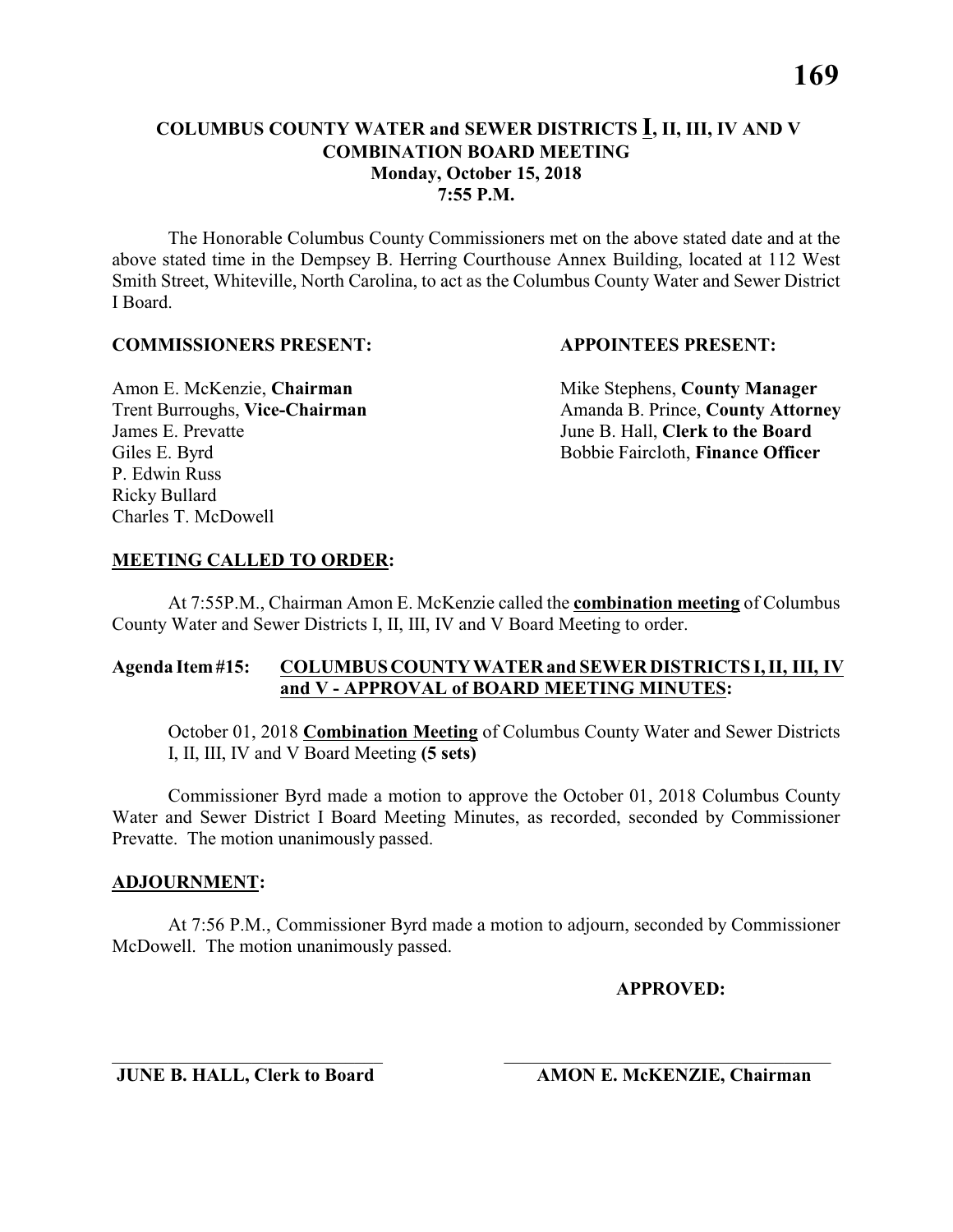# **COLUMBUS COUNTY WATER and SEWER DISTRICTS I, II, III, IV AND V COMBINATION BOARD MEETING Monday, October 15, 2018 7:55 P.M.**

The Honorable Columbus County Commissioners met on the above stated date and at the above stated time in the Dempsey B. Herring Courthouse Annex Building, located at 112 West Smith Street, Whiteville, North Carolina, to act as the Columbus County Water and Sewer District I Board.

#### **COMMISSIONERS PRESENT: APPOINTEES PRESENT:**

James E. Prevatte June B. Hall, **Clerk to the Board** P. Edwin Russ Ricky Bullard Charles T. McDowell

Amon E. McKenzie, **Chairman** Mike Stephens, **County Manager** Trent Burroughs, Vice-Chairman Amanda B. Prince, County Attorney Giles E. Byrd **Bobbie Faircloth, Finance Officer** 

# **MEETING CALLED TO ORDER:**

At 7:55P.M., Chairman Amon E. McKenzie called the **combination meeting** of Columbus County Water and Sewer Districts I, II, III, IV and V Board Meeting to order.

# **Agenda Item #15: COLUMBUS COUNTY WATER and SEWER DISTRICTS I, II, III, IV and V - APPROVAL of BOARD MEETING MINUTES:**

October 01, 2018 **Combination Meeting** of Columbus County Water and Sewer Districts I, II, III, IV and V Board Meeting **(5 sets)**

Commissioner Byrd made a motion to approve the October 01, 2018 Columbus County Water and Sewer District I Board Meeting Minutes, as recorded, seconded by Commissioner Prevatte. The motion unanimously passed.

#### **ADJOURNMENT:**

At 7:56 P.M., Commissioner Byrd made a motion to adjourn, seconded by Commissioner McDowell. The motion unanimously passed.

\_\_\_\_\_\_\_\_\_\_\_\_\_\_\_\_\_\_\_\_\_\_\_\_\_\_\_\_\_ \_\_\_\_\_\_\_\_\_\_\_\_\_\_\_\_\_\_\_\_\_\_\_\_\_\_\_\_\_\_\_\_\_\_\_

**APPROVED:**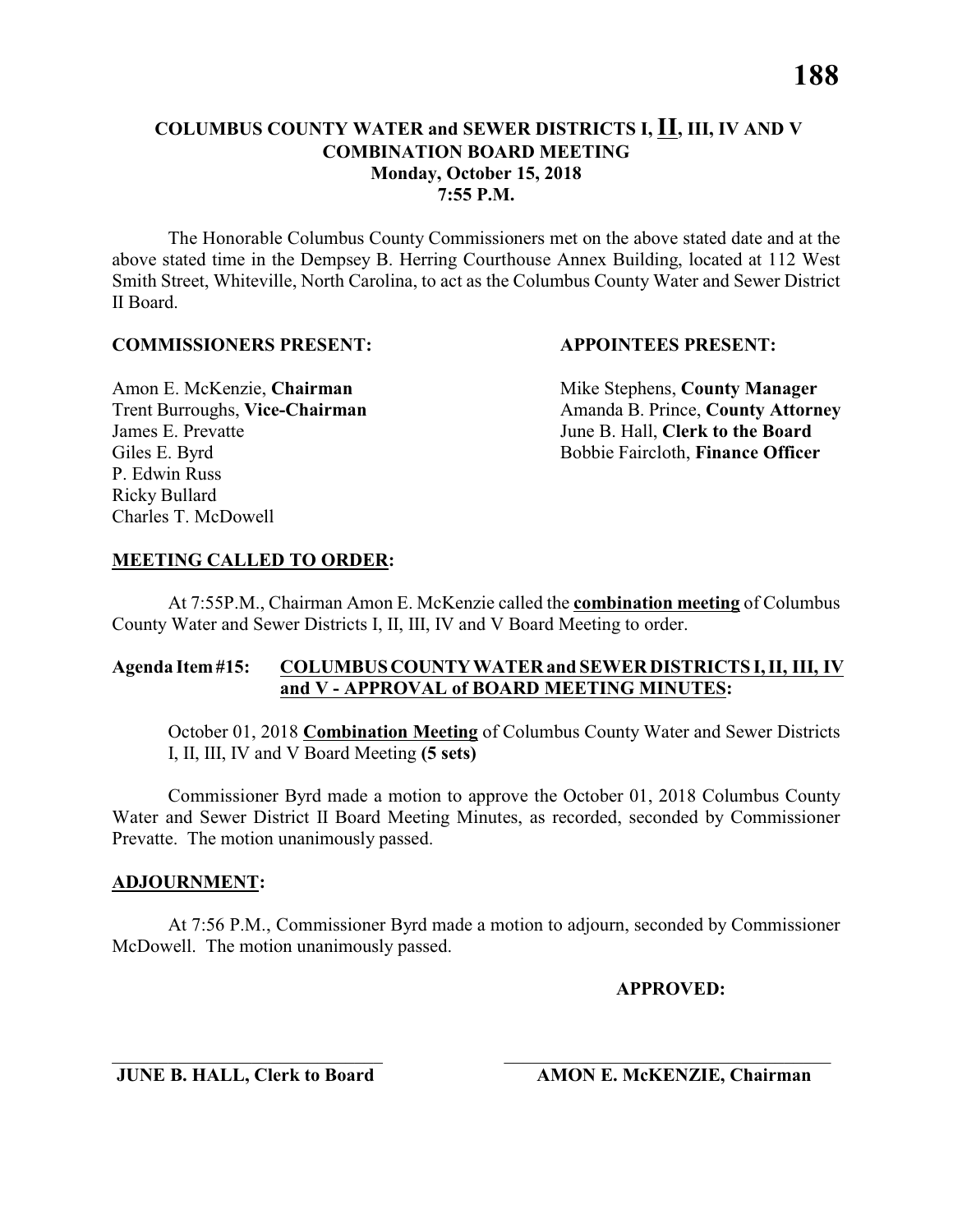# **Monday, October 15, 2018**

**7:55 P.M.**

The Honorable Columbus County Commissioners met on the above stated date and at the above stated time in the Dempsey B. Herring Courthouse Annex Building, located at 112 West Smith Street, Whiteville, North Carolina, to act as the Columbus County Water and Sewer District II Board.

### **COMMISSIONERS PRESENT: APPOINTEES PRESENT:**

James E. Prevatte June B. Hall, **Clerk to the Board** P. Edwin Russ Ricky Bullard Charles T. McDowell

Amon E. McKenzie, **Chairman** Mike Stephens, **County Manager** Trent Burroughs, Vice-Chairman Amanda B. Prince, County Attorney Giles E. Byrd **Bobbie Faircloth, Finance Officer** 

# **MEETING CALLED TO ORDER:**

At 7:55P.M., Chairman Amon E. McKenzie called the **combination meeting** of Columbus County Water and Sewer Districts I, II, III, IV and V Board Meeting to order.

# **Agenda Item #15: COLUMBUS COUNTY WATER and SEWER DISTRICTS I, II, III, IV and V - APPROVAL of BOARD MEETING MINUTES:**

October 01, 2018 **Combination Meeting** of Columbus County Water and Sewer Districts I, II, III, IV and V Board Meeting **(5 sets)**

Commissioner Byrd made a motion to approve the October 01, 2018 Columbus County Water and Sewer District II Board Meeting Minutes, as recorded, seconded by Commissioner Prevatte. The motion unanimously passed.

# **ADJOURNMENT:**

At 7:56 P.M., Commissioner Byrd made a motion to adjourn, seconded by Commissioner McDowell. The motion unanimously passed.

\_\_\_\_\_\_\_\_\_\_\_\_\_\_\_\_\_\_\_\_\_\_\_\_\_\_\_\_\_ \_\_\_\_\_\_\_\_\_\_\_\_\_\_\_\_\_\_\_\_\_\_\_\_\_\_\_\_\_\_\_\_\_\_\_

**APPROVED:**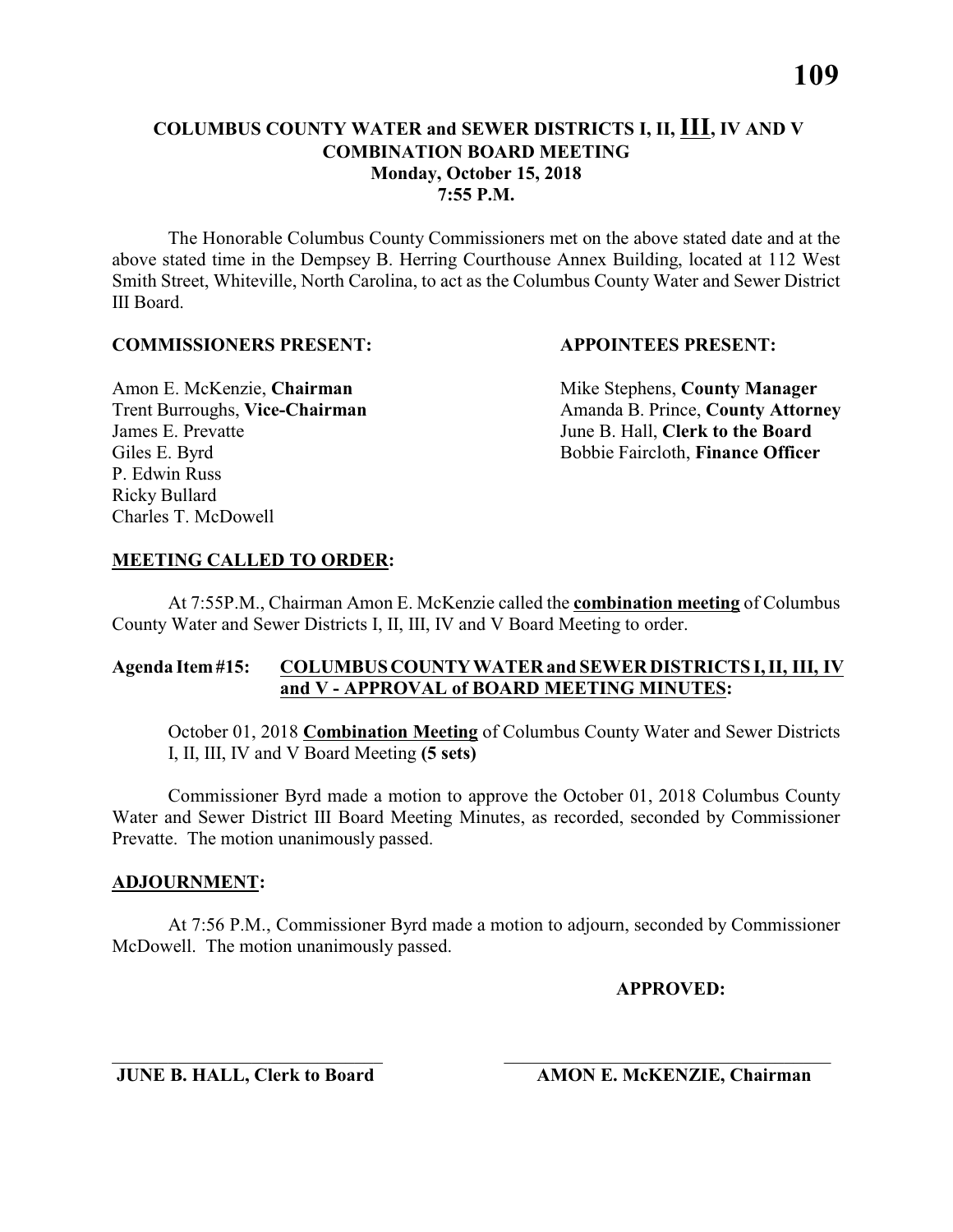# **COLUMBUS COUNTY WATER and SEWER DISTRICTS I, II, III, IV AND V COMBINATION BOARD MEETING Monday, October 15, 2018 7:55 P.M.**

The Honorable Columbus County Commissioners met on the above stated date and at the above stated time in the Dempsey B. Herring Courthouse Annex Building, located at 112 West Smith Street, Whiteville, North Carolina, to act as the Columbus County Water and Sewer District III Board.

# **COMMISSIONERS PRESENT: APPOINTEES PRESENT:**

James E. Prevatte June B. Hall, **Clerk to the Board** P. Edwin Russ Ricky Bullard Charles T. McDowell

Amon E. McKenzie, **Chairman** Mike Stephens, **County Manager** Trent Burroughs, Vice-Chairman Amanda B. Prince, County Attorney Giles E. Byrd **Bobbie Faircloth, Finance Officer** 

# **MEETING CALLED TO ORDER:**

At 7:55P.M., Chairman Amon E. McKenzie called the **combination meeting** of Columbus County Water and Sewer Districts I, II, III, IV and V Board Meeting to order.

# **Agenda Item #15: COLUMBUS COUNTY WATER and SEWER DISTRICTS I, II, III, IV and V - APPROVAL of BOARD MEETING MINUTES:**

October 01, 2018 **Combination Meeting** of Columbus County Water and Sewer Districts I, II, III, IV and V Board Meeting **(5 sets)**

Commissioner Byrd made a motion to approve the October 01, 2018 Columbus County Water and Sewer District III Board Meeting Minutes, as recorded, seconded by Commissioner Prevatte. The motion unanimously passed.

# **ADJOURNMENT:**

At 7:56 P.M., Commissioner Byrd made a motion to adjourn, seconded by Commissioner McDowell. The motion unanimously passed.

\_\_\_\_\_\_\_\_\_\_\_\_\_\_\_\_\_\_\_\_\_\_\_\_\_\_\_\_\_ \_\_\_\_\_\_\_\_\_\_\_\_\_\_\_\_\_\_\_\_\_\_\_\_\_\_\_\_\_\_\_\_\_\_\_

# **APPROVED:**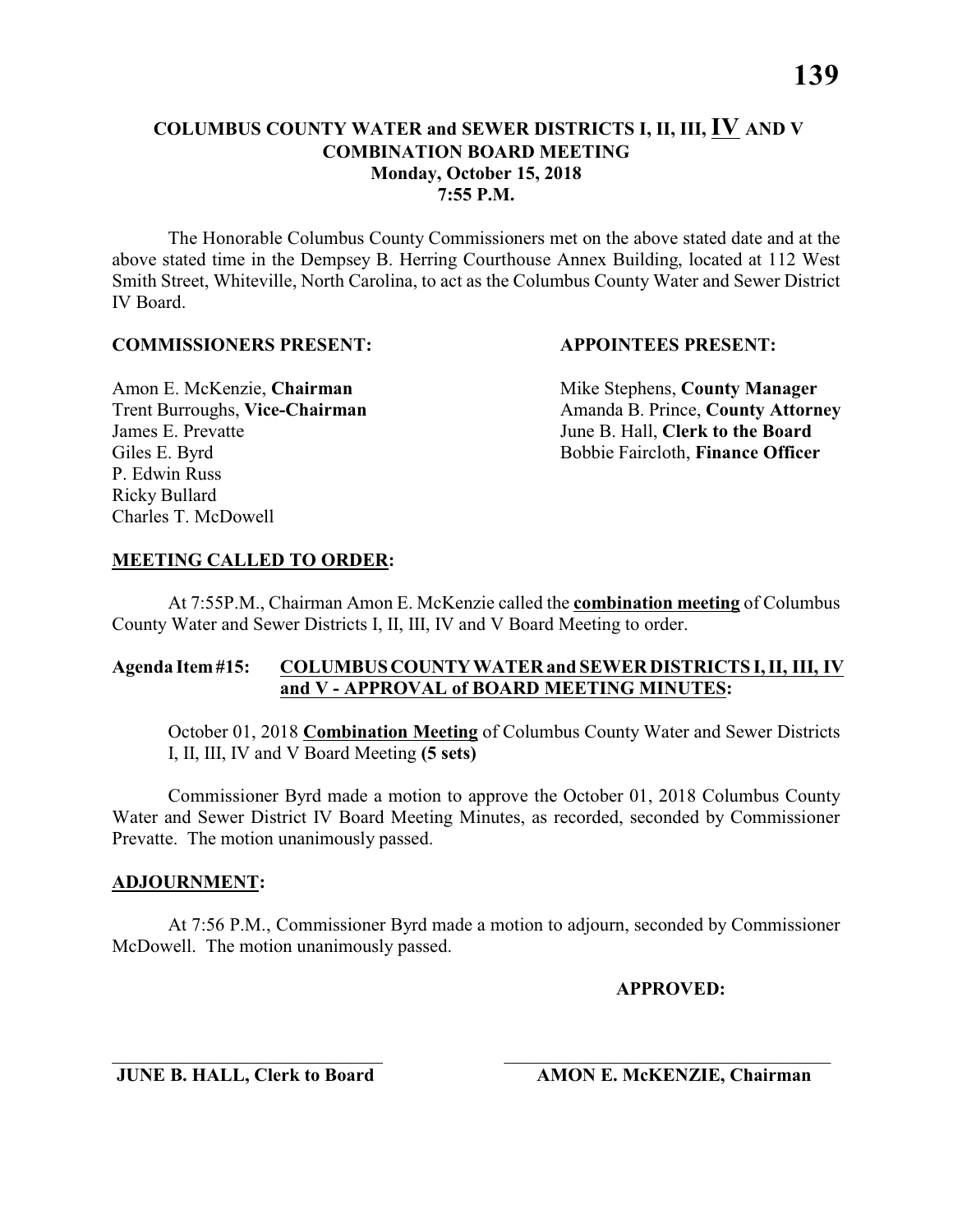The Honorable Columbus County Commissioners met on the above stated date and at the above stated time in the Dempsey B. Herring Courthouse Annex Building, located at 112 West Smith Street, Whiteville, North Carolina, to act as the Columbus County Water and Sewer District IV Board.

#### **COMMISSIONERS PRESENT: APPOINTEES PRESENT:**

James E. Prevatte June B. Hall, **Clerk to the Board** P. Edwin Russ Ricky Bullard Charles T. McDowell

Amon E. McKenzie, **Chairman** Mike Stephens, **County Manager** Trent Burroughs, Vice-Chairman Amanda B. Prince, County Attorney Giles E. Byrd **Bobbie Faircloth, Finance Officer** 

# **MEETING CALLED TO ORDER:**

At 7:55P.M., Chairman Amon E. McKenzie called the **combination meeting** of Columbus County Water and Sewer Districts I, II, III, IV and V Board Meeting to order.

# **Agenda Item #15: COLUMBUS COUNTY WATER and SEWER DISTRICTS I, II, III, IV and V - APPROVAL of BOARD MEETING MINUTES:**

October 01, 2018 **Combination Meeting** of Columbus County Water and Sewer Districts I, II, III, IV and V Board Meeting **(5 sets)**

Commissioner Byrd made a motion to approve the October 01, 2018 Columbus County Water and Sewer District IV Board Meeting Minutes, as recorded, seconded by Commissioner Prevatte. The motion unanimously passed.

#### **ADJOURNMENT:**

At 7:56 P.M., Commissioner Byrd made a motion to adjourn, seconded by Commissioner McDowell. The motion unanimously passed.

\_\_\_\_\_\_\_\_\_\_\_\_\_\_\_\_\_\_\_\_\_\_\_\_\_\_\_\_\_ \_\_\_\_\_\_\_\_\_\_\_\_\_\_\_\_\_\_\_\_\_\_\_\_\_\_\_\_\_\_\_\_\_\_\_

#### **APPROVED:**